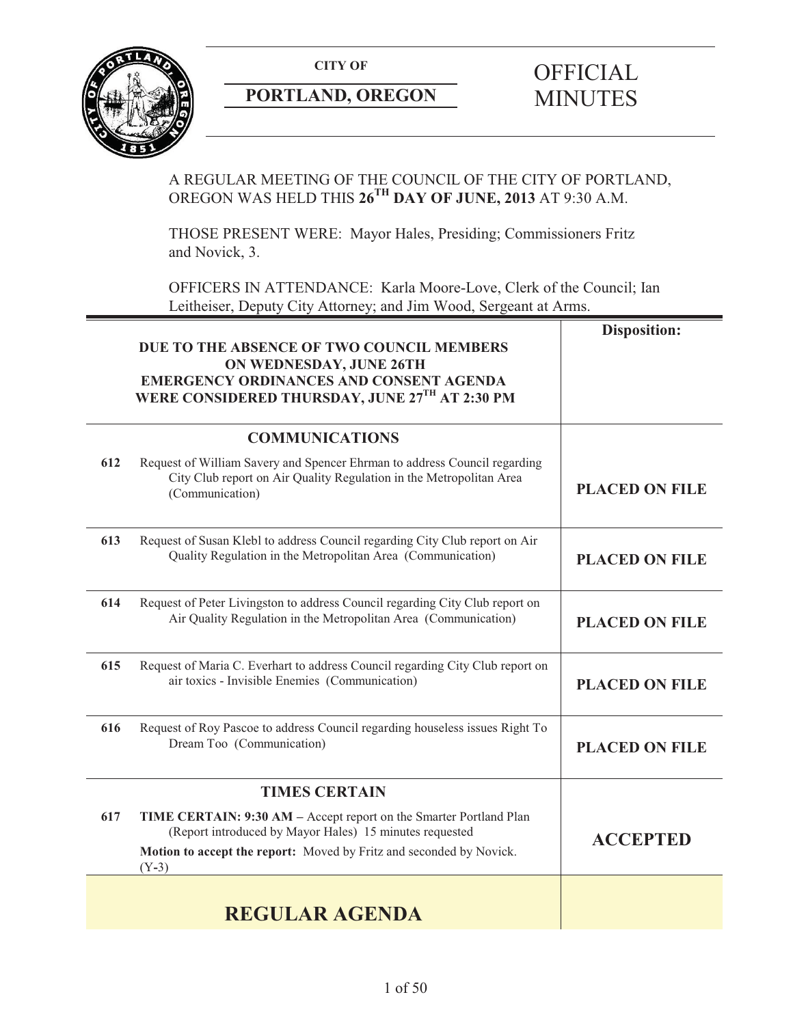

# **PORTLAND, OREGON**

# **CITY OF CITY OF SECON CONTRAND, OREGON MINUTES**

# A REGULAR MEETING OF THE COUNCIL OF THE CITY OF PORTLAND, OREGON WAS HELD THIS **26TH DAY OF JUNE, 2013** AT 9:30 A.M.

THOSE PRESENT WERE: Mayor Hales, Presiding; Commissioners Fritz and Novick, 3.

OFFICERS IN ATTENDANCE: Karla Moore-Love, Clerk of the Council; Ian Leitheiser, Deputy City Attorney; and Jim Wood, Sergeant at Arms.

|     | DUE TO THE ABSENCE OF TWO COUNCIL MEMBERS<br>ON WEDNESDAY, JUNE 26TH<br><b>EMERGENCY ORDINANCES AND CONSENT AGENDA</b><br>WERE CONSIDERED THURSDAY, JUNE 27TH AT 2:30 PM                                        | <b>Disposition:</b>   |
|-----|-----------------------------------------------------------------------------------------------------------------------------------------------------------------------------------------------------------------|-----------------------|
|     | <b>COMMUNICATIONS</b>                                                                                                                                                                                           |                       |
| 612 | Request of William Savery and Spencer Ehrman to address Council regarding<br>City Club report on Air Quality Regulation in the Metropolitan Area<br>(Communication)                                             | <b>PLACED ON FILE</b> |
| 613 | Request of Susan Klebl to address Council regarding City Club report on Air<br>Quality Regulation in the Metropolitan Area (Communication)                                                                      | <b>PLACED ON FILE</b> |
| 614 | Request of Peter Livingston to address Council regarding City Club report on<br>Air Quality Regulation in the Metropolitan Area (Communication)                                                                 | <b>PLACED ON FILE</b> |
| 615 | Request of Maria C. Everhart to address Council regarding City Club report on<br>air toxics - Invisible Enemies (Communication)                                                                                 | <b>PLACED ON FILE</b> |
| 616 | Request of Roy Pascoe to address Council regarding houseless issues Right To<br>Dream Too (Communication)                                                                                                       | <b>PLACED ON FILE</b> |
|     | <b>TIMES CERTAIN</b>                                                                                                                                                                                            |                       |
| 617 | TIME CERTAIN: 9:30 AM - Accept report on the Smarter Portland Plan<br>(Report introduced by Mayor Hales) 15 minutes requested<br>Motion to accept the report: Moved by Fritz and seconded by Novick.<br>$(Y-3)$ | <b>ACCEPTED</b>       |
|     | <b>REGULAR AGENDA</b>                                                                                                                                                                                           |                       |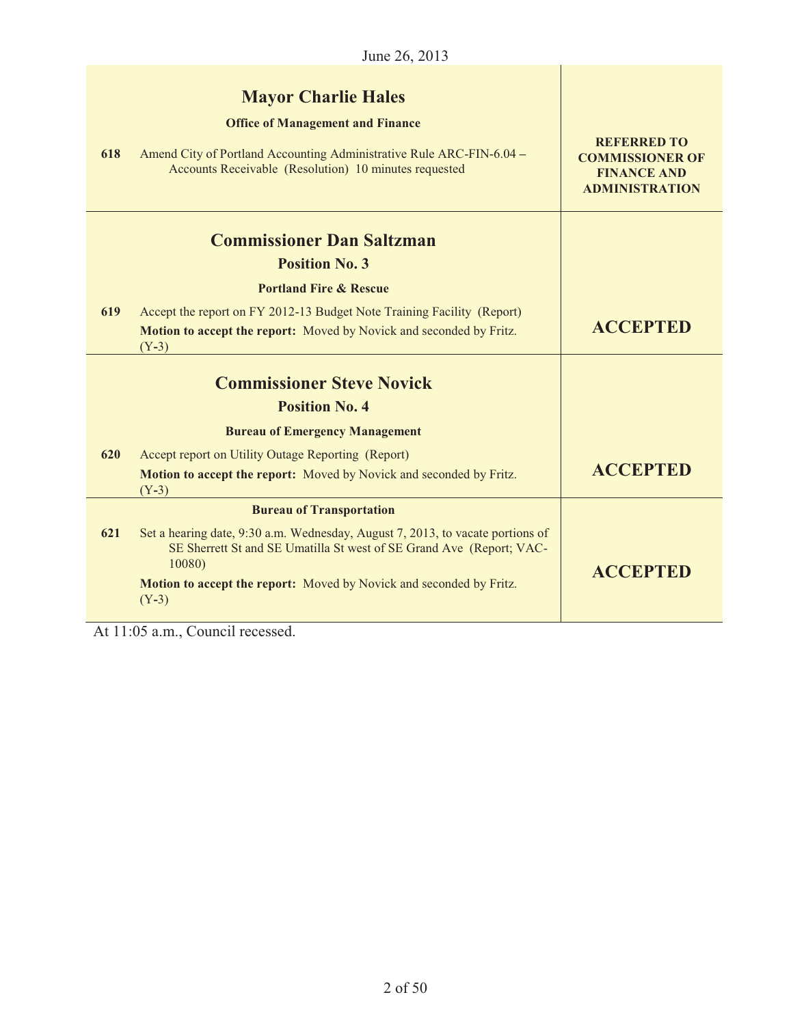|     | June 26, 2013                                                                                                                                                                                          |                                                                                             |
|-----|--------------------------------------------------------------------------------------------------------------------------------------------------------------------------------------------------------|---------------------------------------------------------------------------------------------|
| 618 | <b>Mayor Charlie Hales</b><br><b>Office of Management and Finance</b><br>Amend City of Portland Accounting Administrative Rule ARC-FIN-6.04 -<br>Accounts Receivable (Resolution) 10 minutes requested | <b>REFERRED TO</b><br><b>COMMISSIONER OF</b><br><b>FINANCE AND</b><br><b>ADMINISTRATION</b> |
|     | <b>Commissioner Dan Saltzman</b>                                                                                                                                                                       |                                                                                             |
|     | <b>Position No. 3</b>                                                                                                                                                                                  |                                                                                             |
|     | <b>Portland Fire &amp; Rescue</b>                                                                                                                                                                      |                                                                                             |
| 619 | Accept the report on FY 2012-13 Budget Note Training Facility (Report)<br>Motion to accept the report: Moved by Novick and seconded by Fritz.<br>$(Y-3)$                                               | <b>ACCEPTED</b>                                                                             |
|     | <b>Commissioner Steve Novick</b>                                                                                                                                                                       |                                                                                             |
|     | <b>Position No. 4</b>                                                                                                                                                                                  |                                                                                             |
|     | <b>Bureau of Emergency Management</b>                                                                                                                                                                  |                                                                                             |
| 620 | Accept report on Utility Outage Reporting (Report)                                                                                                                                                     |                                                                                             |
|     | Motion to accept the report: Moved by Novick and seconded by Fritz.<br>$(Y-3)$                                                                                                                         | <b>ACCEPTED</b>                                                                             |
|     | <b>Bureau of Transportation</b>                                                                                                                                                                        |                                                                                             |
| 621 | Set a hearing date, 9:30 a.m. Wednesday, August 7, 2013, to vacate portions of<br>SE Sherrett St and SE Umatilla St west of SE Grand Ave (Report; VAC-<br>10080)                                       | <b>ACCEPTED</b>                                                                             |
|     | Motion to accept the report: Moved by Novick and seconded by Fritz.<br>$(Y-3)$                                                                                                                         |                                                                                             |

At 11:05 a.m., Council recessed.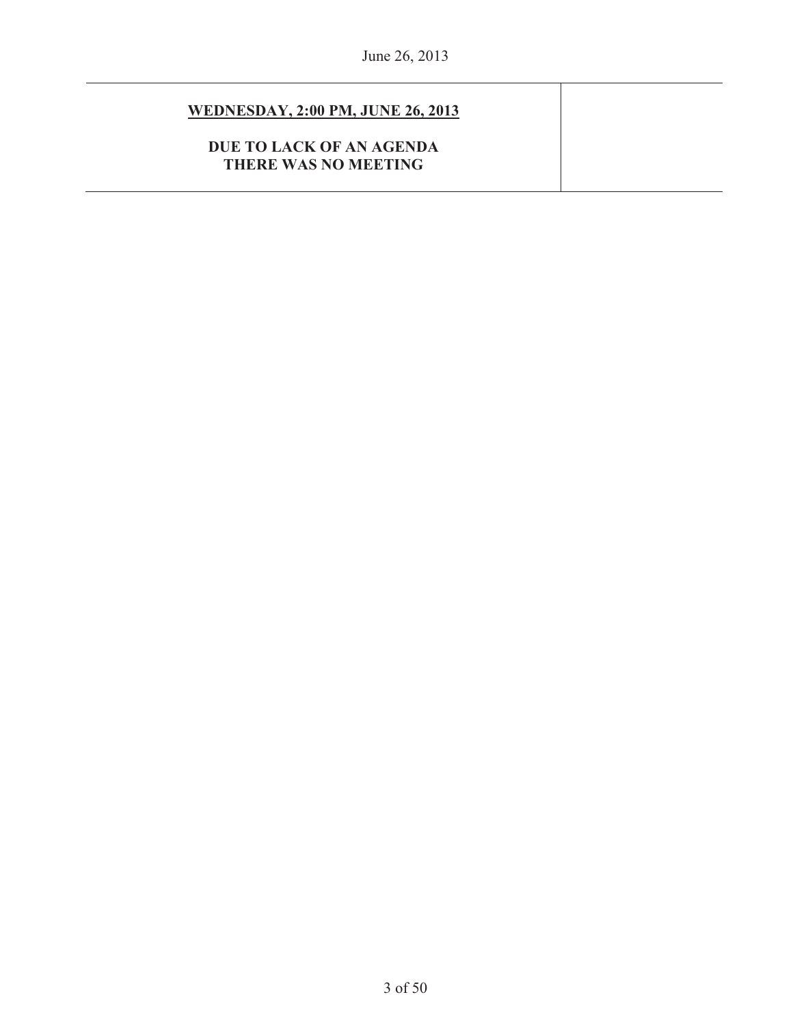# **WEDNESDAY, 2:00 PM, JUNE 26, 2013**

**DUE TO LACK OF AN AGENDA THERE WAS NO MEETING**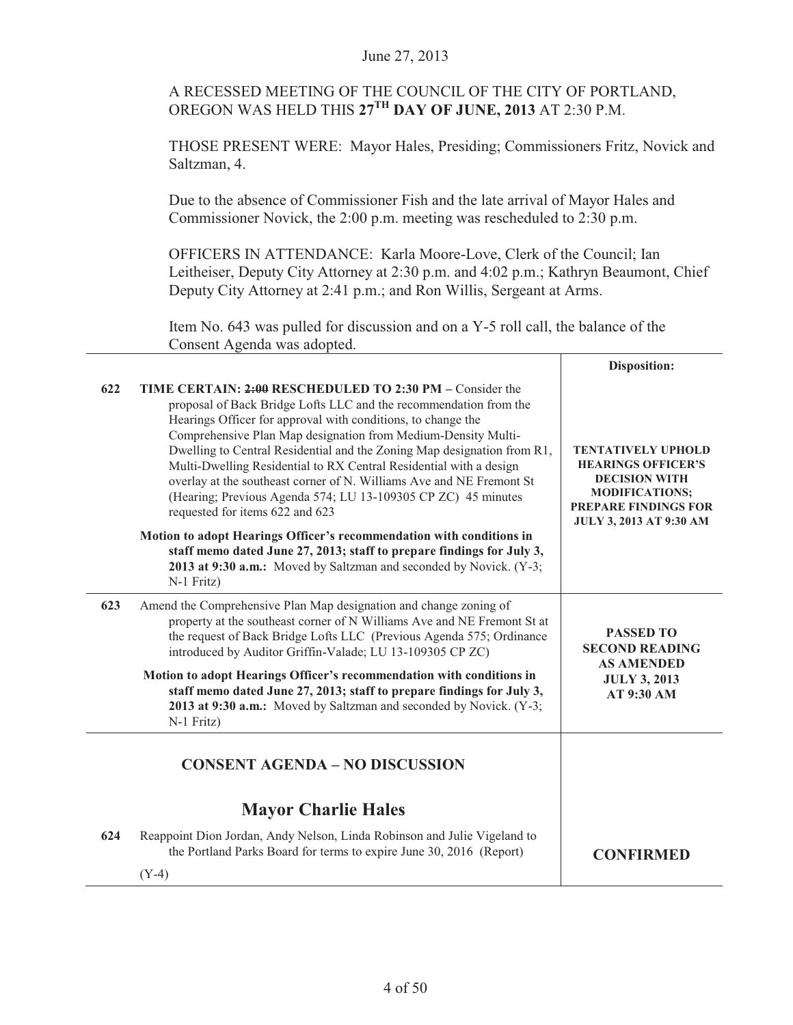# A RECESSED MEETING OF THE COUNCIL OF THE CITY OF PORTLAND, OREGON WAS HELD THIS **27TH DAY OF JUNE, 2013** AT 2:30 P.M.

THOSE PRESENT WERE: Mayor Hales, Presiding; Commissioners Fritz, Novick and Saltzman, 4.

Due to the absence of Commissioner Fish and the late arrival of Mayor Hales and Commissioner Novick, the 2:00 p.m. meeting was rescheduled to 2:30 p.m.

OFFICERS IN ATTENDANCE: Karla Moore-Love, Clerk of the Council; Ian Leitheiser, Deputy City Attorney at 2:30 p.m. and 4:02 p.m.; Kathryn Beaumont, Chief Deputy City Attorney at 2:41 p.m.; and Ron Willis, Sergeant at Arms.

Τ

Item No. 643 was pulled for discussion and on a Y-5 roll call, the balance of the Consent Agenda was adopted.

|     |                                                                                                                                                                                                                                                                                                                                                                                                                                                                                                                                                                                             | Disposition:                                                                                                                                                             |
|-----|---------------------------------------------------------------------------------------------------------------------------------------------------------------------------------------------------------------------------------------------------------------------------------------------------------------------------------------------------------------------------------------------------------------------------------------------------------------------------------------------------------------------------------------------------------------------------------------------|--------------------------------------------------------------------------------------------------------------------------------------------------------------------------|
| 622 | TIME CERTAIN: 2:00 RESCHEDULED TO 2:30 PM – Consider the<br>proposal of Back Bridge Lofts LLC and the recommendation from the<br>Hearings Officer for approval with conditions, to change the<br>Comprehensive Plan Map designation from Medium-Density Multi-<br>Dwelling to Central Residential and the Zoning Map designation from R1,<br>Multi-Dwelling Residential to RX Central Residential with a design<br>overlay at the southeast corner of N. Williams Ave and NE Fremont St<br>(Hearing; Previous Agenda 574; LU 13-109305 CP ZC) 45 minutes<br>requested for items 622 and 623 | <b>TENTATIVELY UPHOLD</b><br><b>HEARINGS OFFICER'S</b><br><b>DECISION WITH</b><br><b>MODIFICATIONS:</b><br><b>PREPARE FINDINGS FOR</b><br><b>JULY 3, 2013 AT 9:30 AM</b> |
|     | Motion to adopt Hearings Officer's recommendation with conditions in<br>staff memo dated June 27, 2013; staff to prepare findings for July 3,<br>2013 at 9:30 a.m.: Moved by Saltzman and seconded by Novick. (Y-3;<br>N-1 Fritz)                                                                                                                                                                                                                                                                                                                                                           |                                                                                                                                                                          |
| 623 | Amend the Comprehensive Plan Map designation and change zoning of<br>property at the southeast corner of N Williams Ave and NE Fremont St at<br>the request of Back Bridge Lofts LLC (Previous Agenda 575; Ordinance<br>introduced by Auditor Griffin-Valade; LU 13-109305 CP ZC)                                                                                                                                                                                                                                                                                                           | <b>PASSED TO</b><br><b>SECOND READING</b><br><b>AS AMENDED</b><br><b>JULY 3, 2013</b><br>AT 9:30 AM                                                                      |
|     | Motion to adopt Hearings Officer's recommendation with conditions in<br>staff memo dated June 27, 2013; staff to prepare findings for July 3,<br>2013 at 9:30 a.m.: Moved by Saltzman and seconded by Novick. (Y-3;<br>N-1 Fritz)                                                                                                                                                                                                                                                                                                                                                           |                                                                                                                                                                          |
|     | <b>CONSENT AGENDA - NO DISCUSSION</b>                                                                                                                                                                                                                                                                                                                                                                                                                                                                                                                                                       |                                                                                                                                                                          |
|     | <b>Mayor Charlie Hales</b>                                                                                                                                                                                                                                                                                                                                                                                                                                                                                                                                                                  |                                                                                                                                                                          |
| 624 | Reappoint Dion Jordan, Andy Nelson, Linda Robinson and Julie Vigeland to<br>the Portland Parks Board for terms to expire June 30, 2016 (Report)                                                                                                                                                                                                                                                                                                                                                                                                                                             | <b>CONFIRMED</b>                                                                                                                                                         |
|     | $(Y-4)$                                                                                                                                                                                                                                                                                                                                                                                                                                                                                                                                                                                     |                                                                                                                                                                          |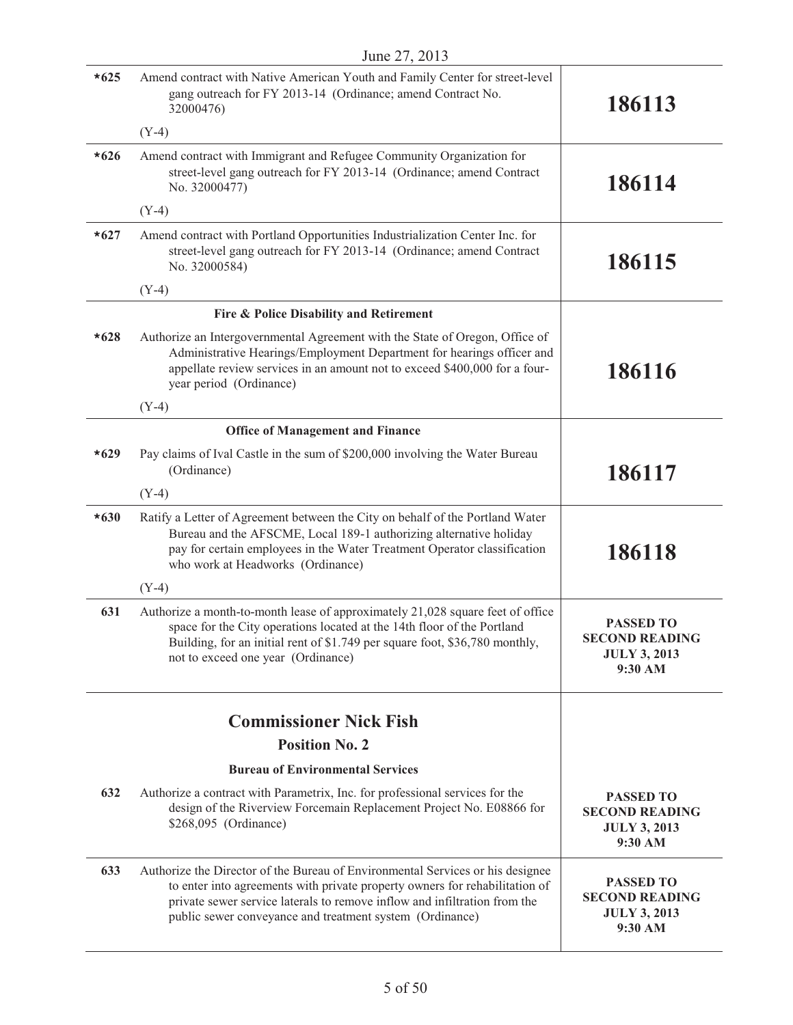|        | June 27, 2013                                                                                                                                                                                                                                                                                          |                                                                             |
|--------|--------------------------------------------------------------------------------------------------------------------------------------------------------------------------------------------------------------------------------------------------------------------------------------------------------|-----------------------------------------------------------------------------|
| $*625$ | Amend contract with Native American Youth and Family Center for street-level<br>gang outreach for FY 2013-14 (Ordinance; amend Contract No.<br>32000476)                                                                                                                                               | 186113                                                                      |
|        | $(Y-4)$                                                                                                                                                                                                                                                                                                |                                                                             |
| $*626$ | Amend contract with Immigrant and Refugee Community Organization for<br>street-level gang outreach for FY 2013-14 (Ordinance; amend Contract<br>No. 32000477)                                                                                                                                          | 186114                                                                      |
|        | $(Y-4)$                                                                                                                                                                                                                                                                                                |                                                                             |
| $*627$ | Amend contract with Portland Opportunities Industrialization Center Inc. for<br>street-level gang outreach for FY 2013-14 (Ordinance; amend Contract<br>No. 32000584)                                                                                                                                  | 186115                                                                      |
|        | $(Y-4)$                                                                                                                                                                                                                                                                                                |                                                                             |
|        | Fire & Police Disability and Retirement                                                                                                                                                                                                                                                                |                                                                             |
| $*628$ | Authorize an Intergovernmental Agreement with the State of Oregon, Office of<br>Administrative Hearings/Employment Department for hearings officer and<br>appellate review services in an amount not to exceed \$400,000 for a four-<br>year period (Ordinance)                                        | 186116                                                                      |
|        | $(Y-4)$                                                                                                                                                                                                                                                                                                |                                                                             |
|        | <b>Office of Management and Finance</b>                                                                                                                                                                                                                                                                |                                                                             |
| $*629$ | Pay claims of Ival Castle in the sum of \$200,000 involving the Water Bureau<br>(Ordinance)                                                                                                                                                                                                            | 186117                                                                      |
|        | $(Y-4)$                                                                                                                                                                                                                                                                                                |                                                                             |
| $*630$ | Ratify a Letter of Agreement between the City on behalf of the Portland Water<br>Bureau and the AFSCME, Local 189-1 authorizing alternative holiday<br>pay for certain employees in the Water Treatment Operator classification<br>who work at Headworks (Ordinance)                                   | 186118                                                                      |
|        | $(Y-4)$                                                                                                                                                                                                                                                                                                |                                                                             |
| 631    | Authorize a month-to-month lease of approximately 21,028 square feet of office<br>space for the City operations located at the 14th floor of the Portland<br>Building, for an initial rent of \$1.749 per square foot, \$36,780 monthly,<br>not to exceed one year (Ordinance)                         | PASSED TO<br><b>SECOND READING</b><br><b>JULY 3, 2013</b><br>9:30 AM        |
|        |                                                                                                                                                                                                                                                                                                        |                                                                             |
|        | <b>Commissioner Nick Fish</b>                                                                                                                                                                                                                                                                          |                                                                             |
|        | <b>Position No. 2</b>                                                                                                                                                                                                                                                                                  |                                                                             |
|        | <b>Bureau of Environmental Services</b>                                                                                                                                                                                                                                                                |                                                                             |
| 632    | Authorize a contract with Parametrix, Inc. for professional services for the<br>design of the Riverview Forcemain Replacement Project No. E08866 for<br>\$268,095 (Ordinance)                                                                                                                          | <b>PASSED TO</b><br><b>SECOND READING</b><br><b>JULY 3, 2013</b><br>9:30 AM |
| 633    | Authorize the Director of the Bureau of Environmental Services or his designee<br>to enter into agreements with private property owners for rehabilitation of<br>private sewer service laterals to remove inflow and infiltration from the<br>public sewer conveyance and treatment system (Ordinance) | <b>PASSED TO</b><br><b>SECOND READING</b><br><b>JULY 3, 2013</b><br>9:30 AM |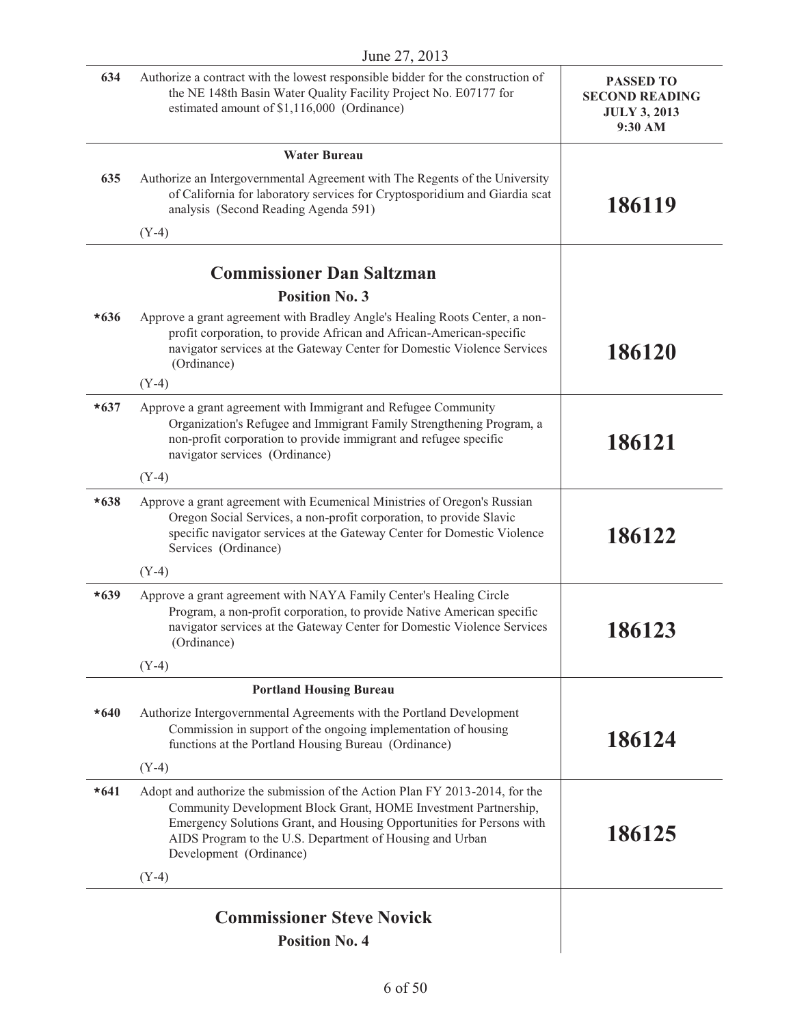|        | June 27, 2013                                                                                                                                                                                                                                                                                                  |                                                                             |
|--------|----------------------------------------------------------------------------------------------------------------------------------------------------------------------------------------------------------------------------------------------------------------------------------------------------------------|-----------------------------------------------------------------------------|
| 634    | Authorize a contract with the lowest responsible bidder for the construction of<br>the NE 148th Basin Water Quality Facility Project No. E07177 for<br>estimated amount of \$1,116,000 (Ordinance)                                                                                                             | <b>PASSED TO</b><br><b>SECOND READING</b><br><b>JULY 3, 2013</b><br>9:30 AM |
|        | <b>Water Bureau</b>                                                                                                                                                                                                                                                                                            |                                                                             |
| 635    | Authorize an Intergovernmental Agreement with The Regents of the University<br>of California for laboratory services for Cryptosporidium and Giardia scat<br>analysis (Second Reading Agenda 591)                                                                                                              | 186119                                                                      |
|        | $(Y-4)$                                                                                                                                                                                                                                                                                                        |                                                                             |
|        |                                                                                                                                                                                                                                                                                                                |                                                                             |
|        | <b>Commissioner Dan Saltzman</b>                                                                                                                                                                                                                                                                               |                                                                             |
|        | <b>Position No. 3</b>                                                                                                                                                                                                                                                                                          |                                                                             |
| $*636$ | Approve a grant agreement with Bradley Angle's Healing Roots Center, a non-<br>profit corporation, to provide African and African-American-specific<br>navigator services at the Gateway Center for Domestic Violence Services<br>(Ordinance)                                                                  | 186120                                                                      |
|        | $(Y-4)$                                                                                                                                                                                                                                                                                                        |                                                                             |
| $*637$ | Approve a grant agreement with Immigrant and Refugee Community<br>Organization's Refugee and Immigrant Family Strengthening Program, a<br>non-profit corporation to provide immigrant and refugee specific<br>navigator services (Ordinance)                                                                   | 186121                                                                      |
|        | $(Y-4)$                                                                                                                                                                                                                                                                                                        |                                                                             |
| $*638$ | Approve a grant agreement with Ecumenical Ministries of Oregon's Russian<br>Oregon Social Services, a non-profit corporation, to provide Slavic<br>specific navigator services at the Gateway Center for Domestic Violence<br>Services (Ordinance)                                                             | 186122                                                                      |
|        | $(Y-4)$                                                                                                                                                                                                                                                                                                        |                                                                             |
| $*639$ | Approve a grant agreement with NAYA Family Center's Healing Circle<br>Program, a non-profit corporation, to provide Native American specific<br>navigator services at the Gateway Center for Domestic Violence Services<br>(Ordinance)                                                                         | 186123                                                                      |
|        | $(Y-4)$                                                                                                                                                                                                                                                                                                        |                                                                             |
|        | <b>Portland Housing Bureau</b>                                                                                                                                                                                                                                                                                 |                                                                             |
| $*640$ | Authorize Intergovernmental Agreements with the Portland Development<br>Commission in support of the ongoing implementation of housing<br>functions at the Portland Housing Bureau (Ordinance)                                                                                                                 | 186124                                                                      |
|        | $(Y-4)$                                                                                                                                                                                                                                                                                                        |                                                                             |
| $*641$ | Adopt and authorize the submission of the Action Plan FY 2013-2014, for the<br>Community Development Block Grant, HOME Investment Partnership,<br>Emergency Solutions Grant, and Housing Opportunities for Persons with<br>AIDS Program to the U.S. Department of Housing and Urban<br>Development (Ordinance) | 186125                                                                      |
|        | $(Y-4)$                                                                                                                                                                                                                                                                                                        |                                                                             |
|        |                                                                                                                                                                                                                                                                                                                |                                                                             |
|        | <b>Commissioner Steve Novick</b>                                                                                                                                                                                                                                                                               |                                                                             |
|        | <b>Position No. 4</b>                                                                                                                                                                                                                                                                                          |                                                                             |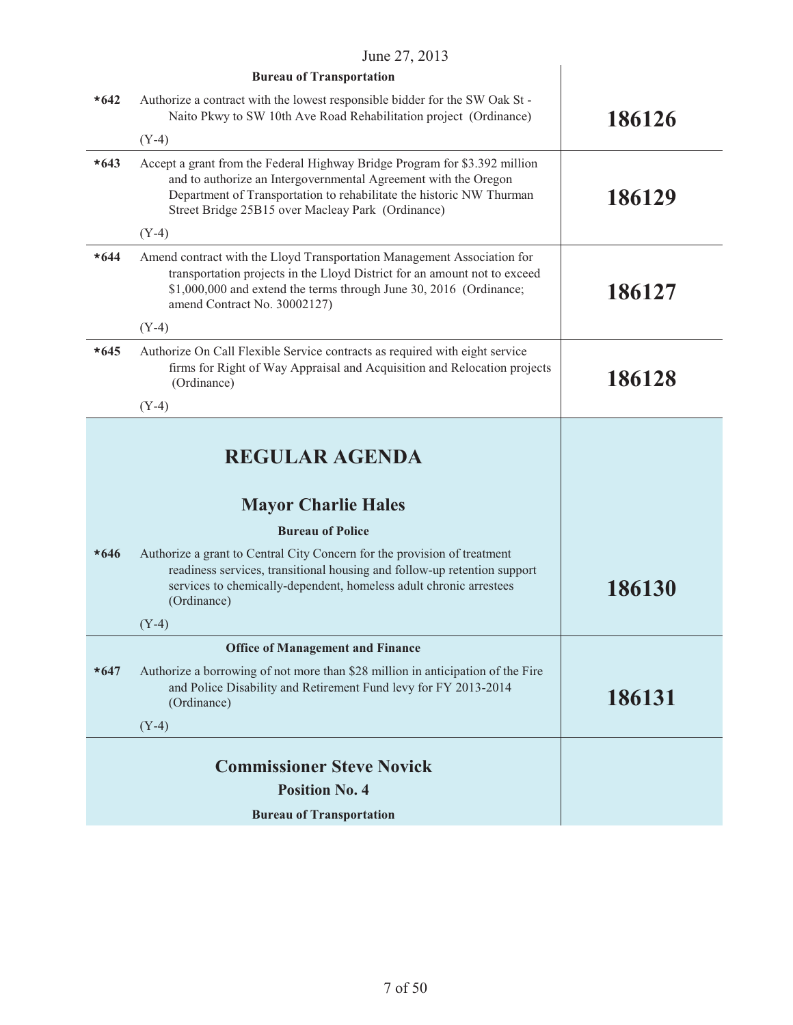|        | June 27, 2013                                                                                                                                                                                                                                                              |        |
|--------|----------------------------------------------------------------------------------------------------------------------------------------------------------------------------------------------------------------------------------------------------------------------------|--------|
|        | <b>Bureau of Transportation</b>                                                                                                                                                                                                                                            |        |
| $*642$ | Authorize a contract with the lowest responsible bidder for the SW Oak St -<br>Naito Pkwy to SW 10th Ave Road Rehabilitation project (Ordinance)                                                                                                                           | 186126 |
|        | $(Y-4)$                                                                                                                                                                                                                                                                    |        |
| $*643$ | Accept a grant from the Federal Highway Bridge Program for \$3.392 million<br>and to authorize an Intergovernmental Agreement with the Oregon<br>Department of Transportation to rehabilitate the historic NW Thurman<br>Street Bridge 25B15 over Macleay Park (Ordinance) | 186129 |
|        | $(Y-4)$                                                                                                                                                                                                                                                                    |        |
| $*644$ | Amend contract with the Lloyd Transportation Management Association for<br>transportation projects in the Lloyd District for an amount not to exceed<br>\$1,000,000 and extend the terms through June 30, 2016 (Ordinance;<br>amend Contract No. 30002127)                 | 186127 |
|        | $(Y-4)$                                                                                                                                                                                                                                                                    |        |
| $*645$ | Authorize On Call Flexible Service contracts as required with eight service<br>firms for Right of Way Appraisal and Acquisition and Relocation projects<br>(Ordinance)                                                                                                     | 186128 |
|        | $(Y-4)$                                                                                                                                                                                                                                                                    |        |
|        | <b>REGULAR AGENDA</b><br><b>Mayor Charlie Hales</b>                                                                                                                                                                                                                        |        |
|        | <b>Bureau of Police</b>                                                                                                                                                                                                                                                    |        |
| $*646$ | Authorize a grant to Central City Concern for the provision of treatment<br>readiness services, transitional housing and follow-up retention support<br>services to chemically-dependent, homeless adult chronic arrestees<br>(Ordinance)                                  | 186130 |
|        | $(Y-4)$                                                                                                                                                                                                                                                                    |        |
|        | <b>Office of Management and Finance</b>                                                                                                                                                                                                                                    |        |
| $*647$ | Authorize a borrowing of not more than \$28 million in anticipation of the Fire<br>and Police Disability and Retirement Fund levy for FY 2013-2014<br>(Ordinance)                                                                                                          | 186131 |
|        | $(Y-4)$                                                                                                                                                                                                                                                                    |        |
|        |                                                                                                                                                                                                                                                                            |        |
|        | <b>Commissioner Steve Novick</b>                                                                                                                                                                                                                                           |        |
|        | <b>Position No. 4</b>                                                                                                                                                                                                                                                      |        |
|        | <b>Bureau of Transportation</b>                                                                                                                                                                                                                                            |        |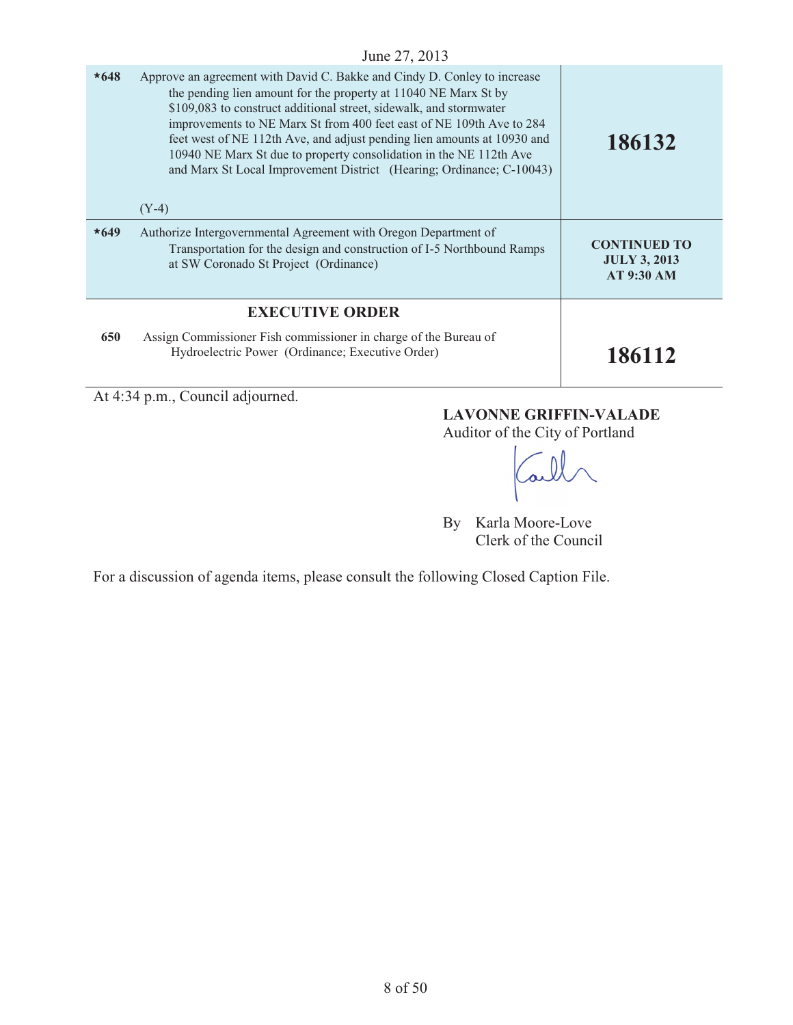| $*648$ | Approve an agreement with David C. Bakke and Cindy D. Conley to increase<br>the pending lien amount for the property at 11040 NE Marx St by<br>\$109,083 to construct additional street, sidewalk, and stormwater<br>improvements to NE Marx St from 400 feet east of NE 109th Ave to 284<br>feet west of NE 112th Ave, and adjust pending lien amounts at 10930 and<br>10940 NE Marx St due to property consolidation in the NE 112th Ave<br>and Marx St Local Improvement District (Hearing; Ordinance; C-10043)<br>$(Y-4)$ | 186132                                                          |
|--------|-------------------------------------------------------------------------------------------------------------------------------------------------------------------------------------------------------------------------------------------------------------------------------------------------------------------------------------------------------------------------------------------------------------------------------------------------------------------------------------------------------------------------------|-----------------------------------------------------------------|
| $*649$ | Authorize Intergovernmental Agreement with Oregon Department of<br>Transportation for the design and construction of I-5 Northbound Ramps<br>at SW Coronado St Project (Ordinance)                                                                                                                                                                                                                                                                                                                                            | <b>CONTINUED TO</b><br><b>JULY 3, 2013</b><br><b>AT 9:30 AM</b> |
|        | <b>EXECUTIVE ORDER</b>                                                                                                                                                                                                                                                                                                                                                                                                                                                                                                        |                                                                 |
| 650    | Assign Commissioner Fish commissioner in charge of the Bureau of<br>Hydroelectric Power (Ordinance; Executive Order)                                                                                                                                                                                                                                                                                                                                                                                                          | 186112                                                          |

At 4:34 p.m., Council adjourned.

# **LAVONNE GRIFFIN-VALADE**

Auditor of the City of Portland

By Karla Moore-Love Clerk of the Council

For a discussion of agenda items, please consult the following Closed Caption File.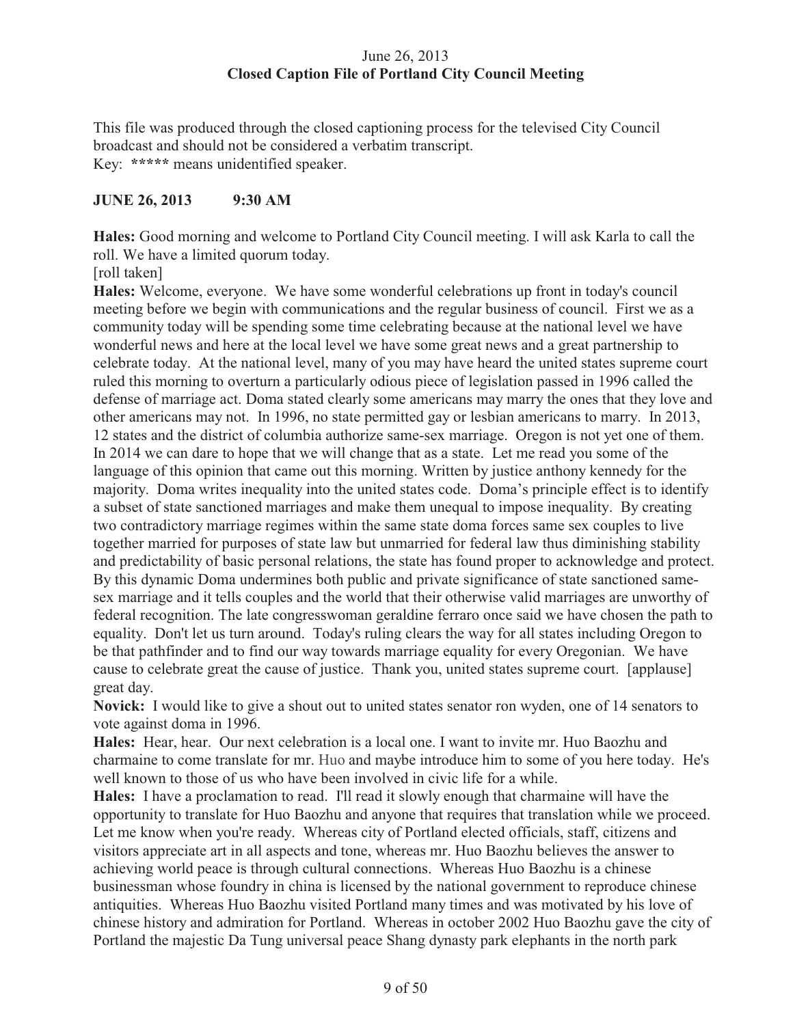# June 26, 2013 **Closed Caption File of Portland City Council Meeting**

This file was produced through the closed captioning process for the televised City Council broadcast and should not be considered a verbatim transcript. Key: **\*\*\*\*\*** means unidentified speaker.

# **JUNE 26, 2013 9:30 AM**

**Hales:** Good morning and welcome to Portland City Council meeting. I will ask Karla to call the roll. We have a limited quorum today.

[roll taken]

**Hales:** Welcome, everyone. We have some wonderful celebrations up front in today's council meeting before we begin with communications and the regular business of council. First we as a community today will be spending some time celebrating because at the national level we have wonderful news and here at the local level we have some great news and a great partnership to celebrate today. At the national level, many of you may have heard the united states supreme court ruled this morning to overturn a particularly odious piece of legislation passed in 1996 called the defense of marriage act. Doma stated clearly some americans may marry the ones that they love and other americans may not. In 1996, no state permitted gay or lesbian americans to marry. In 2013, 12 states and the district of columbia authorize same-sex marriage. Oregon is not yet one of them. In 2014 we can dare to hope that we will change that as a state. Let me read you some of the language of this opinion that came out this morning. Written by justice anthony kennedy for the majority. Doma writes inequality into the united states code. Doma's principle effect is to identify a subset of state sanctioned marriages and make them unequal to impose inequality. By creating two contradictory marriage regimes within the same state doma forces same sex couples to live together married for purposes of state law but unmarried for federal law thus diminishing stability and predictability of basic personal relations, the state has found proper to acknowledge and protect. By this dynamic Doma undermines both public and private significance of state sanctioned samesex marriage and it tells couples and the world that their otherwise valid marriages are unworthy of federal recognition. The late congresswoman geraldine ferraro once said we have chosen the path to equality. Don't let us turn around. Today's ruling clears the way for all states including Oregon to be that pathfinder and to find our way towards marriage equality for every Oregonian. We have cause to celebrate great the cause of justice. Thank you, united states supreme court. [applause] great day.

**Novick:** I would like to give a shout out to united states senator ron wyden, one of 14 senators to vote against doma in 1996.

**Hales:** Hear, hear. Our next celebration is a local one. I want to invite mr. Huo Baozhu and charmaine to come translate for mr. Huo and maybe introduce him to some of you here today. He's well known to those of us who have been involved in civic life for a while.

**Hales:** I have a proclamation to read. I'll read it slowly enough that charmaine will have the opportunity to translate for Huo Baozhu and anyone that requires that translation while we proceed. Let me know when you're ready. Whereas city of Portland elected officials, staff, citizens and visitors appreciate art in all aspects and tone, whereas mr. Huo Baozhu believes the answer to achieving world peace is through cultural connections. Whereas Huo Baozhu is a chinese businessman whose foundry in china is licensed by the national government to reproduce chinese antiquities. Whereas Huo Baozhu visited Portland many times and was motivated by his love of chinese history and admiration for Portland. Whereas in october 2002 Huo Baozhu gave the city of Portland the majestic Da Tung universal peace Shang dynasty park elephants in the north park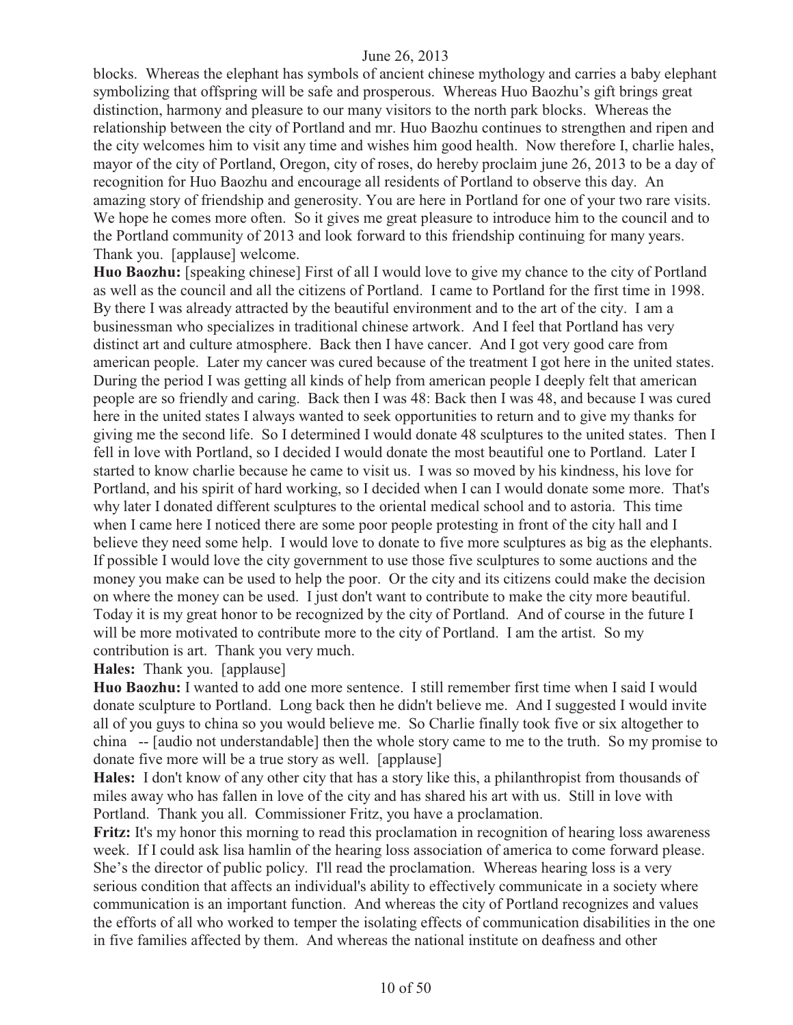blocks. Whereas the elephant has symbols of ancient chinese mythology and carries a baby elephant symbolizing that offspring will be safe and prosperous. Whereas Huo Baozhu's gift brings great distinction, harmony and pleasure to our many visitors to the north park blocks. Whereas the relationship between the city of Portland and mr. Huo Baozhu continues to strengthen and ripen and the city welcomes him to visit any time and wishes him good health. Now therefore I, charlie hales, mayor of the city of Portland, Oregon, city of roses, do hereby proclaim june 26, 2013 to be a day of recognition for Huo Baozhu and encourage all residents of Portland to observe this day. An amazing story of friendship and generosity. You are here in Portland for one of your two rare visits. We hope he comes more often. So it gives me great pleasure to introduce him to the council and to the Portland community of 2013 and look forward to this friendship continuing for many years. Thank you. [applause] welcome.

**Huo Baozhu:** [speaking chinese] First of all I would love to give my chance to the city of Portland as well as the council and all the citizens of Portland. I came to Portland for the first time in 1998. By there I was already attracted by the beautiful environment and to the art of the city. I am a businessman who specializes in traditional chinese artwork. And I feel that Portland has very distinct art and culture atmosphere. Back then I have cancer. And I got very good care from american people. Later my cancer was cured because of the treatment I got here in the united states. During the period I was getting all kinds of help from american people I deeply felt that american people are so friendly and caring. Back then I was 48: Back then I was 48, and because I was cured here in the united states I always wanted to seek opportunities to return and to give my thanks for giving me the second life. So I determined I would donate 48 sculptures to the united states. Then I fell in love with Portland, so I decided I would donate the most beautiful one to Portland. Later I started to know charlie because he came to visit us. I was so moved by his kindness, his love for Portland, and his spirit of hard working, so I decided when I can I would donate some more. That's why later I donated different sculptures to the oriental medical school and to astoria. This time when I came here I noticed there are some poor people protesting in front of the city hall and I believe they need some help. I would love to donate to five more sculptures as big as the elephants. If possible I would love the city government to use those five sculptures to some auctions and the money you make can be used to help the poor. Or the city and its citizens could make the decision on where the money can be used. I just don't want to contribute to make the city more beautiful. Today it is my great honor to be recognized by the city of Portland. And of course in the future I will be more motivated to contribute more to the city of Portland. I am the artist. So my contribution is art. Thank you very much.

#### **Hales:** Thank you. [applause]

**Huo Baozhu:** I wanted to add one more sentence. I still remember first time when I said I would donate sculpture to Portland. Long back then he didn't believe me. And I suggested I would invite all of you guys to china so you would believe me. So Charlie finally took five or six altogether to china -- [audio not understandable] then the whole story came to me to the truth. So my promise to donate five more will be a true story as well. [applause]

**Hales:** I don't know of any other city that has a story like this, a philanthropist from thousands of miles away who has fallen in love of the city and has shared his art with us. Still in love with Portland. Thank you all. Commissioner Fritz, you have a proclamation.

**Fritz:** It's my honor this morning to read this proclamation in recognition of hearing loss awareness week. If I could ask lisa hamlin of the hearing loss association of america to come forward please. She's the director of public policy. I'll read the proclamation. Whereas hearing loss is a very serious condition that affects an individual's ability to effectively communicate in a society where communication is an important function. And whereas the city of Portland recognizes and values the efforts of all who worked to temper the isolating effects of communication disabilities in the one in five families affected by them. And whereas the national institute on deafness and other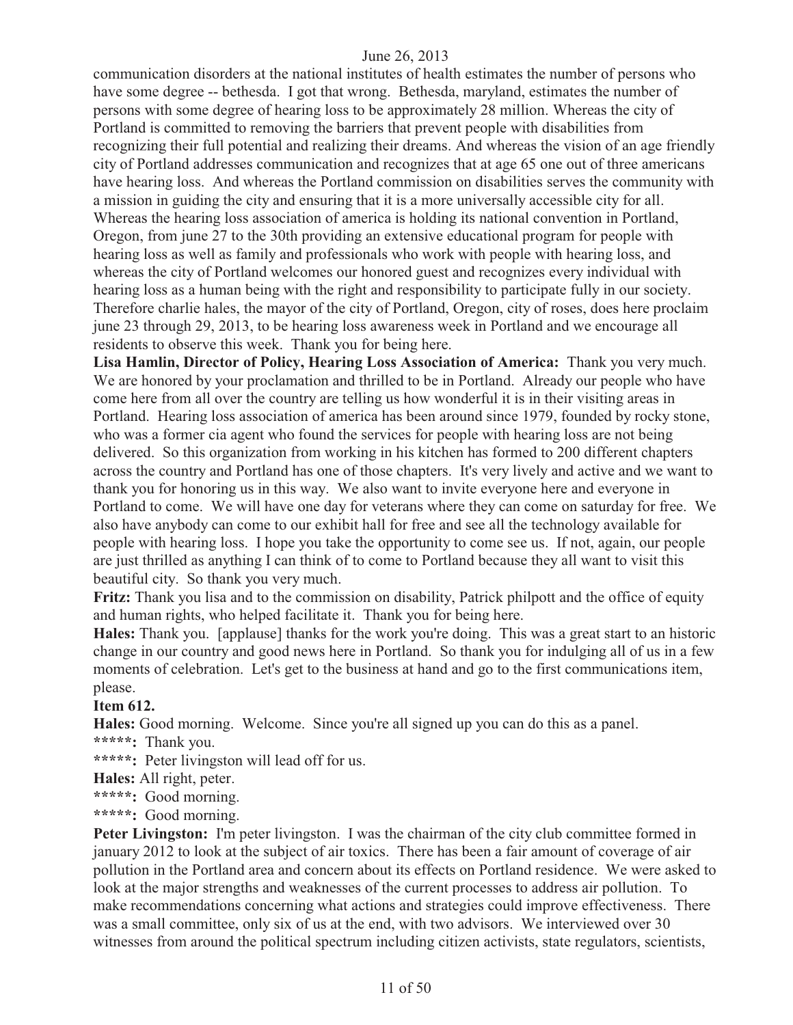communication disorders at the national institutes of health estimates the number of persons who have some degree -- bethesda. I got that wrong. Bethesda, maryland, estimates the number of persons with some degree of hearing loss to be approximately 28 million. Whereas the city of Portland is committed to removing the barriers that prevent people with disabilities from recognizing their full potential and realizing their dreams. And whereas the vision of an age friendly city of Portland addresses communication and recognizes that at age 65 one out of three americans have hearing loss. And whereas the Portland commission on disabilities serves the community with a mission in guiding the city and ensuring that it is a more universally accessible city for all. Whereas the hearing loss association of america is holding its national convention in Portland, Oregon, from june 27 to the 30th providing an extensive educational program for people with hearing loss as well as family and professionals who work with people with hearing loss, and whereas the city of Portland welcomes our honored guest and recognizes every individual with hearing loss as a human being with the right and responsibility to participate fully in our society. Therefore charlie hales, the mayor of the city of Portland, Oregon, city of roses, does here proclaim june 23 through 29, 2013, to be hearing loss awareness week in Portland and we encourage all residents to observe this week. Thank you for being here.

**Lisa Hamlin, Director of Policy, Hearing Loss Association of America:** Thank you very much. We are honored by your proclamation and thrilled to be in Portland. Already our people who have come here from all over the country are telling us how wonderful it is in their visiting areas in Portland. Hearing loss association of america has been around since 1979, founded by rocky stone, who was a former cia agent who found the services for people with hearing loss are not being delivered. So this organization from working in his kitchen has formed to 200 different chapters across the country and Portland has one of those chapters. It's very lively and active and we want to thank you for honoring us in this way. We also want to invite everyone here and everyone in Portland to come. We will have one day for veterans where they can come on saturday for free. We also have anybody can come to our exhibit hall for free and see all the technology available for people with hearing loss. I hope you take the opportunity to come see us. If not, again, our people are just thrilled as anything I can think of to come to Portland because they all want to visit this beautiful city. So thank you very much.

**Fritz:** Thank you lisa and to the commission on disability, Patrick philpott and the office of equity and human rights, who helped facilitate it. Thank you for being here.

**Hales:** Thank you. [applause] thanks for the work you're doing. This was a great start to an historic change in our country and good news here in Portland. So thank you for indulging all of us in a few moments of celebration. Let's get to the business at hand and go to the first communications item, please.

#### **Item 612.**

**Hales:** Good morning. Welcome. Since you're all signed up you can do this as a panel.

**\*\*\*\*\*:** Thank you.

**\*\*\*\*\*:** Peter livingston will lead off for us.

**Hales:** All right, peter.

**\*\*\*\*\*:** Good morning.

**\*\*\*\*\*:** Good morning.

**Peter Livingston:** I'm peter livingston. I was the chairman of the city club committee formed in january 2012 to look at the subject of air toxics. There has been a fair amount of coverage of air pollution in the Portland area and concern about its effects on Portland residence. We were asked to look at the major strengths and weaknesses of the current processes to address air pollution. To make recommendations concerning what actions and strategies could improve effectiveness. There was a small committee, only six of us at the end, with two advisors. We interviewed over 30 witnesses from around the political spectrum including citizen activists, state regulators, scientists,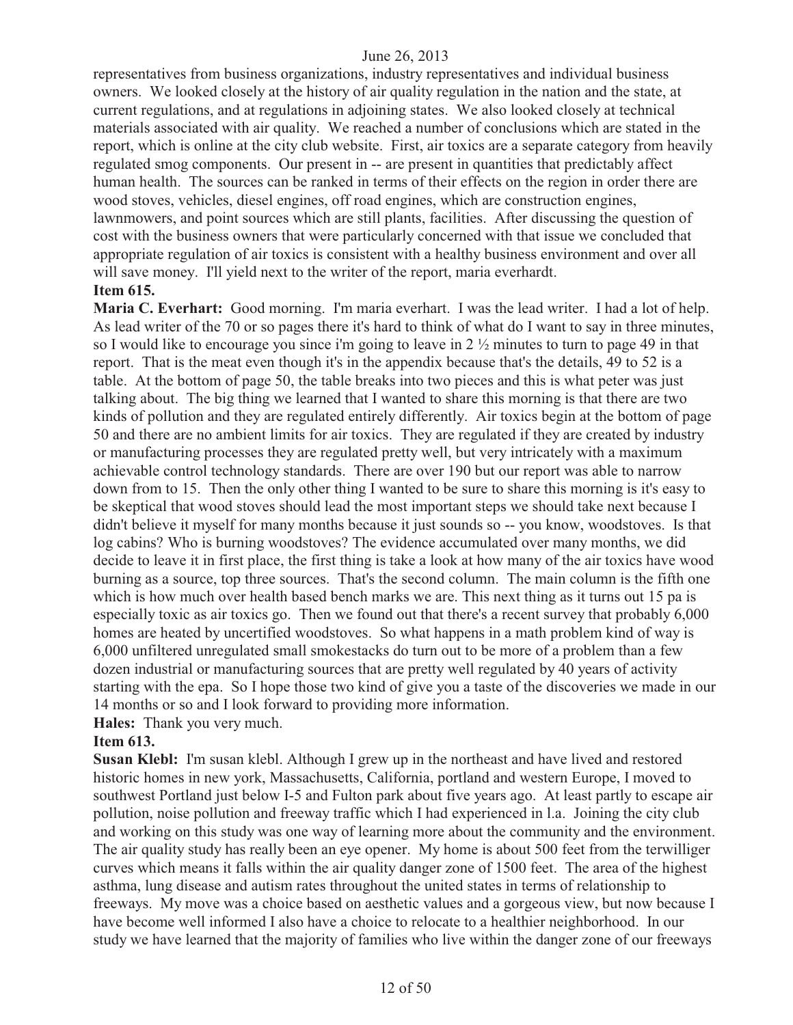representatives from business organizations, industry representatives and individual business owners. We looked closely at the history of air quality regulation in the nation and the state, at current regulations, and at regulations in adjoining states. We also looked closely at technical materials associated with air quality. We reached a number of conclusions which are stated in the report, which is online at the city club website. First, air toxics are a separate category from heavily regulated smog components. Our present in -- are present in quantities that predictably affect human health. The sources can be ranked in terms of their effects on the region in order there are wood stoves, vehicles, diesel engines, off road engines, which are construction engines, lawnmowers, and point sources which are still plants, facilities. After discussing the question of cost with the business owners that were particularly concerned with that issue we concluded that appropriate regulation of air toxics is consistent with a healthy business environment and over all will save money. I'll yield next to the writer of the report, maria everhardt.

#### **Item 615.**

**Maria C. Everhart:** Good morning. I'm maria everhart. I was the lead writer. I had a lot of help. As lead writer of the 70 or so pages there it's hard to think of what do I want to say in three minutes, so I would like to encourage you since i'm going to leave in 2 ½ minutes to turn to page 49 in that report. That is the meat even though it's in the appendix because that's the details, 49 to 52 is a table. At the bottom of page 50, the table breaks into two pieces and this is what peter was just talking about. The big thing we learned that I wanted to share this morning is that there are two kinds of pollution and they are regulated entirely differently. Air toxics begin at the bottom of page 50 and there are no ambient limits for air toxics. They are regulated if they are created by industry or manufacturing processes they are regulated pretty well, but very intricately with a maximum achievable control technology standards. There are over 190 but our report was able to narrow down from to 15. Then the only other thing I wanted to be sure to share this morning is it's easy to be skeptical that wood stoves should lead the most important steps we should take next because I didn't believe it myself for many months because it just sounds so -- you know, woodstoves. Is that log cabins? Who is burning woodstoves? The evidence accumulated over many months, we did decide to leave it in first place, the first thing is take a look at how many of the air toxics have wood burning as a source, top three sources. That's the second column. The main column is the fifth one which is how much over health based bench marks we are. This next thing as it turns out 15 pa is especially toxic as air toxics go. Then we found out that there's a recent survey that probably 6,000 homes are heated by uncertified woodstoves. So what happens in a math problem kind of way is 6,000 unfiltered unregulated small smokestacks do turn out to be more of a problem than a few dozen industrial or manufacturing sources that are pretty well regulated by 40 years of activity starting with the epa. So I hope those two kind of give you a taste of the discoveries we made in our 14 months or so and I look forward to providing more information.

#### **Hales:** Thank you very much.

#### **Item 613.**

**Susan Klebl:** I'm susan klebl. Although I grew up in the northeast and have lived and restored historic homes in new york, Massachusetts, California, portland and western Europe, I moved to southwest Portland just below I-5 and Fulton park about five years ago. At least partly to escape air pollution, noise pollution and freeway traffic which I had experienced in l.a. Joining the city club and working on this study was one way of learning more about the community and the environment. The air quality study has really been an eye opener. My home is about 500 feet from the terwilliger curves which means it falls within the air quality danger zone of 1500 feet. The area of the highest asthma, lung disease and autism rates throughout the united states in terms of relationship to freeways. My move was a choice based on aesthetic values and a gorgeous view, but now because I have become well informed I also have a choice to relocate to a healthier neighborhood. In our study we have learned that the majority of families who live within the danger zone of our freeways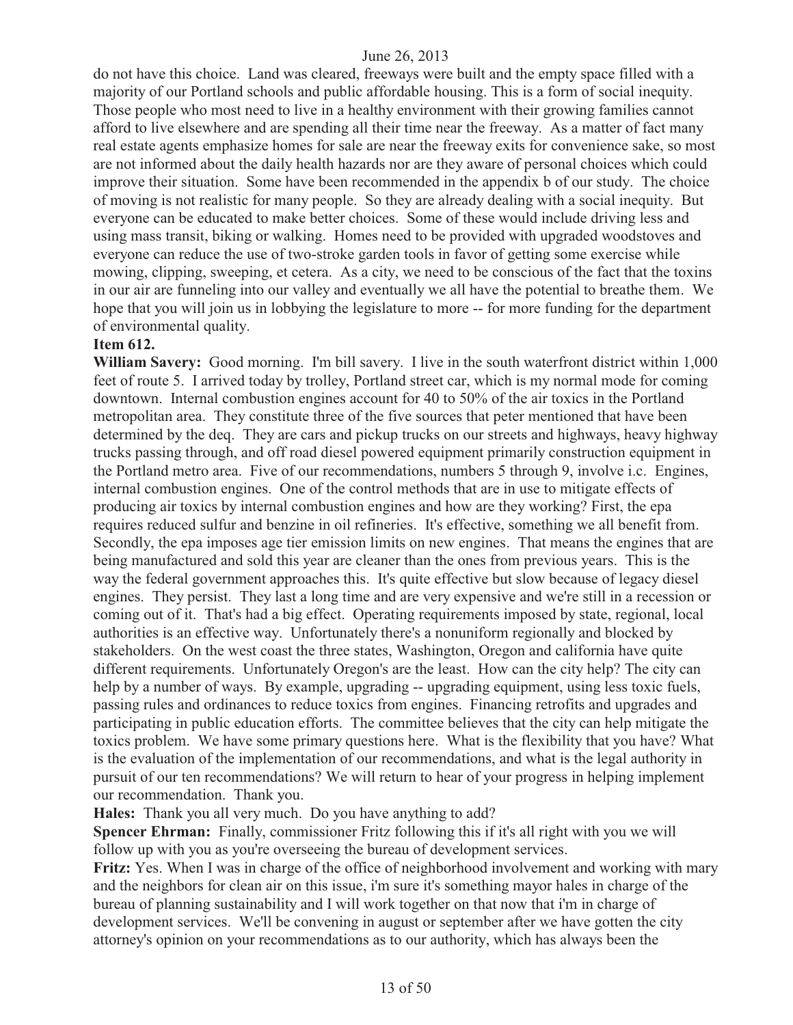do not have this choice. Land was cleared, freeways were built and the empty space filled with a majority of our Portland schools and public affordable housing. This is a form of social inequity. Those people who most need to live in a healthy environment with their growing families cannot afford to live elsewhere and are spending all their time near the freeway. As a matter of fact many real estate agents emphasize homes for sale are near the freeway exits for convenience sake, so most are not informed about the daily health hazards nor are they aware of personal choices which could improve their situation. Some have been recommended in the appendix b of our study. The choice of moving is not realistic for many people. So they are already dealing with a social inequity. But everyone can be educated to make better choices. Some of these would include driving less and using mass transit, biking or walking. Homes need to be provided with upgraded woodstoves and everyone can reduce the use of two-stroke garden tools in favor of getting some exercise while mowing, clipping, sweeping, et cetera. As a city, we need to be conscious of the fact that the toxins in our air are funneling into our valley and eventually we all have the potential to breathe them. We hope that you will join us in lobbying the legislature to more -- for more funding for the department of environmental quality.

#### **Item 612.**

**William Savery:** Good morning. I'm bill savery. I live in the south waterfront district within 1,000 feet of route 5. I arrived today by trolley, Portland street car, which is my normal mode for coming downtown. Internal combustion engines account for 40 to 50% of the air toxics in the Portland metropolitan area. They constitute three of the five sources that peter mentioned that have been determined by the deq. They are cars and pickup trucks on our streets and highways, heavy highway trucks passing through, and off road diesel powered equipment primarily construction equipment in the Portland metro area. Five of our recommendations, numbers 5 through 9, involve i.c. Engines, internal combustion engines. One of the control methods that are in use to mitigate effects of producing air toxics by internal combustion engines and how are they working? First, the epa requires reduced sulfur and benzine in oil refineries. It's effective, something we all benefit from. Secondly, the epa imposes age tier emission limits on new engines. That means the engines that are being manufactured and sold this year are cleaner than the ones from previous years. This is the way the federal government approaches this. It's quite effective but slow because of legacy diesel engines. They persist. They last a long time and are very expensive and we're still in a recession or coming out of it. That's had a big effect. Operating requirements imposed by state, regional, local authorities is an effective way. Unfortunately there's a nonuniform regionally and blocked by stakeholders. On the west coast the three states, Washington, Oregon and california have quite different requirements. Unfortunately Oregon's are the least. How can the city help? The city can help by a number of ways. By example, upgrading -- upgrading equipment, using less toxic fuels, passing rules and ordinances to reduce toxics from engines. Financing retrofits and upgrades and participating in public education efforts. The committee believes that the city can help mitigate the toxics problem. We have some primary questions here. What is the flexibility that you have? What is the evaluation of the implementation of our recommendations, and what is the legal authority in pursuit of our ten recommendations? We will return to hear of your progress in helping implement our recommendation. Thank you.

**Hales:** Thank you all very much. Do you have anything to add?

**Spencer Ehrman:** Finally, commissioner Fritz following this if it's all right with you we will follow up with you as you're overseeing the bureau of development services.

**Fritz:** Yes. When I was in charge of the office of neighborhood involvement and working with mary and the neighbors for clean air on this issue, i'm sure it's something mayor hales in charge of the bureau of planning sustainability and I will work together on that now that i'm in charge of development services. We'll be convening in august or september after we have gotten the city attorney's opinion on your recommendations as to our authority, which has always been the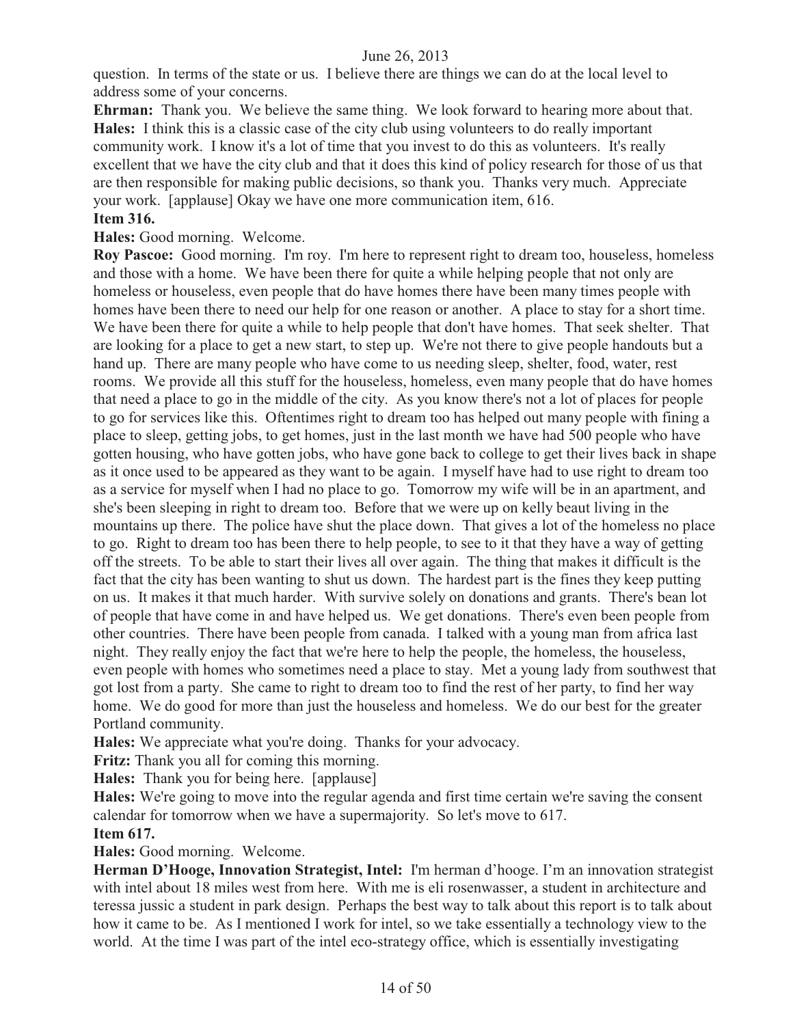question. In terms of the state or us. I believe there are things we can do at the local level to address some of your concerns.

**Ehrman:** Thank you. We believe the same thing. We look forward to hearing more about that. **Hales:** I think this is a classic case of the city club using volunteers to do really important community work. I know it's a lot of time that you invest to do this as volunteers. It's really excellent that we have the city club and that it does this kind of policy research for those of us that are then responsible for making public decisions, so thank you. Thanks very much. Appreciate your work. [applause] Okay we have one more communication item, 616.

#### **Item 316.**

**Hales:** Good morning. Welcome.

**Roy Pascoe:** Good morning. I'm roy. I'm here to represent right to dream too, houseless, homeless and those with a home. We have been there for quite a while helping people that not only are homeless or houseless, even people that do have homes there have been many times people with homes have been there to need our help for one reason or another. A place to stay for a short time. We have been there for quite a while to help people that don't have homes. That seek shelter. That are looking for a place to get a new start, to step up. We're not there to give people handouts but a hand up. There are many people who have come to us needing sleep, shelter, food, water, rest rooms. We provide all this stuff for the houseless, homeless, even many people that do have homes that need a place to go in the middle of the city. As you know there's not a lot of places for people to go for services like this. Oftentimes right to dream too has helped out many people with fining a place to sleep, getting jobs, to get homes, just in the last month we have had 500 people who have gotten housing, who have gotten jobs, who have gone back to college to get their lives back in shape as it once used to be appeared as they want to be again. I myself have had to use right to dream too as a service for myself when I had no place to go. Tomorrow my wife will be in an apartment, and she's been sleeping in right to dream too. Before that we were up on kelly beaut living in the mountains up there. The police have shut the place down. That gives a lot of the homeless no place to go. Right to dream too has been there to help people, to see to it that they have a way of getting off the streets. To be able to start their lives all over again. The thing that makes it difficult is the fact that the city has been wanting to shut us down. The hardest part is the fines they keep putting on us. It makes it that much harder. With survive solely on donations and grants. There's bean lot of people that have come in and have helped us. We get donations. There's even been people from other countries. There have been people from canada. I talked with a young man from africa last night. They really enjoy the fact that we're here to help the people, the homeless, the houseless, even people with homes who sometimes need a place to stay. Met a young lady from southwest that got lost from a party. She came to right to dream too to find the rest of her party, to find her way home. We do good for more than just the houseless and homeless. We do our best for the greater Portland community.

**Hales:** We appreciate what you're doing. Thanks for your advocacy.

Fritz: Thank you all for coming this morning.

**Hales:** Thank you for being here. [applause]

**Hales:** We're going to move into the regular agenda and first time certain we're saving the consent calendar for tomorrow when we have a supermajority. So let's move to 617.

# **Item 617.**

**Hales:** Good morning. Welcome.

**Herman D'Hooge, Innovation Strategist, Intel:** I'm herman d'hooge. I'm an innovation strategist with intel about 18 miles west from here. With me is eli rosenwasser, a student in architecture and teressa jussic a student in park design. Perhaps the best way to talk about this report is to talk about how it came to be. As I mentioned I work for intel, so we take essentially a technology view to the world. At the time I was part of the intel eco-strategy office, which is essentially investigating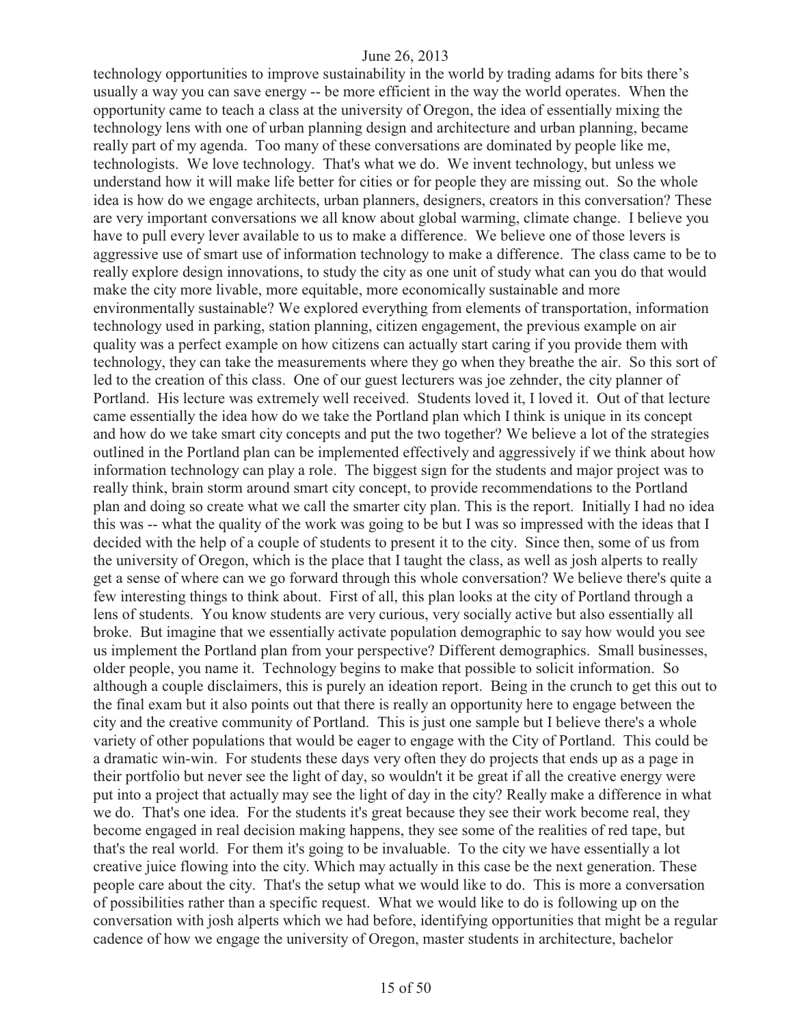technology opportunities to improve sustainability in the world by trading adams for bits there's usually a way you can save energy -- be more efficient in the way the world operates. When the opportunity came to teach a class at the university of Oregon, the idea of essentially mixing the technology lens with one of urban planning design and architecture and urban planning, became really part of my agenda. Too many of these conversations are dominated by people like me, technologists. We love technology. That's what we do. We invent technology, but unless we understand how it will make life better for cities or for people they are missing out. So the whole idea is how do we engage architects, urban planners, designers, creators in this conversation? These are very important conversations we all know about global warming, climate change. I believe you have to pull every lever available to us to make a difference. We believe one of those levers is aggressive use of smart use of information technology to make a difference. The class came to be to really explore design innovations, to study the city as one unit of study what can you do that would make the city more livable, more equitable, more economically sustainable and more environmentally sustainable? We explored everything from elements of transportation, information technology used in parking, station planning, citizen engagement, the previous example on air quality was a perfect example on how citizens can actually start caring if you provide them with technology, they can take the measurements where they go when they breathe the air. So this sort of led to the creation of this class. One of our guest lecturers was joe zehnder, the city planner of Portland. His lecture was extremely well received. Students loved it, I loved it. Out of that lecture came essentially the idea how do we take the Portland plan which I think is unique in its concept and how do we take smart city concepts and put the two together? We believe a lot of the strategies outlined in the Portland plan can be implemented effectively and aggressively if we think about how information technology can play a role. The biggest sign for the students and major project was to really think, brain storm around smart city concept, to provide recommendations to the Portland plan and doing so create what we call the smarter city plan. This is the report. Initially I had no idea this was -- what the quality of the work was going to be but I was so impressed with the ideas that I decided with the help of a couple of students to present it to the city. Since then, some of us from the university of Oregon, which is the place that I taught the class, as well as josh alperts to really get a sense of where can we go forward through this whole conversation? We believe there's quite a few interesting things to think about. First of all, this plan looks at the city of Portland through a lens of students. You know students are very curious, very socially active but also essentially all broke. But imagine that we essentially activate population demographic to say how would you see us implement the Portland plan from your perspective? Different demographics. Small businesses, older people, you name it. Technology begins to make that possible to solicit information. So although a couple disclaimers, this is purely an ideation report. Being in the crunch to get this out to the final exam but it also points out that there is really an opportunity here to engage between the city and the creative community of Portland. This is just one sample but I believe there's a whole variety of other populations that would be eager to engage with the City of Portland. This could be a dramatic win-win. For students these days very often they do projects that ends up as a page in their portfolio but never see the light of day, so wouldn't it be great if all the creative energy were put into a project that actually may see the light of day in the city? Really make a difference in what we do. That's one idea. For the students it's great because they see their work become real, they become engaged in real decision making happens, they see some of the realities of red tape, but that's the real world. For them it's going to be invaluable. To the city we have essentially a lot creative juice flowing into the city. Which may actually in this case be the next generation. These people care about the city. That's the setup what we would like to do. This is more a conversation of possibilities rather than a specific request. What we would like to do is following up on the conversation with josh alperts which we had before, identifying opportunities that might be a regular cadence of how we engage the university of Oregon, master students in architecture, bachelor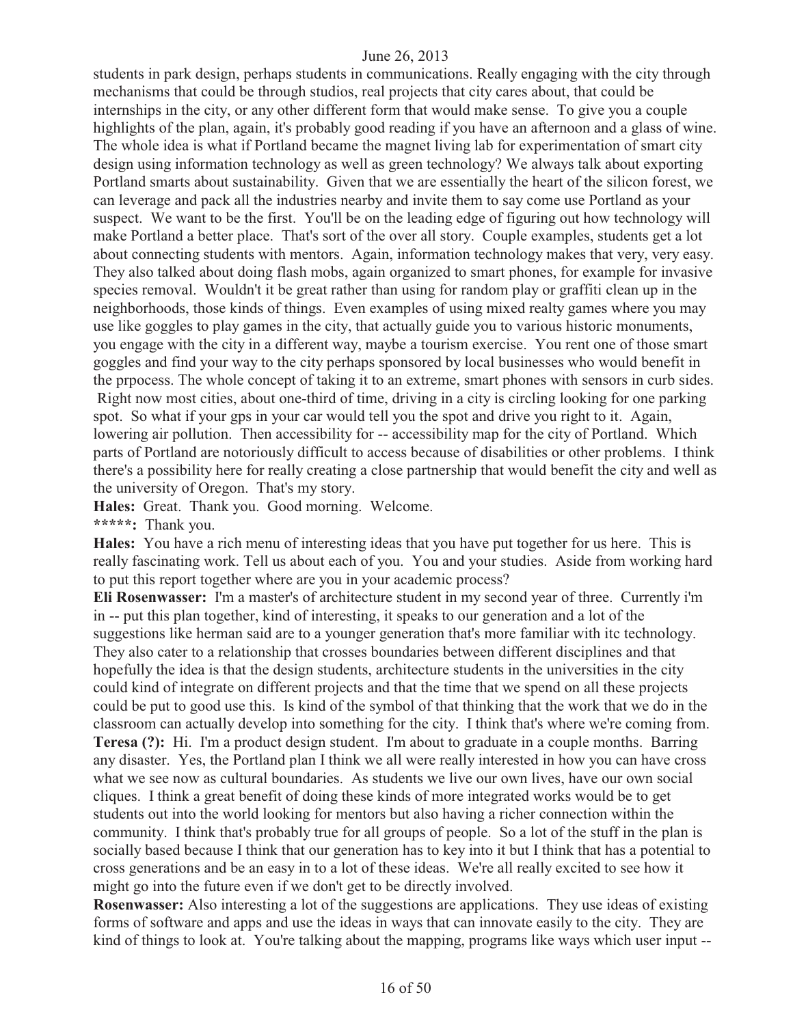students in park design, perhaps students in communications. Really engaging with the city through mechanisms that could be through studios, real projects that city cares about, that could be internships in the city, or any other different form that would make sense. To give you a couple highlights of the plan, again, it's probably good reading if you have an afternoon and a glass of wine. The whole idea is what if Portland became the magnet living lab for experimentation of smart city design using information technology as well as green technology? We always talk about exporting Portland smarts about sustainability. Given that we are essentially the heart of the silicon forest, we can leverage and pack all the industries nearby and invite them to say come use Portland as your suspect. We want to be the first. You'll be on the leading edge of figuring out how technology will make Portland a better place. That's sort of the over all story. Couple examples, students get a lot about connecting students with mentors. Again, information technology makes that very, very easy. They also talked about doing flash mobs, again organized to smart phones, for example for invasive species removal. Wouldn't it be great rather than using for random play or graffiti clean up in the neighborhoods, those kinds of things. Even examples of using mixed realty games where you may use like goggles to play games in the city, that actually guide you to various historic monuments, you engage with the city in a different way, maybe a tourism exercise. You rent one of those smart goggles and find your way to the city perhaps sponsored by local businesses who would benefit in the prpocess. The whole concept of taking it to an extreme, smart phones with sensors in curb sides. Right now most cities, about one-third of time, driving in a city is circling looking for one parking spot. So what if your gps in your car would tell you the spot and drive you right to it. Again, lowering air pollution. Then accessibility for -- accessibility map for the city of Portland. Which parts of Portland are notoriously difficult to access because of disabilities or other problems. I think there's a possibility here for really creating a close partnership that would benefit the city and well as the university of Oregon. That's my story.

**Hales:** Great. Thank you. Good morning. Welcome.

**\*\*\*\*\*:** Thank you.

**Hales:** You have a rich menu of interesting ideas that you have put together for us here. This is really fascinating work. Tell us about each of you. You and your studies. Aside from working hard to put this report together where are you in your academic process?

**Eli Rosenwasser:** I'm a master's of architecture student in my second year of three. Currently i'm in -- put this plan together, kind of interesting, it speaks to our generation and a lot of the suggestions like herman said are to a younger generation that's more familiar with itc technology. They also cater to a relationship that crosses boundaries between different disciplines and that hopefully the idea is that the design students, architecture students in the universities in the city could kind of integrate on different projects and that the time that we spend on all these projects could be put to good use this. Is kind of the symbol of that thinking that the work that we do in the classroom can actually develop into something for the city. I think that's where we're coming from. **Teresa (?):** Hi. I'm a product design student. I'm about to graduate in a couple months. Barring any disaster. Yes, the Portland plan I think we all were really interested in how you can have cross what we see now as cultural boundaries. As students we live our own lives, have our own social cliques. I think a great benefit of doing these kinds of more integrated works would be to get students out into the world looking for mentors but also having a richer connection within the community. I think that's probably true for all groups of people. So a lot of the stuff in the plan is socially based because I think that our generation has to key into it but I think that has a potential to cross generations and be an easy in to a lot of these ideas. We're all really excited to see how it might go into the future even if we don't get to be directly involved.

**Rosenwasser:** Also interesting a lot of the suggestions are applications. They use ideas of existing forms of software and apps and use the ideas in ways that can innovate easily to the city. They are kind of things to look at. You're talking about the mapping, programs like ways which user input --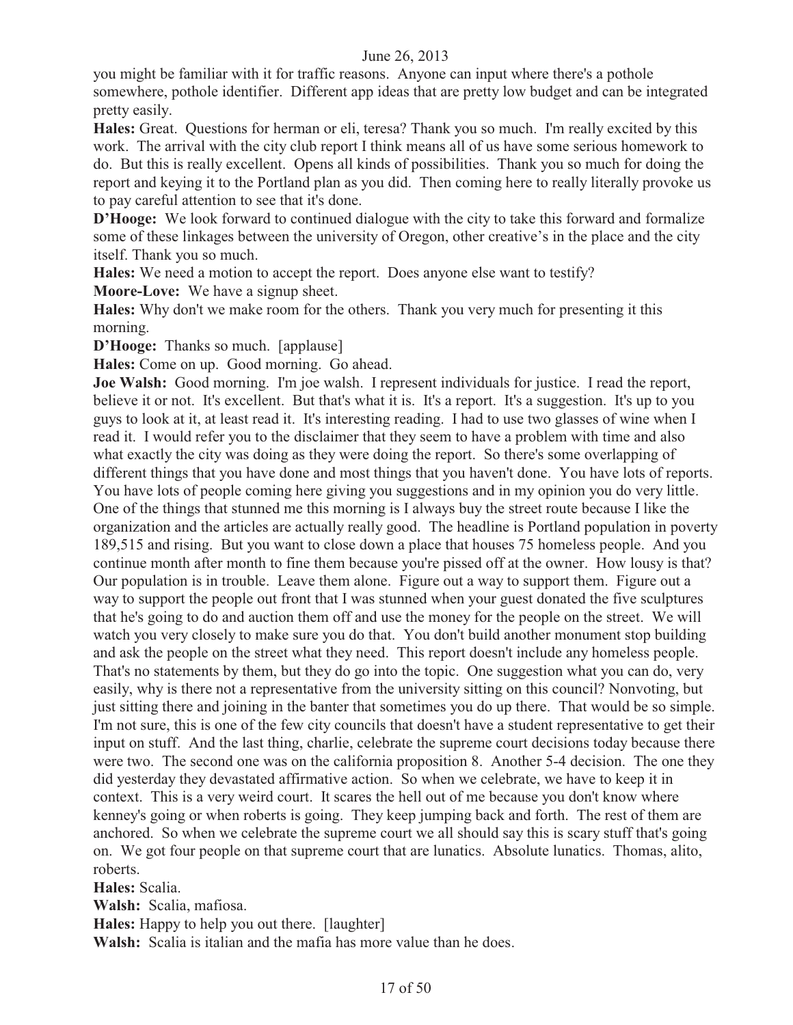you might be familiar with it for traffic reasons. Anyone can input where there's a pothole somewhere, pothole identifier. Different app ideas that are pretty low budget and can be integrated pretty easily.

**Hales:** Great. Questions for herman or eli, teresa? Thank you so much. I'm really excited by this work. The arrival with the city club report I think means all of us have some serious homework to do. But this is really excellent. Opens all kinds of possibilities. Thank you so much for doing the report and keying it to the Portland plan as you did. Then coming here to really literally provoke us to pay careful attention to see that it's done.

**D'Hooge:** We look forward to continued dialogue with the city to take this forward and formalize some of these linkages between the university of Oregon, other creative's in the place and the city itself. Thank you so much.

**Hales:** We need a motion to accept the report. Does anyone else want to testify?

**Moore-Love:** We have a signup sheet.

**Hales:** Why don't we make room for the others. Thank you very much for presenting it this morning.

**D'Hooge:** Thanks so much. [applause]

**Hales:** Come on up. Good morning. Go ahead.

**Joe Walsh:** Good morning. I'm joe walsh. I represent individuals for justice. I read the report, believe it or not. It's excellent. But that's what it is. It's a report. It's a suggestion. It's up to you guys to look at it, at least read it. It's interesting reading. I had to use two glasses of wine when I read it. I would refer you to the disclaimer that they seem to have a problem with time and also what exactly the city was doing as they were doing the report. So there's some overlapping of different things that you have done and most things that you haven't done. You have lots of reports. You have lots of people coming here giving you suggestions and in my opinion you do very little. One of the things that stunned me this morning is I always buy the street route because I like the organization and the articles are actually really good. The headline is Portland population in poverty 189,515 and rising. But you want to close down a place that houses 75 homeless people. And you continue month after month to fine them because you're pissed off at the owner. How lousy is that? Our population is in trouble. Leave them alone. Figure out a way to support them. Figure out a way to support the people out front that I was stunned when your guest donated the five sculptures that he's going to do and auction them off and use the money for the people on the street. We will watch you very closely to make sure you do that. You don't build another monument stop building and ask the people on the street what they need. This report doesn't include any homeless people. That's no statements by them, but they do go into the topic. One suggestion what you can do, very easily, why is there not a representative from the university sitting on this council? Nonvoting, but just sitting there and joining in the banter that sometimes you do up there. That would be so simple. I'm not sure, this is one of the few city councils that doesn't have a student representative to get their input on stuff. And the last thing, charlie, celebrate the supreme court decisions today because there were two. The second one was on the california proposition 8. Another 5-4 decision. The one they did yesterday they devastated affirmative action. So when we celebrate, we have to keep it in context. This is a very weird court. It scares the hell out of me because you don't know where kenney's going or when roberts is going. They keep jumping back and forth. The rest of them are anchored. So when we celebrate the supreme court we all should say this is scary stuff that's going on. We got four people on that supreme court that are lunatics. Absolute lunatics. Thomas, alito, roberts.

**Hales:** Scalia.

**Walsh:** Scalia, mafiosa.

**Hales:** Happy to help you out there. [laughter]

**Walsh:** Scalia is italian and the mafia has more value than he does.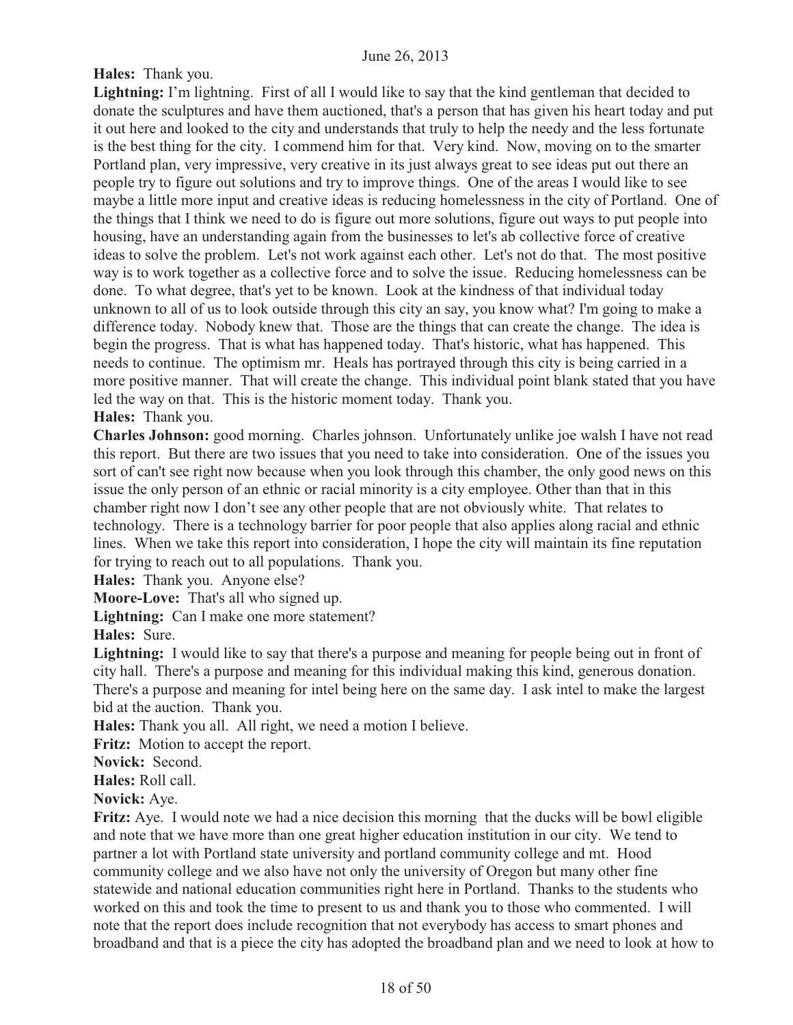# **Hales:** Thank you.

Lightning: I'm lightning. First of all I would like to say that the kind gentleman that decided to donate the sculptures and have them auctioned, that's a person that has given his heart today and put it out here and looked to the city and understands that truly to help the needy and the less fortunate is the best thing for the city. I commend him for that. Very kind. Now, moving on to the smarter Portland plan, very impressive, very creative in its just always great to see ideas put out there an people try to figure out solutions and try to improve things. One of the areas I would like to see maybe a little more input and creative ideas is reducing homelessness in the city of Portland. One of the things that I think we need to do is figure out more solutions, figure out ways to put people into housing, have an understanding again from the businesses to let's ab collective force of creative ideas to solve the problem. Let's not work against each other. Let's not do that. The most positive way is to work together as a collective force and to solve the issue. Reducing homelessness can be done. To what degree, that's yet to be known. Look at the kindness of that individual today unknown to all of us to look outside through this city an say, you know what? I'm going to make a difference today. Nobody knew that. Those are the things that can create the change. The idea is begin the progress. That is what has happened today. That's historic, what has happened. This needs to continue. The optimism mr. Heals has portrayed through this city is being carried in a more positive manner. That will create the change. This individual point blank stated that you have led the way on that. This is the historic moment today. Thank you. **Hales:** Thank you.

**Charles Johnson:** good morning. Charles johnson. Unfortunately unlike joe walsh I have not read this report. But there are two issues that you need to take into consideration. One of the issues you sort of can't see right now because when you look through this chamber, the only good news on this issue the only person of an ethnic or racial minority is a city employee. Other than that in this chamber right now I don't see any other people that are not obviously white. That relates to technology. There is a technology barrier for poor people that also applies along racial and ethnic lines. When we take this report into consideration, I hope the city will maintain its fine reputation for trying to reach out to all populations. Thank you.

**Hales:** Thank you. Anyone else?

**Moore-Love:** That's all who signed up.

**Lightning:** Can I make one more statement?

**Hales:** Sure.

Lightning: I would like to say that there's a purpose and meaning for people being out in front of city hall. There's a purpose and meaning for this individual making this kind, generous donation. There's a purpose and meaning for intel being here on the same day. I ask intel to make the largest bid at the auction. Thank you.

**Hales:** Thank you all. All right, we need a motion I believe.

Fritz: Motion to accept the report.

**Novick:** Second.

**Hales:** Roll call.

**Novick:** Aye.

**Fritz:** Aye. I would note we had a nice decision this morning that the ducks will be bowl eligible and note that we have more than one great higher education institution in our city. We tend to partner a lot with Portland state university and portland community college and mt. Hood community college and we also have not only the university of Oregon but many other fine statewide and national education communities right here in Portland. Thanks to the students who worked on this and took the time to present to us and thank you to those who commented. I will note that the report does include recognition that not everybody has access to smart phones and broadband and that is a piece the city has adopted the broadband plan and we need to look at how to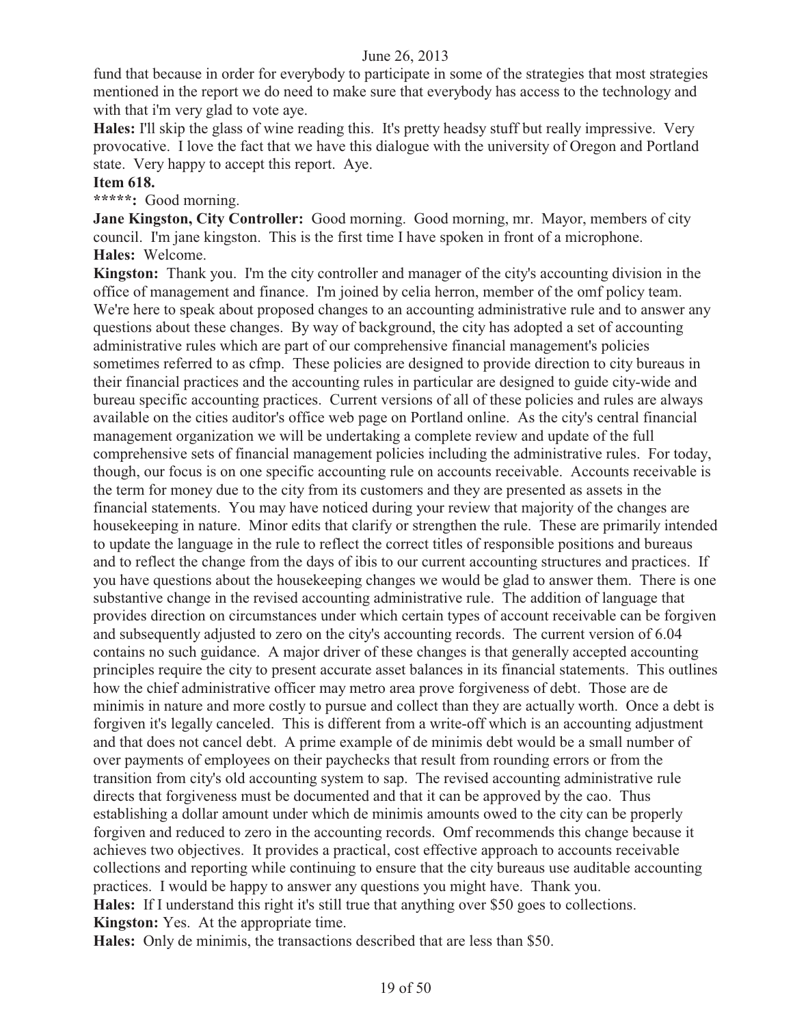fund that because in order for everybody to participate in some of the strategies that most strategies mentioned in the report we do need to make sure that everybody has access to the technology and with that i'm very glad to vote aye.

**Hales:** I'll skip the glass of wine reading this. It's pretty headsy stuff but really impressive. Very provocative. I love the fact that we have this dialogue with the university of Oregon and Portland state. Very happy to accept this report. Aye.

#### **Item 618.**

**\*\*\*\*\*:** Good morning.

**Jane Kingston, City Controller:** Good morning. Good morning, mr. Mayor, members of city council. I'm jane kingston. This is the first time I have spoken in front of a microphone. **Hales:** Welcome.

**Kingston:** Thank you. I'm the city controller and manager of the city's accounting division in the office of management and finance. I'm joined by celia herron, member of the omf policy team. We're here to speak about proposed changes to an accounting administrative rule and to answer any questions about these changes. By way of background, the city has adopted a set of accounting administrative rules which are part of our comprehensive financial management's policies sometimes referred to as cfmp. These policies are designed to provide direction to city bureaus in their financial practices and the accounting rules in particular are designed to guide city-wide and bureau specific accounting practices. Current versions of all of these policies and rules are always available on the cities auditor's office web page on Portland online. As the city's central financial management organization we will be undertaking a complete review and update of the full comprehensive sets of financial management policies including the administrative rules. For today, though, our focus is on one specific accounting rule on accounts receivable. Accounts receivable is the term for money due to the city from its customers and they are presented as assets in the financial statements. You may have noticed during your review that majority of the changes are housekeeping in nature. Minor edits that clarify or strengthen the rule. These are primarily intended to update the language in the rule to reflect the correct titles of responsible positions and bureaus and to reflect the change from the days of ibis to our current accounting structures and practices. If you have questions about the housekeeping changes we would be glad to answer them. There is one substantive change in the revised accounting administrative rule. The addition of language that provides direction on circumstances under which certain types of account receivable can be forgiven and subsequently adjusted to zero on the city's accounting records. The current version of 6.04 contains no such guidance. A major driver of these changes is that generally accepted accounting principles require the city to present accurate asset balances in its financial statements. This outlines how the chief administrative officer may metro area prove forgiveness of debt. Those are de minimis in nature and more costly to pursue and collect than they are actually worth. Once a debt is forgiven it's legally canceled. This is different from a write-off which is an accounting adjustment and that does not cancel debt. A prime example of de minimis debt would be a small number of over payments of employees on their paychecks that result from rounding errors or from the transition from city's old accounting system to sap. The revised accounting administrative rule directs that forgiveness must be documented and that it can be approved by the cao. Thus establishing a dollar amount under which de minimis amounts owed to the city can be properly forgiven and reduced to zero in the accounting records. Omf recommends this change because it achieves two objectives. It provides a practical, cost effective approach to accounts receivable collections and reporting while continuing to ensure that the city bureaus use auditable accounting practices. I would be happy to answer any questions you might have. Thank you. **Hales:** If I understand this right it's still true that anything over \$50 goes to collections. **Kingston:** Yes. At the appropriate time.

**Hales:** Only de minimis, the transactions described that are less than \$50.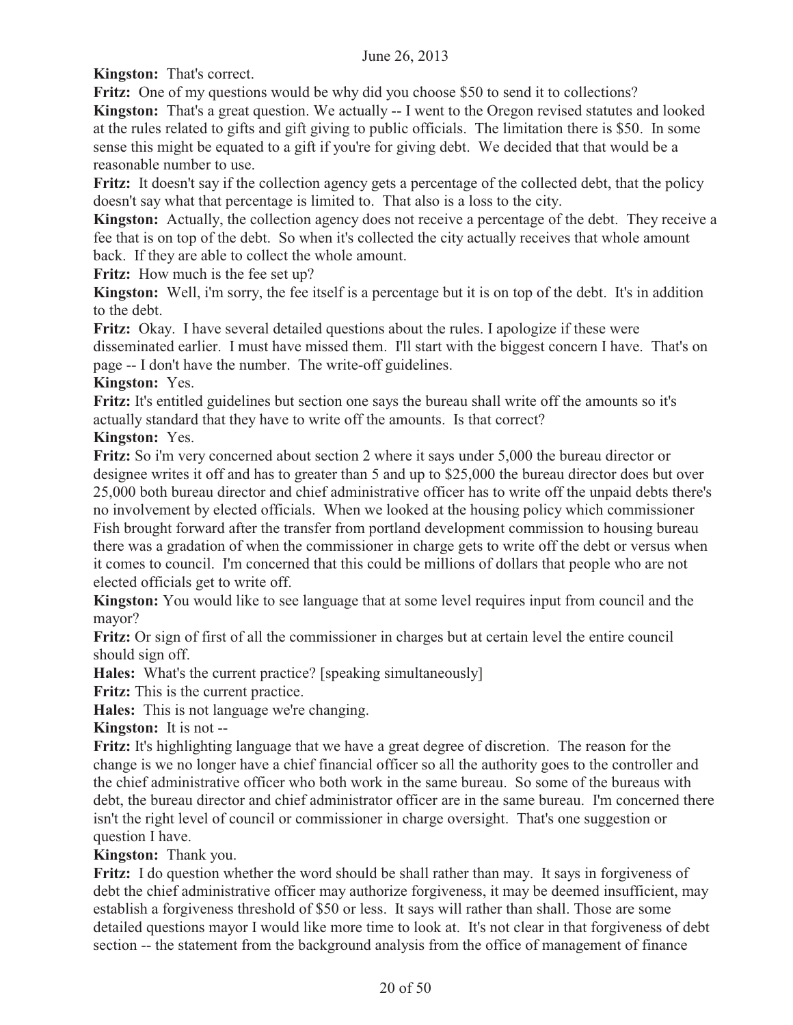**Kingston:** That's correct.

**Fritz:** One of my questions would be why did you choose \$50 to send it to collections?

**Kingston:** That's a great question. We actually -- I went to the Oregon revised statutes and looked at the rules related to gifts and gift giving to public officials. The limitation there is \$50. In some sense this might be equated to a gift if you're for giving debt. We decided that that would be a reasonable number to use.

**Fritz:** It doesn't say if the collection agency gets a percentage of the collected debt, that the policy doesn't say what that percentage is limited to. That also is a loss to the city.

**Kingston:** Actually, the collection agency does not receive a percentage of the debt. They receive a fee that is on top of the debt. So when it's collected the city actually receives that whole amount back. If they are able to collect the whole amount.

**Fritz:** How much is the fee set up?

**Kingston:** Well, i'm sorry, the fee itself is a percentage but it is on top of the debt. It's in addition to the debt.

**Fritz:** Okay. I have several detailed questions about the rules. I apologize if these were disseminated earlier. I must have missed them. I'll start with the biggest concern I have. That's on page -- I don't have the number. The write-off guidelines.

# **Kingston:** Yes.

**Fritz:** It's entitled guidelines but section one says the bureau shall write off the amounts so it's actually standard that they have to write off the amounts. Is that correct?

**Kingston:** Yes.

**Fritz:** So i'm very concerned about section 2 where it says under 5,000 the bureau director or designee writes it off and has to greater than 5 and up to \$25,000 the bureau director does but over 25,000 both bureau director and chief administrative officer has to write off the unpaid debts there's no involvement by elected officials. When we looked at the housing policy which commissioner Fish brought forward after the transfer from portland development commission to housing bureau there was a gradation of when the commissioner in charge gets to write off the debt or versus when it comes to council. I'm concerned that this could be millions of dollars that people who are not elected officials get to write off.

**Kingston:** You would like to see language that at some level requires input from council and the mayor?

**Fritz:** Or sign of first of all the commissioner in charges but at certain level the entire council should sign off.

**Hales:** What's the current practice? [speaking simultaneously]

**Fritz:** This is the current practice.

**Hales:** This is not language we're changing.

**Kingston:** It is not --

**Fritz:** It's highlighting language that we have a great degree of discretion. The reason for the change is we no longer have a chief financial officer so all the authority goes to the controller and the chief administrative officer who both work in the same bureau. So some of the bureaus with debt, the bureau director and chief administrator officer are in the same bureau. I'm concerned there isn't the right level of council or commissioner in charge oversight. That's one suggestion or question I have.

**Kingston:** Thank you.

**Fritz:** I do question whether the word should be shall rather than may. It says in forgiveness of debt the chief administrative officer may authorize forgiveness, it may be deemed insufficient, may establish a forgiveness threshold of \$50 or less. It says will rather than shall. Those are some detailed questions mayor I would like more time to look at. It's not clear in that forgiveness of debt section -- the statement from the background analysis from the office of management of finance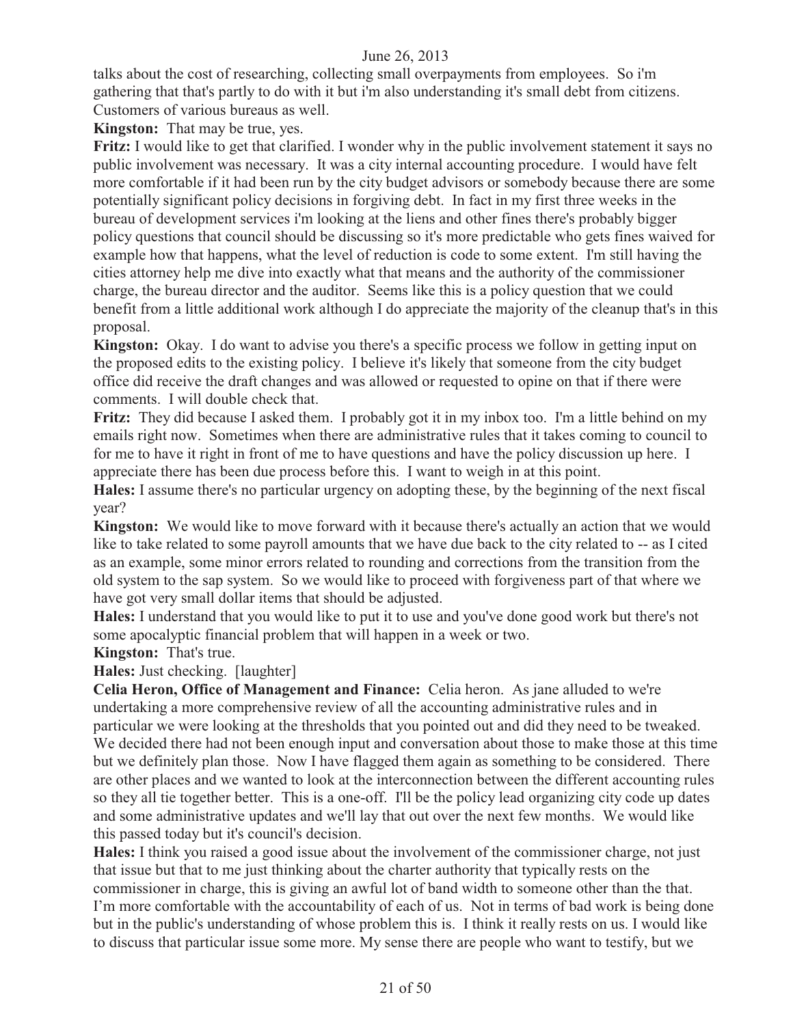talks about the cost of researching, collecting small overpayments from employees. So i'm gathering that that's partly to do with it but i'm also understanding it's small debt from citizens. Customers of various bureaus as well.

**Kingston:** That may be true, yes.

**Fritz:** I would like to get that clarified. I wonder why in the public involvement statement it says no public involvement was necessary. It was a city internal accounting procedure. I would have felt more comfortable if it had been run by the city budget advisors or somebody because there are some potentially significant policy decisions in forgiving debt. In fact in my first three weeks in the bureau of development services i'm looking at the liens and other fines there's probably bigger policy questions that council should be discussing so it's more predictable who gets fines waived for example how that happens, what the level of reduction is code to some extent. I'm still having the cities attorney help me dive into exactly what that means and the authority of the commissioner charge, the bureau director and the auditor. Seems like this is a policy question that we could benefit from a little additional work although I do appreciate the majority of the cleanup that's in this proposal.

**Kingston:** Okay. I do want to advise you there's a specific process we follow in getting input on the proposed edits to the existing policy. I believe it's likely that someone from the city budget office did receive the draft changes and was allowed or requested to opine on that if there were comments. I will double check that.

**Fritz:** They did because I asked them. I probably got it in my inbox too. I'm a little behind on my emails right now. Sometimes when there are administrative rules that it takes coming to council to for me to have it right in front of me to have questions and have the policy discussion up here. I appreciate there has been due process before this. I want to weigh in at this point.

**Hales:** I assume there's no particular urgency on adopting these, by the beginning of the next fiscal year?

**Kingston:** We would like to move forward with it because there's actually an action that we would like to take related to some payroll amounts that we have due back to the city related to -- as I cited as an example, some minor errors related to rounding and corrections from the transition from the old system to the sap system. So we would like to proceed with forgiveness part of that where we have got very small dollar items that should be adjusted.

**Hales:** I understand that you would like to put it to use and you've done good work but there's not some apocalyptic financial problem that will happen in a week or two.

**Kingston:** That's true.

**Hales:** Just checking. [laughter]

**Celia Heron, Office of Management and Finance:** Celia heron. As jane alluded to we're undertaking a more comprehensive review of all the accounting administrative rules and in particular we were looking at the thresholds that you pointed out and did they need to be tweaked. We decided there had not been enough input and conversation about those to make those at this time but we definitely plan those. Now I have flagged them again as something to be considered. There are other places and we wanted to look at the interconnection between the different accounting rules so they all tie together better. This is a one-off. I'll be the policy lead organizing city code up dates and some administrative updates and we'll lay that out over the next few months. We would like this passed today but it's council's decision.

**Hales:** I think you raised a good issue about the involvement of the commissioner charge, not just that issue but that to me just thinking about the charter authority that typically rests on the commissioner in charge, this is giving an awful lot of band width to someone other than the that. I'm more comfortable with the accountability of each of us. Not in terms of bad work is being done but in the public's understanding of whose problem this is. I think it really rests on us. I would like to discuss that particular issue some more. My sense there are people who want to testify, but we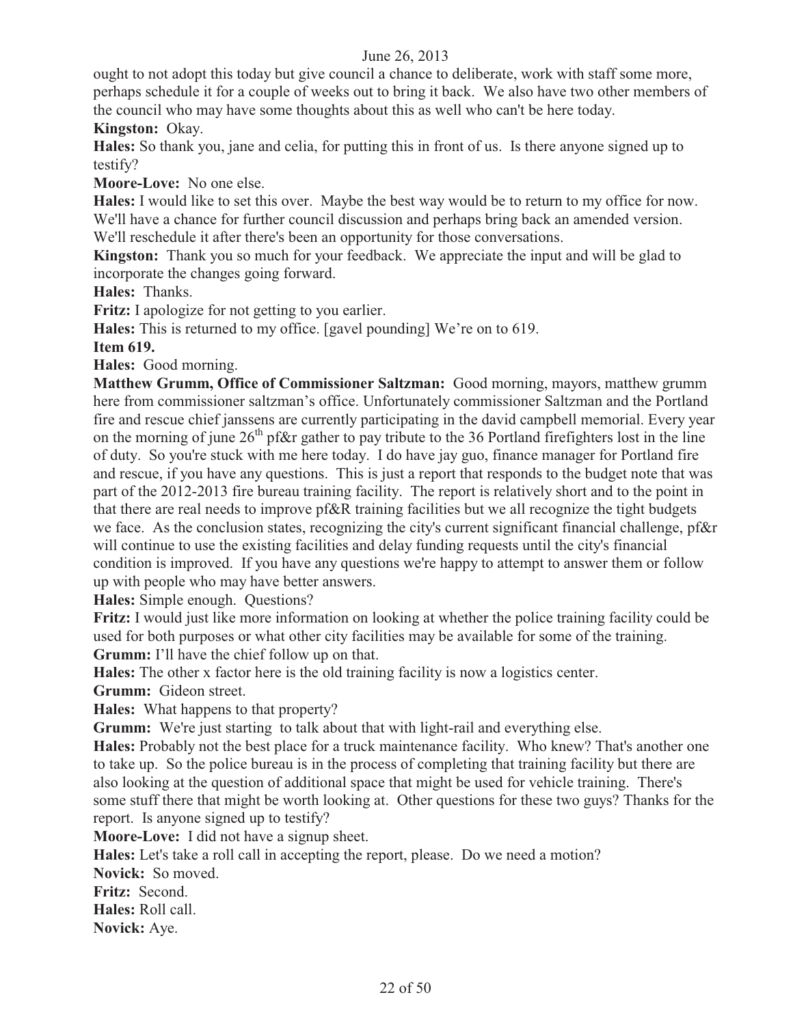ought to not adopt this today but give council a chance to deliberate, work with staff some more, perhaps schedule it for a couple of weeks out to bring it back. We also have two other members of the council who may have some thoughts about this as well who can't be here today. **Kingston:** Okay.

**Hales:** So thank you, jane and celia, for putting this in front of us. Is there anyone signed up to testify?

**Moore-Love:** No one else.

**Hales:** I would like to set this over. Maybe the best way would be to return to my office for now. We'll have a chance for further council discussion and perhaps bring back an amended version. We'll reschedule it after there's been an opportunity for those conversations.

**Kingston:** Thank you so much for your feedback. We appreciate the input and will be glad to incorporate the changes going forward.

**Hales:** Thanks.

**Fritz:** I apologize for not getting to you earlier.

**Hales:** This is returned to my office. [gavel pounding] We're on to 619.

#### **Item 619.**

**Hales:** Good morning.

**Matthew Grumm, Office of Commissioner Saltzman:** Good morning, mayors, matthew grumm here from commissioner saltzman's office. Unfortunately commissioner Saltzman and the Portland fire and rescue chief janssens are currently participating in the david campbell memorial. Every year on the morning of june  $26<sup>th</sup>$  pf&r gather to pay tribute to the 36 Portland firefighters lost in the line of duty. So you're stuck with me here today. I do have jay guo, finance manager for Portland fire and rescue, if you have any questions. This is just a report that responds to the budget note that was part of the 2012-2013 fire bureau training facility. The report is relatively short and to the point in that there are real needs to improve pf&R training facilities but we all recognize the tight budgets we face. As the conclusion states, recognizing the city's current significant financial challenge, pf&r will continue to use the existing facilities and delay funding requests until the city's financial condition is improved. If you have any questions we're happy to attempt to answer them or follow up with people who may have better answers.

**Hales:** Simple enough. Questions?

**Fritz:** I would just like more information on looking at whether the police training facility could be used for both purposes or what other city facilities may be available for some of the training. **Grumm:** I'll have the chief follow up on that.

**Hales:** The other x factor here is the old training facility is now a logistics center.

**Grumm:** Gideon street.

**Hales:** What happens to that property?

**Grumm:** We're just starting to talk about that with light-rail and everything else.

**Hales:** Probably not the best place for a truck maintenance facility. Who knew? That's another one to take up. So the police bureau is in the process of completing that training facility but there are also looking at the question of additional space that might be used for vehicle training. There's some stuff there that might be worth looking at. Other questions for these two guys? Thanks for the report. Is anyone signed up to testify?

**Moore-Love:** I did not have a signup sheet.

**Hales:** Let's take a roll call in accepting the report, please. Do we need a motion?

**Novick:** So moved.

**Fritz:** Second.

**Hales:** Roll call.

**Novick:** Aye.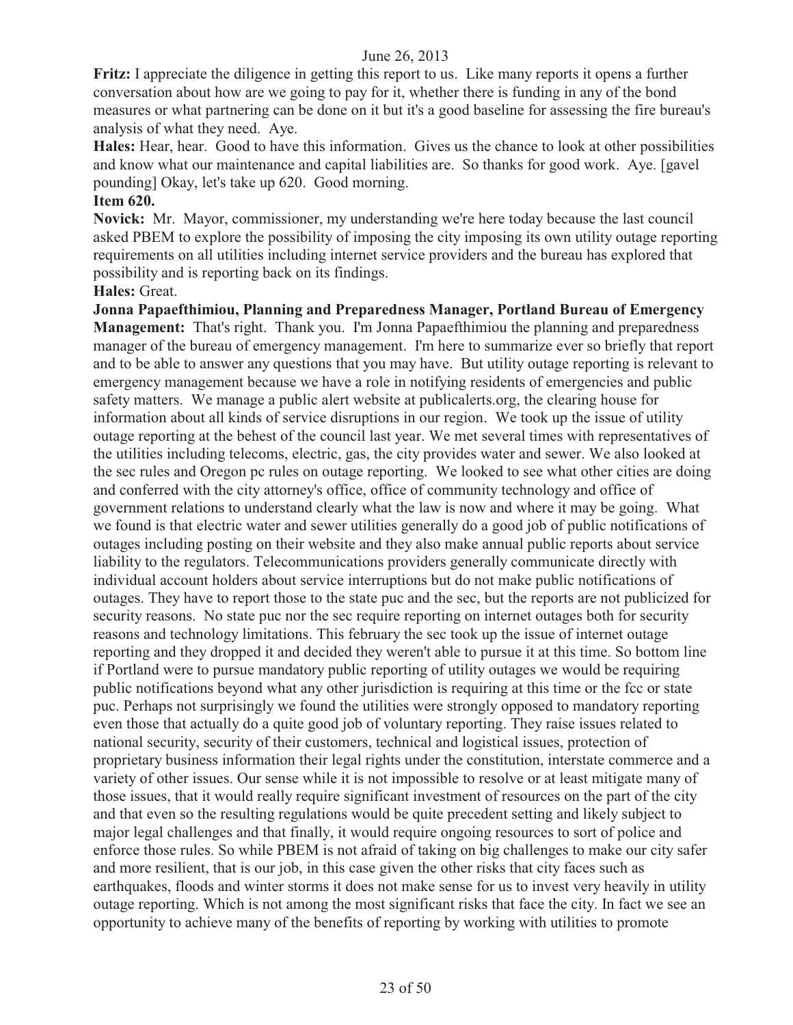**Fritz:** I appreciate the diligence in getting this report to us. Like many reports it opens a further conversation about how are we going to pay for it, whether there is funding in any of the bond measures or what partnering can be done on it but it's a good baseline for assessing the fire bureau's analysis of what they need. Aye.

**Hales:** Hear, hear. Good to have this information. Gives us the chance to look at other possibilities and know what our maintenance and capital liabilities are. So thanks for good work. Aye. [gavel pounding] Okay, let's take up 620. Good morning.

#### **Item 620.**

**Novick:** Mr. Mayor, commissioner, my understanding we're here today because the last council asked PBEM to explore the possibility of imposing the city imposing its own utility outage reporting requirements on all utilities including internet service providers and the bureau has explored that possibility and is reporting back on its findings.

**Hales:** Great.

**Jonna Papaefthimiou, Planning and Preparedness Manager, Portland Bureau of Emergency Management:** That's right. Thank you. I'm Jonna Papaefthimiou the planning and preparedness manager of the bureau of emergency management. I'm here to summarize ever so briefly that report and to be able to answer any questions that you may have. But utility outage reporting is relevant to emergency management because we have a role in notifying residents of emergencies and public safety matters. We manage a public alert website at publicalerts.org, the clearing house for information about all kinds of service disruptions in our region. We took up the issue of utility outage reporting at the behest of the council last year. We met several times with representatives of the utilities including telecoms, electric, gas, the city provides water and sewer. We also looked at the sec rules and Oregon pc rules on outage reporting. We looked to see what other cities are doing and conferred with the city attorney's office, office of community technology and office of government relations to understand clearly what the law is now and where it may be going. What we found is that electric water and sewer utilities generally do a good job of public notifications of outages including posting on their website and they also make annual public reports about service liability to the regulators. Telecommunications providers generally communicate directly with individual account holders about service interruptions but do not make public notifications of outages. They have to report those to the state puc and the sec, but the reports are not publicized for security reasons. No state puc nor the sec require reporting on internet outages both for security reasons and technology limitations. This february the sec took up the issue of internet outage reporting and they dropped it and decided they weren't able to pursue it at this time. So bottom line if Portland were to pursue mandatory public reporting of utility outages we would be requiring public notifications beyond what any other jurisdiction is requiring at this time or the fcc or state puc. Perhaps not surprisingly we found the utilities were strongly opposed to mandatory reporting even those that actually do a quite good job of voluntary reporting. They raise issues related to national security, security of their customers, technical and logistical issues, protection of proprietary business information their legal rights under the constitution, interstate commerce and a variety of other issues. Our sense while it is not impossible to resolve or at least mitigate many of those issues, that it would really require significant investment of resources on the part of the city and that even so the resulting regulations would be quite precedent setting and likely subject to major legal challenges and that finally, it would require ongoing resources to sort of police and enforce those rules. So while PBEM is not afraid of taking on big challenges to make our city safer and more resilient, that is our job, in this case given the other risks that city faces such as earthquakes, floods and winter storms it does not make sense for us to invest very heavily in utility outage reporting. Which is not among the most significant risks that face the city. In fact we see an opportunity to achieve many of the benefits of reporting by working with utilities to promote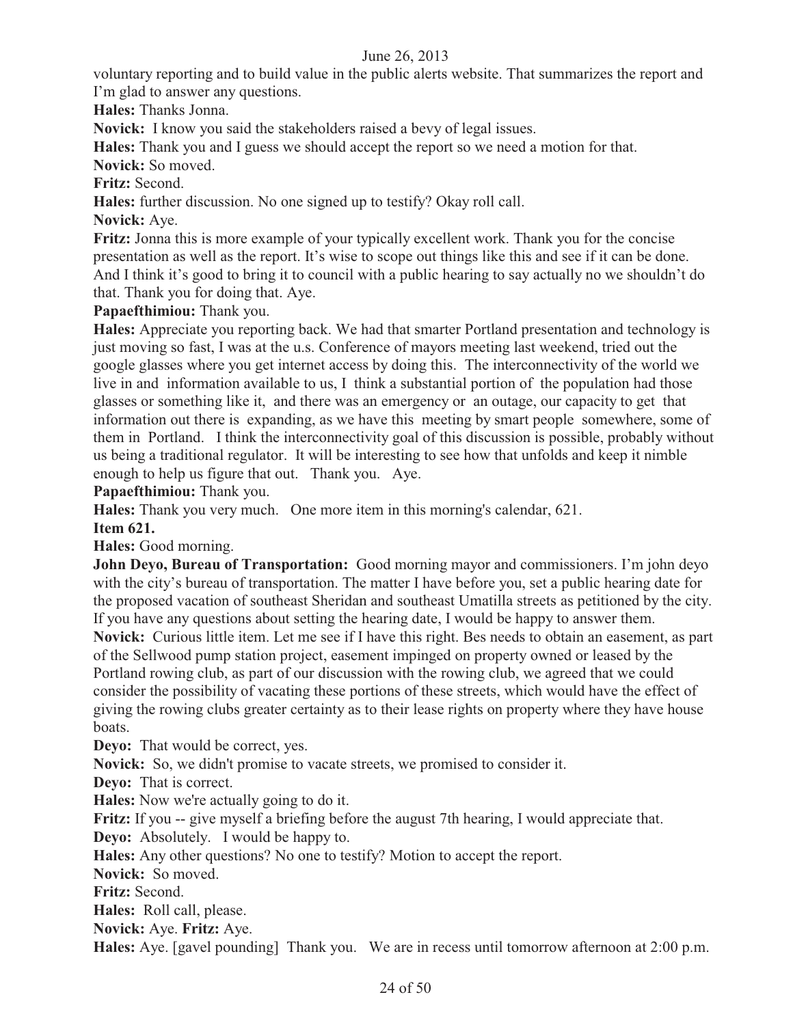voluntary reporting and to build value in the public alerts website. That summarizes the report and I'm glad to answer any questions.

**Hales:** Thanks Jonna.

**Novick:** I know you said the stakeholders raised a bevy of legal issues.

**Hales:** Thank you and I guess we should accept the report so we need a motion for that.

**Novick:** So moved.

**Fritz:** Second.

**Hales:** further discussion. No one signed up to testify? Okay roll call.

**Novick:** Aye.

**Fritz:** Jonna this is more example of your typically excellent work. Thank you for the concise presentation as well as the report. It's wise to scope out things like this and see if it can be done. And I think it's good to bring it to council with a public hearing to say actually no we shouldn't do that. Thank you for doing that. Aye.

**Papaefthimiou:** Thank you.

**Hales:** Appreciate you reporting back. We had that smarter Portland presentation and technology is just moving so fast, I was at the u.s. Conference of mayors meeting last weekend, tried out the google glasses where you get internet access by doing this. The interconnectivity of the world we live in and information available to us, I think a substantial portion of the population had those glasses or something like it, and there was an emergency or an outage, our capacity to get that information out there is expanding, as we have this meeting by smart people somewhere, some of them in Portland. I think the interconnectivity goal of this discussion is possible, probably without us being a traditional regulator. It will be interesting to see how that unfolds and keep it nimble enough to help us figure that out. Thank you. Aye.

**Papaefthimiou:** Thank you.

**Hales:** Thank you very much. One more item in this morning's calendar, 621.

**Item 621.** 

**Hales:** Good morning.

**John Deyo, Bureau of Transportation:** Good morning mayor and commissioners. I'm john deyo with the city's bureau of transportation. The matter I have before you, set a public hearing date for the proposed vacation of southeast Sheridan and southeast Umatilla streets as petitioned by the city. If you have any questions about setting the hearing date, I would be happy to answer them. **Novick:** Curious little item. Let me see if I have this right. Bes needs to obtain an easement, as part of the Sellwood pump station project, easement impinged on property owned or leased by the Portland rowing club, as part of our discussion with the rowing club, we agreed that we could consider the possibility of vacating these portions of these streets, which would have the effect of giving the rowing clubs greater certainty as to their lease rights on property where they have house boats.

**Deyo:** That would be correct, yes.

**Novick:** So, we didn't promise to vacate streets, we promised to consider it.

**Deyo:** That is correct.

**Hales:** Now we're actually going to do it.

**Fritz:** If you -- give myself a briefing before the august 7th hearing, I would appreciate that.

**Deyo:** Absolutely. I would be happy to.

**Hales:** Any other questions? No one to testify? Motion to accept the report.

**Novick:** So moved.

**Fritz:** Second.

**Hales:** Roll call, please.

**Novick:** Aye. **Fritz:** Aye.

**Hales:** Aye. [gavel pounding] Thank you. We are in recess until tomorrow afternoon at 2:00 p.m.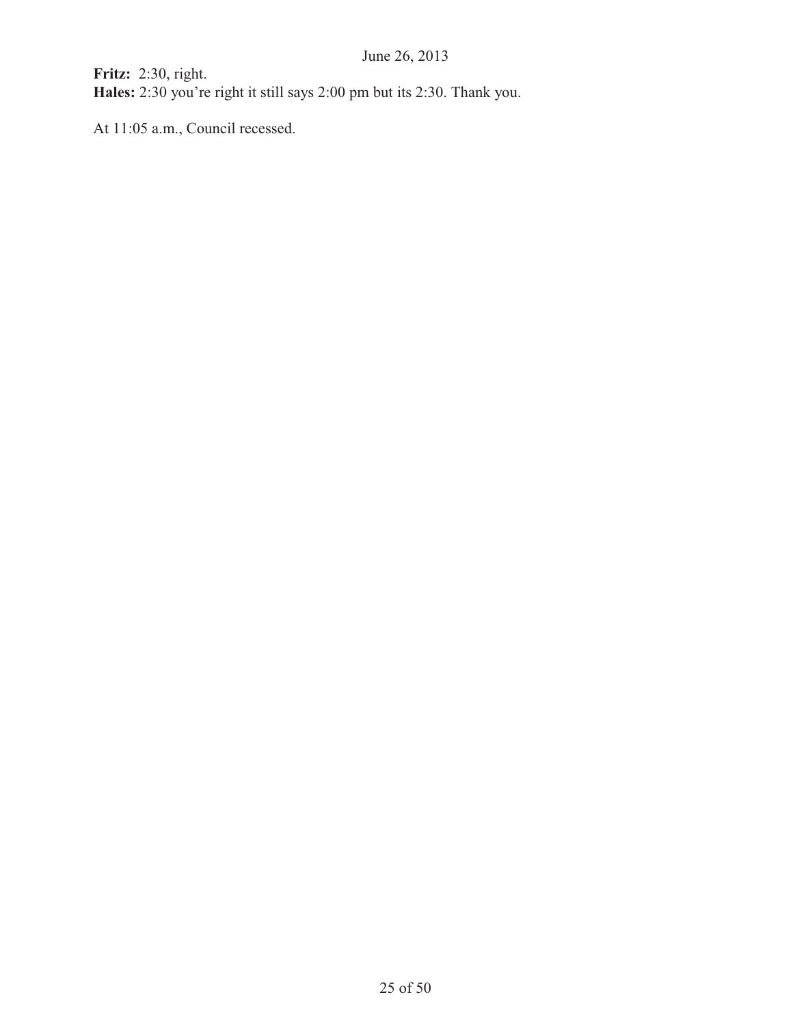**Fritz:** 2:30, right. **Hales:** 2:30 you're right it still says 2:00 pm but its 2:30. Thank you.

At 11:05 a.m., Council recessed.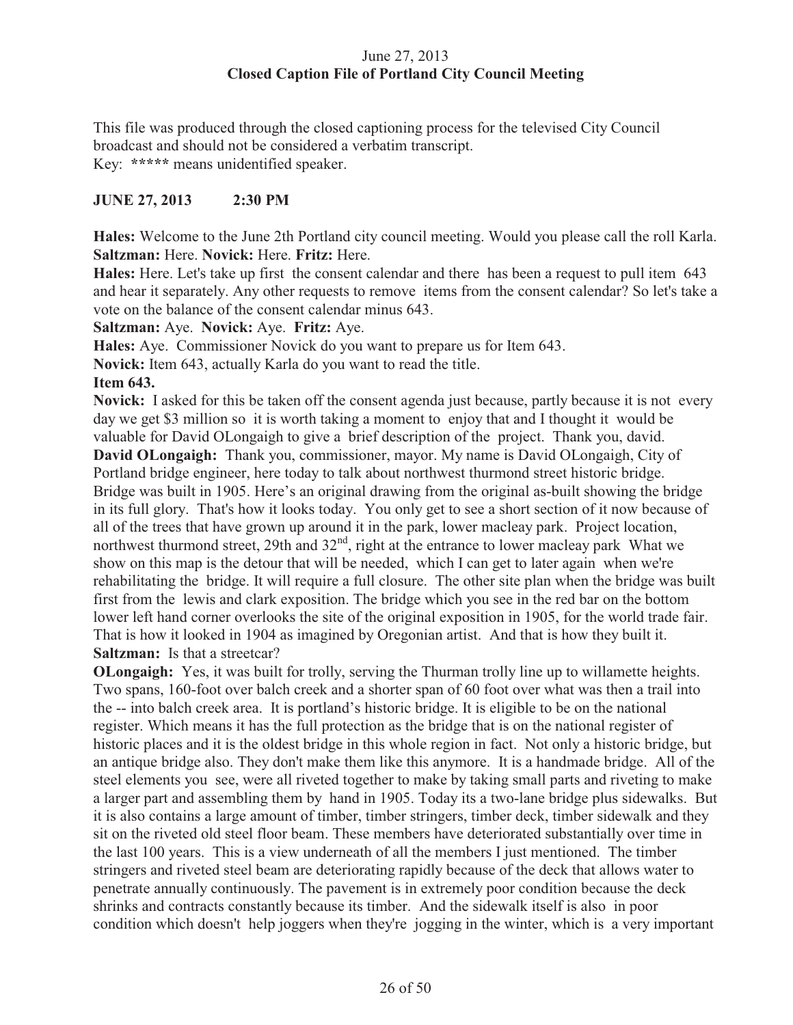# June 27, 2013 **Closed Caption File of Portland City Council Meeting**

This file was produced through the closed captioning process for the televised City Council broadcast and should not be considered a verbatim transcript. Key: **\*\*\*\*\*** means unidentified speaker.

# **JUNE 27, 2013 2:30 PM**

**Hales:** Welcome to the June 2th Portland city council meeting. Would you please call the roll Karla. **Saltzman:** Here. **Novick:** Here. **Fritz:** Here.

**Hales:** Here. Let's take up first the consent calendar and there has been a request to pull item 643 and hear it separately. Any other requests to remove items from the consent calendar? So let's take a vote on the balance of the consent calendar minus 643.

**Saltzman:** Aye. **Novick:** Aye. **Fritz:** Aye.

**Hales:** Aye. Commissioner Novick do you want to prepare us for Item 643.

**Novick:** Item 643, actually Karla do you want to read the title.

# **Item 643.**

**Novick:** I asked for this be taken off the consent agenda just because, partly because it is not every day we get \$3 million so it is worth taking a moment to enjoy that and I thought it would be valuable for David OLongaigh to give a brief description of the project. Thank you, david.

**David OLongaigh:** Thank you, commissioner, mayor. My name is David OLongaigh, City of Portland bridge engineer, here today to talk about northwest thurmond street historic bridge. Bridge was built in 1905. Here's an original drawing from the original as-built showing the bridge in its full glory. That's how it looks today. You only get to see a short section of it now because of all of the trees that have grown up around it in the park, lower macleay park. Project location, northwest thurmond street, 29th and 32<sup>nd</sup>, right at the entrance to lower macleay park What we show on this map is the detour that will be needed, which I can get to later again when we're rehabilitating the bridge. It will require a full closure. The other site plan when the bridge was built first from the lewis and clark exposition. The bridge which you see in the red bar on the bottom lower left hand corner overlooks the site of the original exposition in 1905, for the world trade fair. That is how it looked in 1904 as imagined by Oregonian artist. And that is how they built it. **Saltzman:** Is that a streetcar?

**OLongaigh:** Yes, it was built for trolly, serving the Thurman trolly line up to willamette heights. Two spans, 160-foot over balch creek and a shorter span of 60 foot over what was then a trail into the -- into balch creek area. It is portland's historic bridge. It is eligible to be on the national register. Which means it has the full protection as the bridge that is on the national register of historic places and it is the oldest bridge in this whole region in fact. Not only a historic bridge, but an antique bridge also. They don't make them like this anymore. It is a handmade bridge. All of the steel elements you see, were all riveted together to make by taking small parts and riveting to make a larger part and assembling them by hand in 1905. Today its a two-lane bridge plus sidewalks. But it is also contains a large amount of timber, timber stringers, timber deck, timber sidewalk and they sit on the riveted old steel floor beam. These members have deteriorated substantially over time in the last 100 years. This is a view underneath of all the members I just mentioned. The timber stringers and riveted steel beam are deteriorating rapidly because of the deck that allows water to penetrate annually continuously. The pavement is in extremely poor condition because the deck shrinks and contracts constantly because its timber. And the sidewalk itself is also in poor condition which doesn't help joggers when they're jogging in the winter, which is a very important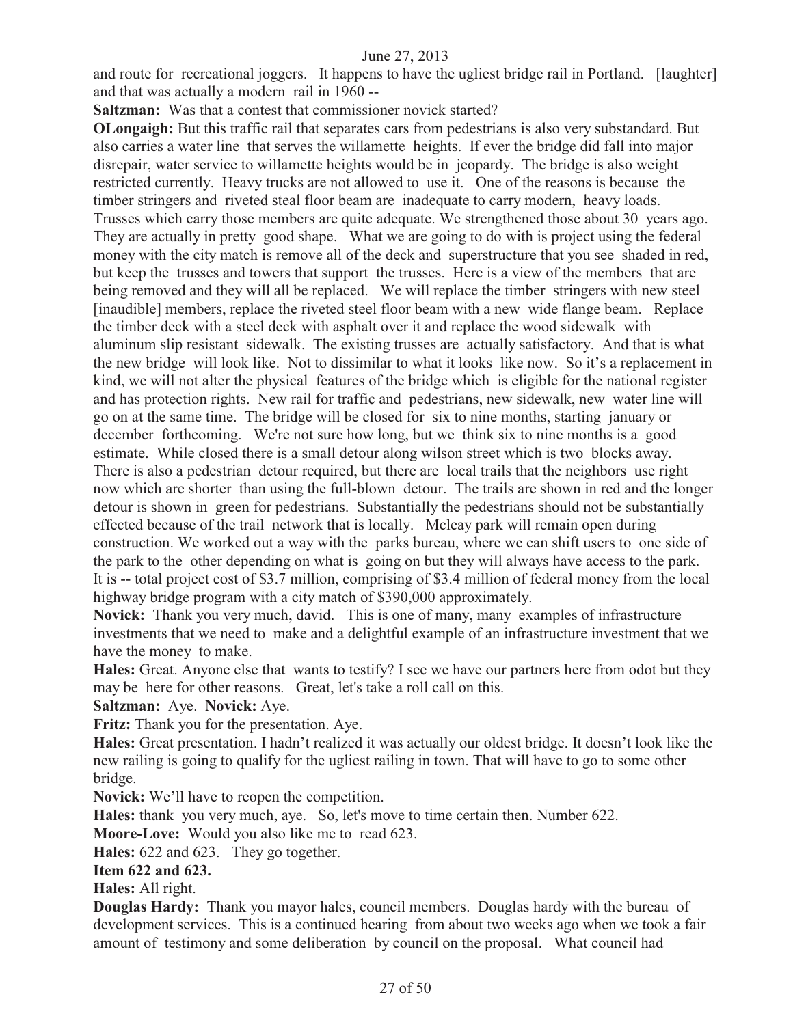and route for recreational joggers. It happens to have the ugliest bridge rail in Portland. [laughter] and that was actually a modern rail in 1960 --

**Saltzman:** Was that a contest that commissioner novick started?

**OLongaigh:** But this traffic rail that separates cars from pedestrians is also very substandard. But also carries a water line that serves the willamette heights. If ever the bridge did fall into major disrepair, water service to willamette heights would be in jeopardy. The bridge is also weight restricted currently. Heavy trucks are not allowed to use it. One of the reasons is because the timber stringers and riveted steal floor beam are inadequate to carry modern, heavy loads. Trusses which carry those members are quite adequate. We strengthened those about 30 years ago. They are actually in pretty good shape. What we are going to do with is project using the federal money with the city match is remove all of the deck and superstructure that you see shaded in red, but keep the trusses and towers that support the trusses. Here is a view of the members that are being removed and they will all be replaced. We will replace the timber stringers with new steel [inaudible] members, replace the riveted steel floor beam with a new wide flange beam. Replace the timber deck with a steel deck with asphalt over it and replace the wood sidewalk with aluminum slip resistant sidewalk. The existing trusses are actually satisfactory. And that is what the new bridge will look like. Not to dissimilar to what it looks like now. So it's a replacement in kind, we will not alter the physical features of the bridge which is eligible for the national register and has protection rights. New rail for traffic and pedestrians, new sidewalk, new water line will go on at the same time. The bridge will be closed for six to nine months, starting january or december forthcoming. We're not sure how long, but we think six to nine months is a good estimate. While closed there is a small detour along wilson street which is two blocks away. There is also a pedestrian detour required, but there are local trails that the neighbors use right now which are shorter than using the full-blown detour. The trails are shown in red and the longer detour is shown in green for pedestrians. Substantially the pedestrians should not be substantially effected because of the trail network that is locally. Mcleay park will remain open during construction. We worked out a way with the parks bureau, where we can shift users to one side of the park to the other depending on what is going on but they will always have access to the park. It is -- total project cost of \$3.7 million, comprising of \$3.4 million of federal money from the local highway bridge program with a city match of \$390,000 approximately.

**Novick:** Thank you very much, david. This is one of many, many examples of infrastructure investments that we need to make and a delightful example of an infrastructure investment that we have the money to make.

**Hales:** Great. Anyone else that wants to testify? I see we have our partners here from odot but they may be here for other reasons. Great, let's take a roll call on this.

#### **Saltzman:** Aye. **Novick:** Aye.

**Fritz:** Thank you for the presentation. Aye.

**Hales:** Great presentation. I hadn't realized it was actually our oldest bridge. It doesn't look like the new railing is going to qualify for the ugliest railing in town. That will have to go to some other bridge.

**Novick:** We'll have to reopen the competition.

**Hales:** thank you very much, aye. So, let's move to time certain then. Number 622.

**Moore-Love:** Would you also like me to read 623.

**Hales:** 622 and 623. They go together.

#### **Item 622 and 623.**

**Hales:** All right.

**Douglas Hardy:** Thank you mayor hales, council members. Douglas hardy with the bureau of development services. This is a continued hearing from about two weeks ago when we took a fair amount of testimony and some deliberation by council on the proposal. What council had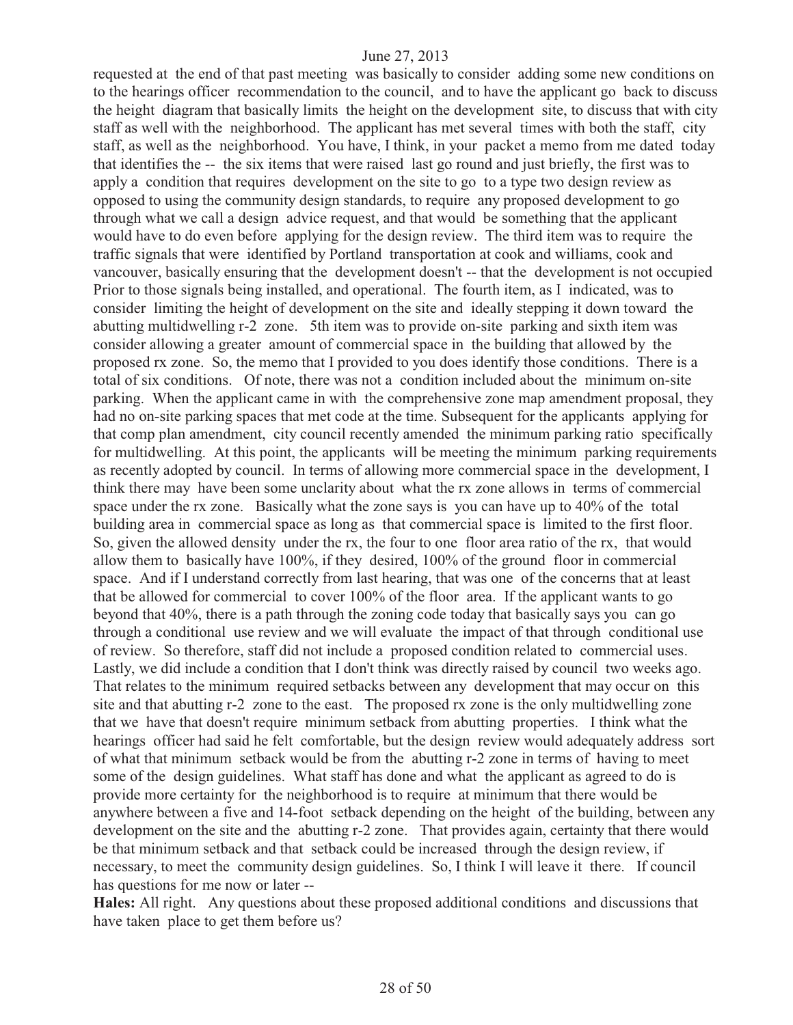requested at the end of that past meeting was basically to consider adding some new conditions on to the hearings officer recommendation to the council, and to have the applicant go back to discuss the height diagram that basically limits the height on the development site, to discuss that with city staff as well with the neighborhood. The applicant has met several times with both the staff, city staff, as well as the neighborhood. You have, I think, in your packet a memo from me dated today that identifies the -- the six items that were raised last go round and just briefly, the first was to apply a condition that requires development on the site to go to a type two design review as opposed to using the community design standards, to require any proposed development to go through what we call a design advice request, and that would be something that the applicant would have to do even before applying for the design review. The third item was to require the traffic signals that were identified by Portland transportation at cook and williams, cook and vancouver, basically ensuring that the development doesn't -- that the development is not occupied Prior to those signals being installed, and operational. The fourth item, as I indicated, was to consider limiting the height of development on the site and ideally stepping it down toward the abutting multidwelling r-2 zone. 5th item was to provide on-site parking and sixth item was consider allowing a greater amount of commercial space in the building that allowed by the proposed rx zone. So, the memo that I provided to you does identify those conditions. There is a total of six conditions. Of note, there was not a condition included about the minimum on-site parking. When the applicant came in with the comprehensive zone map amendment proposal, they had no on-site parking spaces that met code at the time. Subsequent for the applicants applying for that comp plan amendment, city council recently amended the minimum parking ratio specifically for multidwelling. At this point, the applicants will be meeting the minimum parking requirements as recently adopted by council. In terms of allowing more commercial space in the development, I think there may have been some unclarity about what the rx zone allows in terms of commercial space under the rx zone. Basically what the zone says is you can have up to 40% of the total building area in commercial space as long as that commercial space is limited to the first floor. So, given the allowed density under the rx, the four to one floor area ratio of the rx, that would allow them to basically have 100%, if they desired, 100% of the ground floor in commercial space. And if I understand correctly from last hearing, that was one of the concerns that at least that be allowed for commercial to cover 100% of the floor area. If the applicant wants to go beyond that 40%, there is a path through the zoning code today that basically says you can go through a conditional use review and we will evaluate the impact of that through conditional use of review. So therefore, staff did not include a proposed condition related to commercial uses. Lastly, we did include a condition that I don't think was directly raised by council two weeks ago. That relates to the minimum required setbacks between any development that may occur on this site and that abutting r-2 zone to the east. The proposed rx zone is the only multidwelling zone that we have that doesn't require minimum setback from abutting properties. I think what the hearings officer had said he felt comfortable, but the design review would adequately address sort of what that minimum setback would be from the abutting r-2 zone in terms of having to meet some of the design guidelines. What staff has done and what the applicant as agreed to do is provide more certainty for the neighborhood is to require at minimum that there would be anywhere between a five and 14-foot setback depending on the height of the building, between any development on the site and the abutting r-2 zone. That provides again, certainty that there would be that minimum setback and that setback could be increased through the design review, if necessary, to meet the community design guidelines. So, I think I will leave it there. If council has questions for me now or later --

**Hales:** All right. Any questions about these proposed additional conditions and discussions that have taken place to get them before us?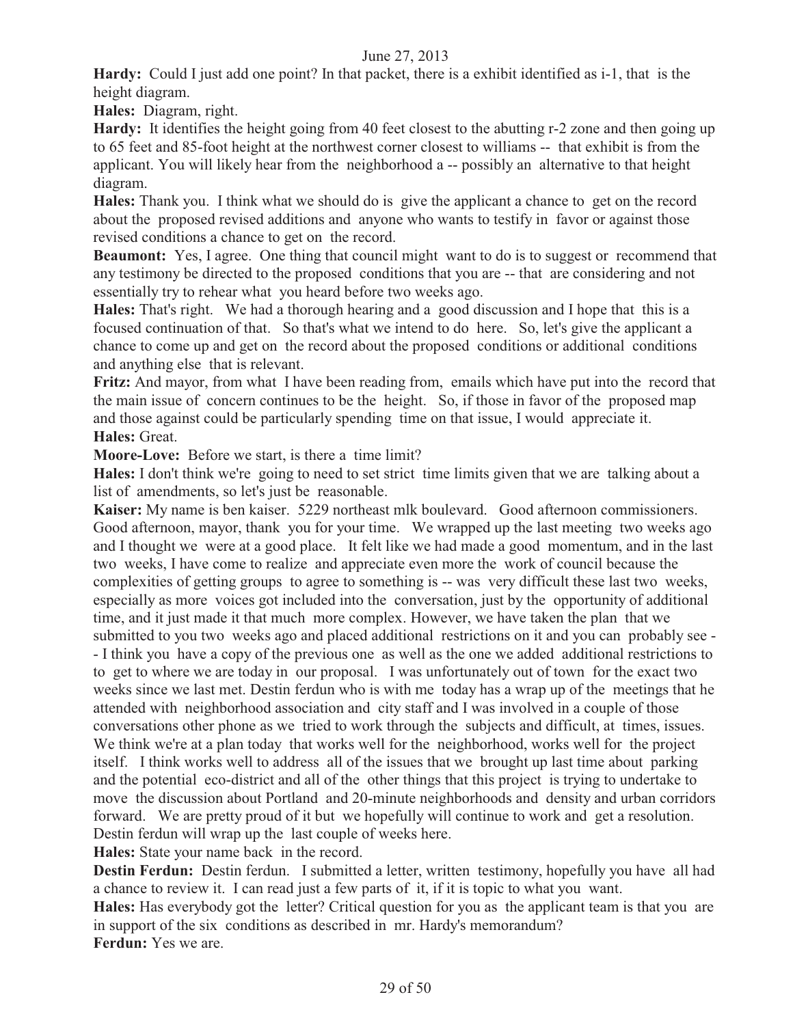**Hardy:** Could I just add one point? In that packet, there is a exhibit identified as i-1, that is the height diagram.

**Hales:** Diagram, right.

**Hardy:** It identifies the height going from 40 feet closest to the abutting r-2 zone and then going up to 65 feet and 85-foot height at the northwest corner closest to williams -- that exhibit is from the applicant. You will likely hear from the neighborhood a -- possibly an alternative to that height diagram.

**Hales:** Thank you. I think what we should do is give the applicant a chance to get on the record about the proposed revised additions and anyone who wants to testify in favor or against those revised conditions a chance to get on the record.

**Beaumont:** Yes, I agree. One thing that council might want to do is to suggest or recommend that any testimony be directed to the proposed conditions that you are -- that are considering and not essentially try to rehear what you heard before two weeks ago.

**Hales:** That's right. We had a thorough hearing and a good discussion and I hope that this is a focused continuation of that. So that's what we intend to do here. So, let's give the applicant a chance to come up and get on the record about the proposed conditions or additional conditions and anything else that is relevant.

**Fritz:** And mayor, from what I have been reading from, emails which have put into the record that the main issue of concern continues to be the height. So, if those in favor of the proposed map and those against could be particularly spending time on that issue, I would appreciate it. **Hales:** Great.

**Moore-Love:** Before we start, is there a time limit?

**Hales:** I don't think we're going to need to set strict time limits given that we are talking about a list of amendments, so let's just be reasonable.

**Kaiser:** My name is ben kaiser. 5229 northeast mlk boulevard. Good afternoon commissioners. Good afternoon, mayor, thank you for your time. We wrapped up the last meeting two weeks ago and I thought we were at a good place. It felt like we had made a good momentum, and in the last two weeks, I have come to realize and appreciate even more the work of council because the complexities of getting groups to agree to something is -- was very difficult these last two weeks, especially as more voices got included into the conversation, just by the opportunity of additional time, and it just made it that much more complex. However, we have taken the plan that we submitted to you two weeks ago and placed additional restrictions on it and you can probably see - - I think you have a copy of the previous one as well as the one we added additional restrictions to to get to where we are today in our proposal. I was unfortunately out of town for the exact two weeks since we last met. Destin ferdun who is with me today has a wrap up of the meetings that he attended with neighborhood association and city staff and I was involved in a couple of those conversations other phone as we tried to work through the subjects and difficult, at times, issues. We think we're at a plan today that works well for the neighborhood, works well for the project itself. I think works well to address all of the issues that we brought up last time about parking and the potential eco-district and all of the other things that this project is trying to undertake to move the discussion about Portland and 20-minute neighborhoods and density and urban corridors forward. We are pretty proud of it but we hopefully will continue to work and get a resolution. Destin ferdun will wrap up the last couple of weeks here.

**Hales:** State your name back in the record.

**Destin Ferdun:** Destin ferdun. I submitted a letter, written testimony, hopefully you have all had a chance to review it. I can read just a few parts of it, if it is topic to what you want.

**Hales:** Has everybody got the letter? Critical question for you as the applicant team is that you are in support of the six conditions as described in mr. Hardy's memorandum? **Ferdun:** Yes we are.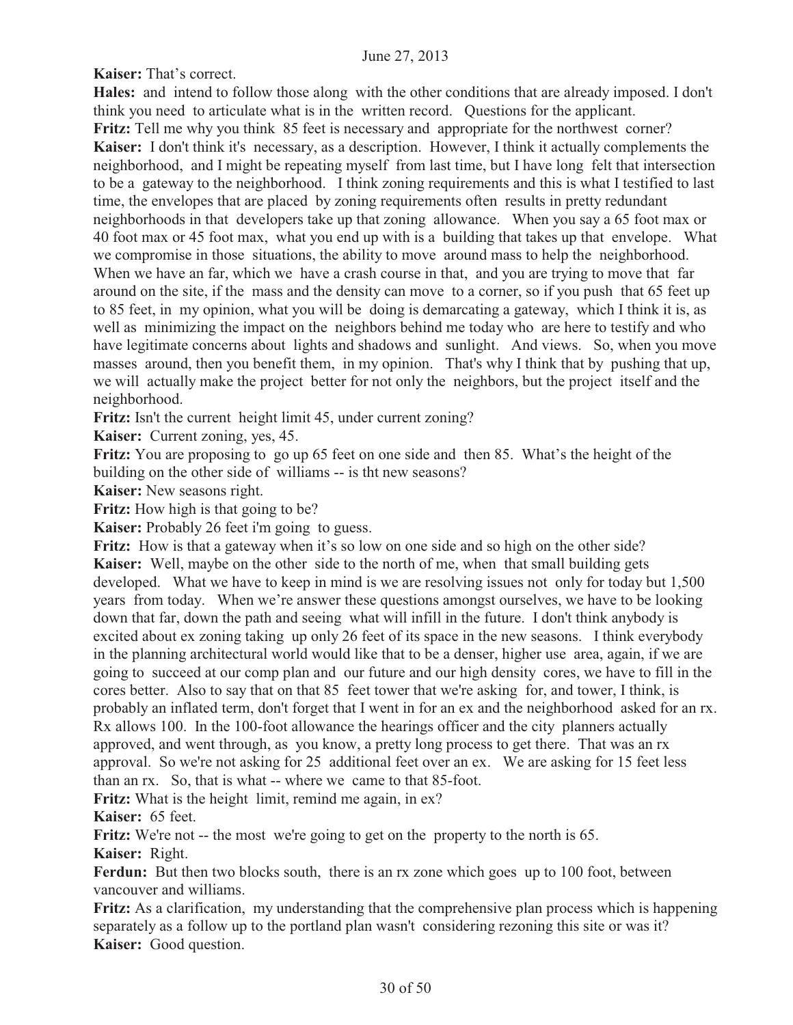**Kaiser:** That's correct.

**Hales:** and intend to follow those along with the other conditions that are already imposed. I don't think you need to articulate what is in the written record. Questions for the applicant. **Fritz:** Tell me why you think 85 feet is necessary and appropriate for the northwest corner? **Kaiser:** I don't think it's necessary, as a description. However, I think it actually complements the neighborhood, and I might be repeating myself from last time, but I have long felt that intersection to be a gateway to the neighborhood. I think zoning requirements and this is what I testified to last time, the envelopes that are placed by zoning requirements often results in pretty redundant neighborhoods in that developers take up that zoning allowance. When you say a 65 foot max or 40 foot max or 45 foot max, what you end up with is a building that takes up that envelope. What we compromise in those situations, the ability to move around mass to help the neighborhood. When we have an far, which we have a crash course in that, and you are trying to move that far around on the site, if the mass and the density can move to a corner, so if you push that 65 feet up to 85 feet, in my opinion, what you will be doing is demarcating a gateway, which I think it is, as well as minimizing the impact on the neighbors behind me today who are here to testify and who have legitimate concerns about lights and shadows and sunlight. And views. So, when you move masses around, then you benefit them, in my opinion. That's why I think that by pushing that up, we will actually make the project better for not only the neighbors, but the project itself and the neighborhood.

**Fritz:** Isn't the current height limit 45, under current zoning?

**Kaiser:** Current zoning, yes, 45.

**Fritz:** You are proposing to go up 65 feet on one side and then 85. What's the height of the building on the other side of williams -- is tht new seasons?

**Kaiser:** New seasons right.

**Fritz:** How high is that going to be?

**Kaiser:** Probably 26 feet i'm going to guess.

**Fritz:** How is that a gateway when it's so low on one side and so high on the other side? **Kaiser:** Well, maybe on the other side to the north of me, when that small building gets developed. What we have to keep in mind is we are resolving issues not only for today but 1,500 years from today. When we're answer these questions amongst ourselves, we have to be looking down that far, down the path and seeing what will infill in the future. I don't think anybody is excited about ex zoning taking up only 26 feet of its space in the new seasons. I think everybody in the planning architectural world would like that to be a denser, higher use area, again, if we are going to succeed at our comp plan and our future and our high density cores, we have to fill in the cores better. Also to say that on that 85 feet tower that we're asking for, and tower, I think, is probably an inflated term, don't forget that I went in for an ex and the neighborhood asked for an rx. Rx allows 100. In the 100-foot allowance the hearings officer and the city planners actually approved, and went through, as you know, a pretty long process to get there. That was an rx approval. So we're not asking for 25 additional feet over an ex. We are asking for 15 feet less than an rx. So, that is what -- where we came to that 85-foot.

**Fritz:** What is the height limit, remind me again, in ex?

**Kaiser:** 65 feet.

**Fritz:** We're not -- the most we're going to get on the property to the north is 65.

**Kaiser:** Right.

**Ferdun:** But then two blocks south, there is an rx zone which goes up to 100 foot, between vancouver and williams.

**Fritz:** As a clarification, my understanding that the comprehensive plan process which is happening separately as a follow up to the portland plan wasn't considering rezoning this site or was it? **Kaiser:** Good question.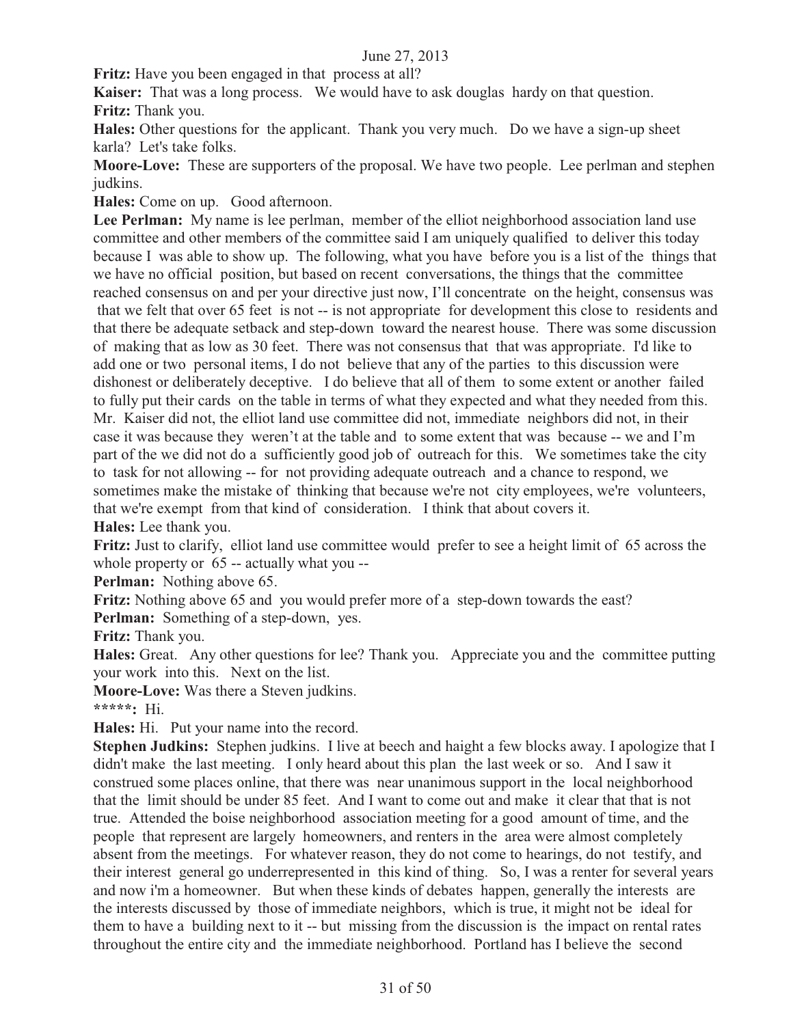**Fritz:** Have you been engaged in that process at all?

**Kaiser:** That was a long process. We would have to ask douglas hardy on that question. **Fritz:** Thank you.

**Hales:** Other questions for the applicant. Thank you very much. Do we have a sign-up sheet karla? Let's take folks.

**Moore-Love:** These are supporters of the proposal. We have two people. Lee perlman and stephen judkins.

**Hales:** Come on up. Good afternoon.

Lee Perlman: My name is lee perlman, member of the elliot neighborhood association land use committee and other members of the committee said I am uniquely qualified to deliver this today because I was able to show up. The following, what you have before you is a list of the things that we have no official position, but based on recent conversations, the things that the committee reached consensus on and per your directive just now, I'll concentrate on the height, consensus was that we felt that over 65 feet is not -- is not appropriate for development this close to residents and that there be adequate setback and step-down toward the nearest house. There was some discussion of making that as low as 30 feet. There was not consensus that that was appropriate. I'd like to add one or two personal items, I do not believe that any of the parties to this discussion were dishonest or deliberately deceptive. I do believe that all of them to some extent or another failed to fully put their cards on the table in terms of what they expected and what they needed from this. Mr. Kaiser did not, the elliot land use committee did not, immediate neighbors did not, in their case it was because they weren't at the table and to some extent that was because -- we and I'm part of the we did not do a sufficiently good job of outreach for this. We sometimes take the city to task for not allowing -- for not providing adequate outreach and a chance to respond, we sometimes make the mistake of thinking that because we're not city employees, we're volunteers, that we're exempt from that kind of consideration. I think that about covers it. **Hales:** Lee thank you.

**Fritz:** Just to clarify, elliot land use committee would prefer to see a height limit of 65 across the whole property or 65 -- actually what you --

**Perlman:** Nothing above 65.

**Fritz:** Nothing above 65 and you would prefer more of a step-down towards the east?

**Perlman:** Something of a step-down, yes.

**Fritz:** Thank you.

**Hales:** Great. Any other questions for lee? Thank you. Appreciate you and the committee putting your work into this. Next on the list.

**Moore-Love:** Was there a Steven judkins.

**\*\*\*\*\*:** Hi.

**Hales:** Hi. Put your name into the record.

**Stephen Judkins:** Stephen judkins. I live at beech and haight a few blocks away. I apologize that I didn't make the last meeting. I only heard about this plan the last week or so. And I saw it construed some places online, that there was near unanimous support in the local neighborhood that the limit should be under 85 feet. And I want to come out and make it clear that that is not true. Attended the boise neighborhood association meeting for a good amount of time, and the people that represent are largely homeowners, and renters in the area were almost completely absent from the meetings. For whatever reason, they do not come to hearings, do not testify, and their interest general go underrepresented in this kind of thing. So, I was a renter for several years and now i'm a homeowner. But when these kinds of debates happen, generally the interests are the interests discussed by those of immediate neighbors, which is true, it might not be ideal for them to have a building next to it -- but missing from the discussion is the impact on rental rates throughout the entire city and the immediate neighborhood. Portland has I believe the second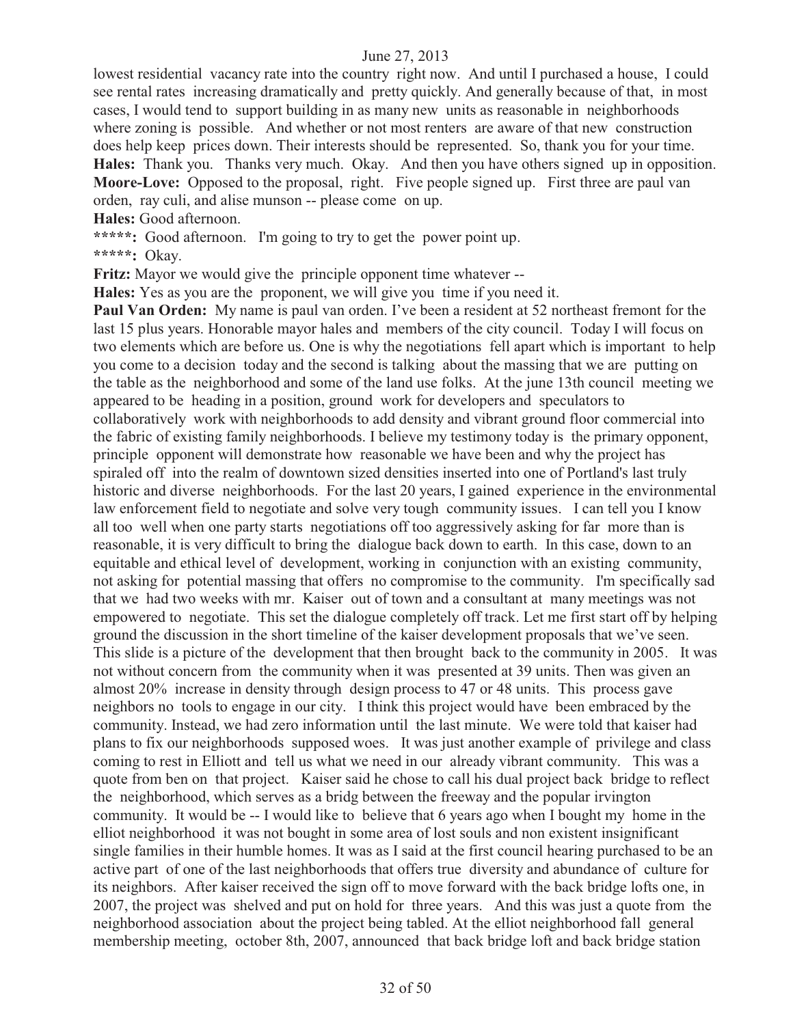lowest residential vacancy rate into the country right now. And until I purchased a house, I could see rental rates increasing dramatically and pretty quickly. And generally because of that, in most cases, I would tend to support building in as many new units as reasonable in neighborhoods where zoning is possible. And whether or not most renters are aware of that new construction does help keep prices down. Their interests should be represented. So, thank you for your time. **Hales:** Thank you. Thanks very much. Okay. And then you have others signed up in opposition. **Moore-Love:** Opposed to the proposal, right. Five people signed up. First three are paul van orden, ray culi, and alise munson -- please come on up.

**Hales:** Good afternoon.

**\*\*\*\*\*:** Good afternoon. I'm going to try to get the power point up.

**\*\*\*\*\*:** Okay.

**Fritz:** Mayor we would give the principle opponent time whatever --

**Hales:** Yes as you are the proponent, we will give you time if you need it.

**Paul Van Orden:** My name is paul van orden. I've been a resident at 52 northeast fremont for the last 15 plus years. Honorable mayor hales and members of the city council. Today I will focus on two elements which are before us. One is why the negotiations fell apart which is important to help you come to a decision today and the second is talking about the massing that we are putting on the table as the neighborhood and some of the land use folks. At the june 13th council meeting we appeared to be heading in a position, ground work for developers and speculators to collaboratively work with neighborhoods to add density and vibrant ground floor commercial into the fabric of existing family neighborhoods. I believe my testimony today is the primary opponent, principle opponent will demonstrate how reasonable we have been and why the project has spiraled off into the realm of downtown sized densities inserted into one of Portland's last truly historic and diverse neighborhoods. For the last 20 years, I gained experience in the environmental law enforcement field to negotiate and solve very tough community issues. I can tell you I know all too well when one party starts negotiations off too aggressively asking for far more than is reasonable, it is very difficult to bring the dialogue back down to earth. In this case, down to an equitable and ethical level of development, working in conjunction with an existing community, not asking for potential massing that offers no compromise to the community. I'm specifically sad that we had two weeks with mr. Kaiser out of town and a consultant at many meetings was not empowered to negotiate. This set the dialogue completely off track. Let me first start off by helping ground the discussion in the short timeline of the kaiser development proposals that we've seen. This slide is a picture of the development that then brought back to the community in 2005. It was not without concern from the community when it was presented at 39 units. Then was given an almost 20% increase in density through design process to 47 or 48 units. This process gave neighbors no tools to engage in our city. I think this project would have been embraced by the community. Instead, we had zero information until the last minute. We were told that kaiser had plans to fix our neighborhoods supposed woes. It was just another example of privilege and class coming to rest in Elliott and tell us what we need in our already vibrant community. This was a quote from ben on that project. Kaiser said he chose to call his dual project back bridge to reflect the neighborhood, which serves as a bridg between the freeway and the popular irvington community. It would be -- I would like to believe that 6 years ago when I bought my home in the elliot neighborhood it was not bought in some area of lost souls and non existent insignificant single families in their humble homes. It was as I said at the first council hearing purchased to be an active part of one of the last neighborhoods that offers true diversity and abundance of culture for its neighbors. After kaiser received the sign off to move forward with the back bridge lofts one, in 2007, the project was shelved and put on hold for three years. And this was just a quote from the neighborhood association about the project being tabled. At the elliot neighborhood fall general membership meeting, october 8th, 2007, announced that back bridge loft and back bridge station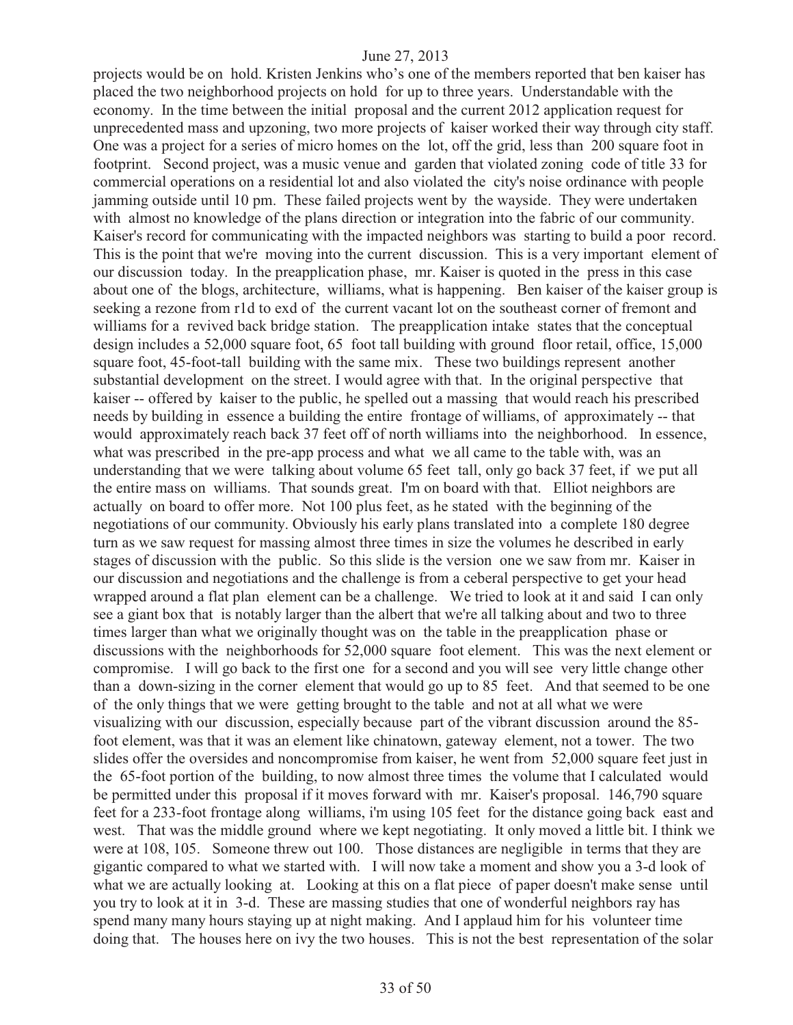projects would be on hold. Kristen Jenkins who's one of the members reported that ben kaiser has placed the two neighborhood projects on hold for up to three years. Understandable with the economy. In the time between the initial proposal and the current 2012 application request for unprecedented mass and upzoning, two more projects of kaiser worked their way through city staff. One was a project for a series of micro homes on the lot, off the grid, less than 200 square foot in footprint. Second project, was a music venue and garden that violated zoning code of title 33 for commercial operations on a residential lot and also violated the city's noise ordinance with people jamming outside until 10 pm. These failed projects went by the wayside. They were undertaken with almost no knowledge of the plans direction or integration into the fabric of our community. Kaiser's record for communicating with the impacted neighbors was starting to build a poor record. This is the point that we're moving into the current discussion. This is a very important element of our discussion today. In the preapplication phase, mr. Kaiser is quoted in the press in this case about one of the blogs, architecture, williams, what is happening. Ben kaiser of the kaiser group is seeking a rezone from r1d to exd of the current vacant lot on the southeast corner of fremont and williams for a revived back bridge station. The preapplication intake states that the conceptual design includes a 52,000 square foot, 65 foot tall building with ground floor retail, office, 15,000 square foot, 45-foot-tall building with the same mix. These two buildings represent another substantial development on the street. I would agree with that. In the original perspective that kaiser -- offered by kaiser to the public, he spelled out a massing that would reach his prescribed needs by building in essence a building the entire frontage of williams, of approximately -- that would approximately reach back 37 feet off of north williams into the neighborhood. In essence, what was prescribed in the pre-app process and what we all came to the table with, was an understanding that we were talking about volume 65 feet tall, only go back 37 feet, if we put all the entire mass on williams. That sounds great. I'm on board with that. Elliot neighbors are actually on board to offer more. Not 100 plus feet, as he stated with the beginning of the negotiations of our community. Obviously his early plans translated into a complete 180 degree turn as we saw request for massing almost three times in size the volumes he described in early stages of discussion with the public. So this slide is the version one we saw from mr. Kaiser in our discussion and negotiations and the challenge is from a ceberal perspective to get your head wrapped around a flat plan element can be a challenge. We tried to look at it and said I can only see a giant box that is notably larger than the albert that we're all talking about and two to three times larger than what we originally thought was on the table in the preapplication phase or discussions with the neighborhoods for 52,000 square foot element. This was the next element or compromise. I will go back to the first one for a second and you will see very little change other than a down-sizing in the corner element that would go up to 85 feet. And that seemed to be one of the only things that we were getting brought to the table and not at all what we were visualizing with our discussion, especially because part of the vibrant discussion around the 85 foot element, was that it was an element like chinatown, gateway element, not a tower. The two slides offer the oversides and noncompromise from kaiser, he went from 52,000 square feet just in the 65-foot portion of the building, to now almost three times the volume that I calculated would be permitted under this proposal if it moves forward with mr. Kaiser's proposal. 146,790 square feet for a 233-foot frontage along williams, i'm using 105 feet for the distance going back east and west. That was the middle ground where we kept negotiating. It only moved a little bit. I think we were at 108, 105. Someone threw out 100. Those distances are negligible in terms that they are gigantic compared to what we started with. I will now take a moment and show you a 3-d look of what we are actually looking at. Looking at this on a flat piece of paper doesn't make sense until you try to look at it in 3-d. These are massing studies that one of wonderful neighbors ray has spend many many hours staying up at night making. And I applaud him for his volunteer time doing that. The houses here on ivy the two houses. This is not the best representation of the solar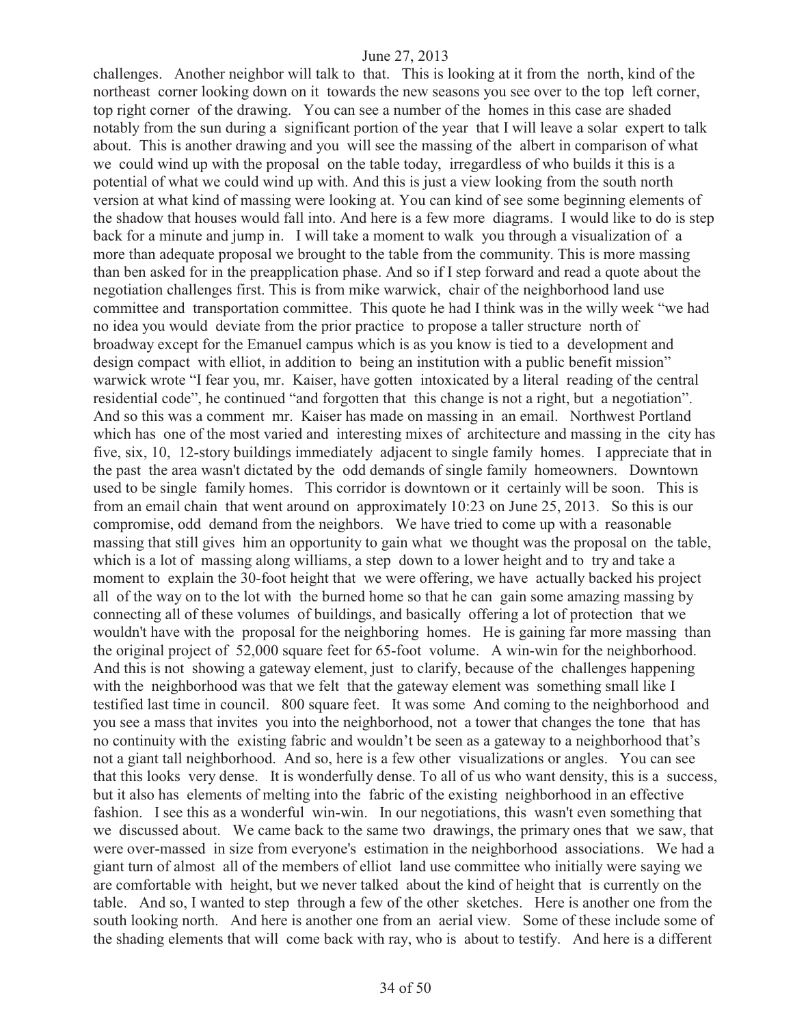challenges. Another neighbor will talk to that. This is looking at it from the north, kind of the northeast corner looking down on it towards the new seasons you see over to the top left corner, top right corner of the drawing. You can see a number of the homes in this case are shaded notably from the sun during a significant portion of the year that I will leave a solar expert to talk about. This is another drawing and you will see the massing of the albert in comparison of what we could wind up with the proposal on the table today, irregardless of who builds it this is a potential of what we could wind up with. And this is just a view looking from the south north version at what kind of massing were looking at. You can kind of see some beginning elements of the shadow that houses would fall into. And here is a few more diagrams. I would like to do is step back for a minute and jump in. I will take a moment to walk you through a visualization of a more than adequate proposal we brought to the table from the community. This is more massing than ben asked for in the preapplication phase. And so if I step forward and read a quote about the negotiation challenges first. This is from mike warwick, chair of the neighborhood land use committee and transportation committee. This quote he had I think was in the willy week "we had no idea you would deviate from the prior practice to propose a taller structure north of broadway except for the Emanuel campus which is as you know is tied to a development and design compact with elliot, in addition to being an institution with a public benefit mission" warwick wrote "I fear you, mr. Kaiser, have gotten intoxicated by a literal reading of the central residential code", he continued "and forgotten that this change is not a right, but a negotiation". And so this was a comment mr. Kaiser has made on massing in an email. Northwest Portland which has one of the most varied and interesting mixes of architecture and massing in the city has five, six, 10, 12-story buildings immediately adjacent to single family homes. I appreciate that in the past the area wasn't dictated by the odd demands of single family homeowners. Downtown used to be single family homes. This corridor is downtown or it certainly will be soon. This is from an email chain that went around on approximately 10:23 on June 25, 2013. So this is our compromise, odd demand from the neighbors. We have tried to come up with a reasonable massing that still gives him an opportunity to gain what we thought was the proposal on the table, which is a lot of massing along williams, a step down to a lower height and to try and take a moment to explain the 30-foot height that we were offering, we have actually backed his project all of the way on to the lot with the burned home so that he can gain some amazing massing by connecting all of these volumes of buildings, and basically offering a lot of protection that we wouldn't have with the proposal for the neighboring homes. He is gaining far more massing than the original project of 52,000 square feet for 65-foot volume. A win-win for the neighborhood. And this is not showing a gateway element, just to clarify, because of the challenges happening with the neighborhood was that we felt that the gateway element was something small like I testified last time in council. 800 square feet. It was some And coming to the neighborhood and you see a mass that invites you into the neighborhood, not a tower that changes the tone that has no continuity with the existing fabric and wouldn't be seen as a gateway to a neighborhood that's not a giant tall neighborhood. And so, here is a few other visualizations or angles. You can see that this looks very dense. It is wonderfully dense. To all of us who want density, this is a success, but it also has elements of melting into the fabric of the existing neighborhood in an effective fashion. I see this as a wonderful win-win. In our negotiations, this wasn't even something that we discussed about. We came back to the same two drawings, the primary ones that we saw, that were over-massed in size from everyone's estimation in the neighborhood associations. We had a giant turn of almost all of the members of elliot land use committee who initially were saying we are comfortable with height, but we never talked about the kind of height that is currently on the table. And so, I wanted to step through a few of the other sketches. Here is another one from the south looking north. And here is another one from an aerial view. Some of these include some of the shading elements that will come back with ray, who is about to testify. And here is a different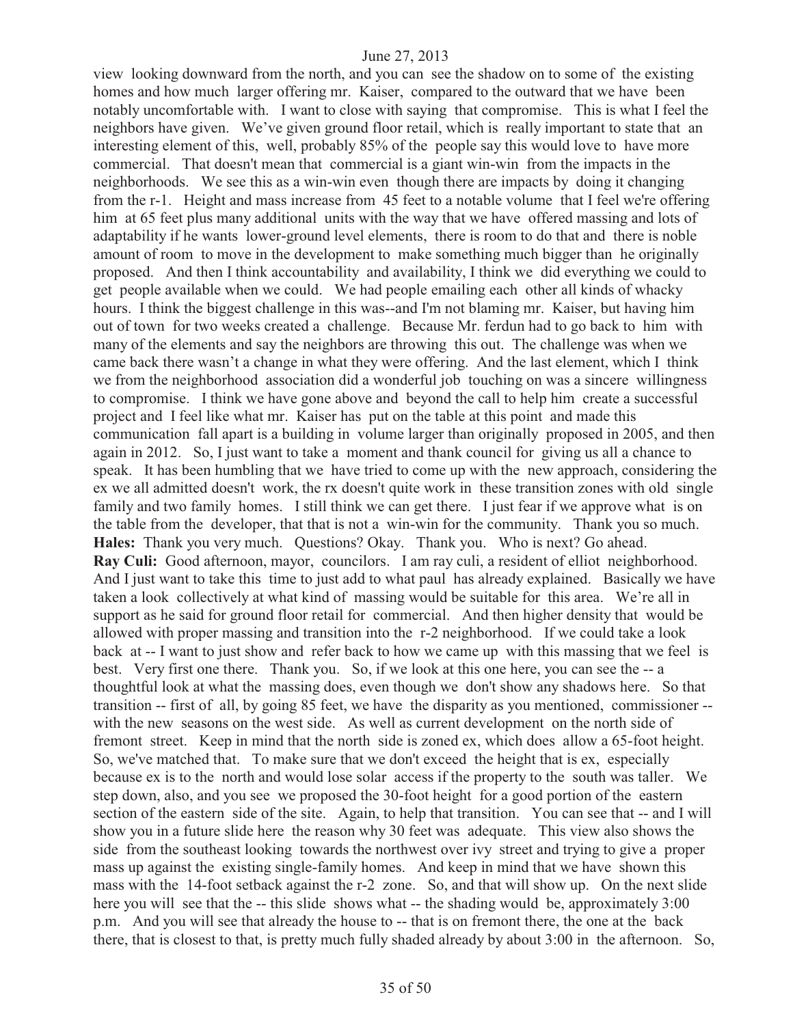view looking downward from the north, and you can see the shadow on to some of the existing homes and how much larger offering mr. Kaiser, compared to the outward that we have been notably uncomfortable with. I want to close with saying that compromise. This is what I feel the neighbors have given. We've given ground floor retail, which is really important to state that an interesting element of this, well, probably 85% of the people say this would love to have more commercial. That doesn't mean that commercial is a giant win-win from the impacts in the neighborhoods. We see this as a win-win even though there are impacts by doing it changing from the r-1. Height and mass increase from 45 feet to a notable volume that I feel we're offering him at 65 feet plus many additional units with the way that we have offered massing and lots of adaptability if he wants lower-ground level elements, there is room to do that and there is noble amount of room to move in the development to make something much bigger than he originally proposed. And then I think accountability and availability, I think we did everything we could to get people available when we could. We had people emailing each other all kinds of whacky hours. I think the biggest challenge in this was--and I'm not blaming mr. Kaiser, but having him out of town for two weeks created a challenge. Because Mr. ferdun had to go back to him with many of the elements and say the neighbors are throwing this out. The challenge was when we came back there wasn't a change in what they were offering. And the last element, which I think we from the neighborhood association did a wonderful job touching on was a sincere willingness to compromise. I think we have gone above and beyond the call to help him create a successful project and I feel like what mr. Kaiser has put on the table at this point and made this communication fall apart is a building in volume larger than originally proposed in 2005, and then again in 2012. So, I just want to take a moment and thank council for giving us all a chance to speak. It has been humbling that we have tried to come up with the new approach, considering the ex we all admitted doesn't work, the rx doesn't quite work in these transition zones with old single family and two family homes. I still think we can get there. I just fear if we approve what is on the table from the developer, that that is not a win-win for the community. Thank you so much. **Hales:** Thank you very much. Questions? Okay. Thank you. Who is next? Go ahead. **Ray Culi:** Good afternoon, mayor, councilors. I am ray culi, a resident of elliot neighborhood. And I just want to take this time to just add to what paul has already explained. Basically we have taken a look collectively at what kind of massing would be suitable for this area. We're all in support as he said for ground floor retail for commercial. And then higher density that would be allowed with proper massing and transition into the r-2 neighborhood. If we could take a look back at -- I want to just show and refer back to how we came up with this massing that we feel is best. Very first one there. Thank you. So, if we look at this one here, you can see the -- a thoughtful look at what the massing does, even though we don't show any shadows here. So that transition -- first of all, by going 85 feet, we have the disparity as you mentioned, commissioner - with the new seasons on the west side. As well as current development on the north side of fremont street. Keep in mind that the north side is zoned ex, which does allow a 65-foot height. So, we've matched that. To make sure that we don't exceed the height that is ex, especially because ex is to the north and would lose solar access if the property to the south was taller. We step down, also, and you see we proposed the 30-foot height for a good portion of the eastern section of the eastern side of the site. Again, to help that transition. You can see that -- and I will show you in a future slide here the reason why 30 feet was adequate. This view also shows the side from the southeast looking towards the northwest over ivy street and trying to give a proper mass up against the existing single-family homes. And keep in mind that we have shown this mass with the 14-foot setback against the r-2 zone. So, and that will show up. On the next slide here you will see that the -- this slide shows what -- the shading would be, approximately 3:00 p.m. And you will see that already the house to -- that is on fremont there, the one at the back there, that is closest to that, is pretty much fully shaded already by about 3:00 in the afternoon. So,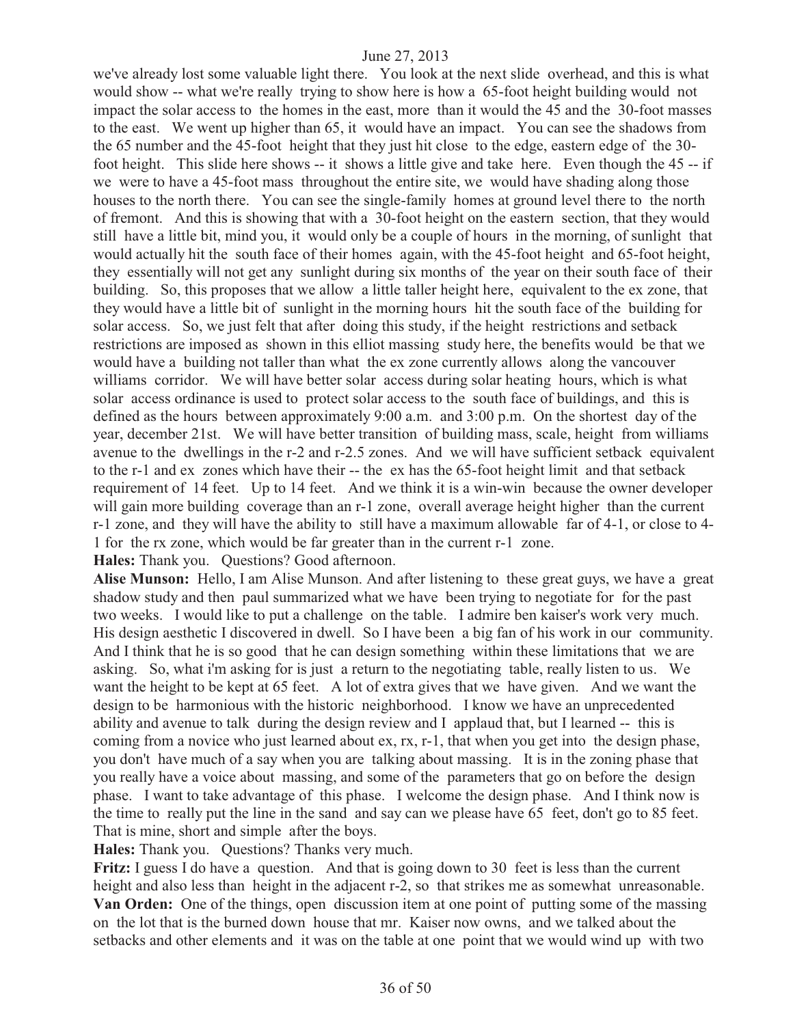we've already lost some valuable light there. You look at the next slide overhead, and this is what would show -- what we're really trying to show here is how a 65-foot height building would not impact the solar access to the homes in the east, more than it would the 45 and the 30-foot masses to the east. We went up higher than 65, it would have an impact. You can see the shadows from the 65 number and the 45-foot height that they just hit close to the edge, eastern edge of the 30 foot height. This slide here shows -- it shows a little give and take here. Even though the 45 -- if we were to have a 45-foot mass throughout the entire site, we would have shading along those houses to the north there. You can see the single-family homes at ground level there to the north of fremont. And this is showing that with a 30-foot height on the eastern section, that they would still have a little bit, mind you, it would only be a couple of hours in the morning, of sunlight that would actually hit the south face of their homes again, with the 45-foot height and 65-foot height, they essentially will not get any sunlight during six months of the year on their south face of their building. So, this proposes that we allow a little taller height here, equivalent to the ex zone, that they would have a little bit of sunlight in the morning hours hit the south face of the building for solar access. So, we just felt that after doing this study, if the height restrictions and setback restrictions are imposed as shown in this elliot massing study here, the benefits would be that we would have a building not taller than what the ex zone currently allows along the vancouver williams corridor. We will have better solar access during solar heating hours, which is what solar access ordinance is used to protect solar access to the south face of buildings, and this is defined as the hours between approximately 9:00 a.m. and 3:00 p.m. On the shortest day of the year, december 21st. We will have better transition of building mass, scale, height from williams avenue to the dwellings in the r-2 and r-2.5 zones. And we will have sufficient setback equivalent to the r-1 and ex zones which have their -- the ex has the 65-foot height limit and that setback requirement of 14 feet. Up to 14 feet. And we think it is a win-win because the owner developer will gain more building coverage than an r-1 zone, overall average height higher than the current r-1 zone, and they will have the ability to still have a maximum allowable far of 4-1, or close to 4- 1 for the rx zone, which would be far greater than in the current r-1 zone.

**Hales:** Thank you. Questions? Good afternoon.

**Alise Munson:** Hello, I am Alise Munson. And after listening to these great guys, we have a great shadow study and then paul summarized what we have been trying to negotiate for for the past two weeks. I would like to put a challenge on the table. I admire ben kaiser's work very much. His design aesthetic I discovered in dwell. So I have been a big fan of his work in our community. And I think that he is so good that he can design something within these limitations that we are asking. So, what i'm asking for is just a return to the negotiating table, really listen to us. We want the height to be kept at 65 feet. A lot of extra gives that we have given. And we want the design to be harmonious with the historic neighborhood. I know we have an unprecedented ability and avenue to talk during the design review and I applaud that, but I learned -- this is coming from a novice who just learned about ex, rx, r-1, that when you get into the design phase, you don't have much of a say when you are talking about massing. It is in the zoning phase that you really have a voice about massing, and some of the parameters that go on before the design phase. I want to take advantage of this phase. I welcome the design phase. And I think now is the time to really put the line in the sand and say can we please have 65 feet, don't go to 85 feet. That is mine, short and simple after the boys.

**Hales:** Thank you. Questions? Thanks very much.

**Fritz:** I guess I do have a question. And that is going down to 30 feet is less than the current height and also less than height in the adjacent r-2, so that strikes me as somewhat unreasonable. **Van Orden:** One of the things, open discussion item at one point of putting some of the massing on the lot that is the burned down house that mr. Kaiser now owns, and we talked about the setbacks and other elements and it was on the table at one point that we would wind up with two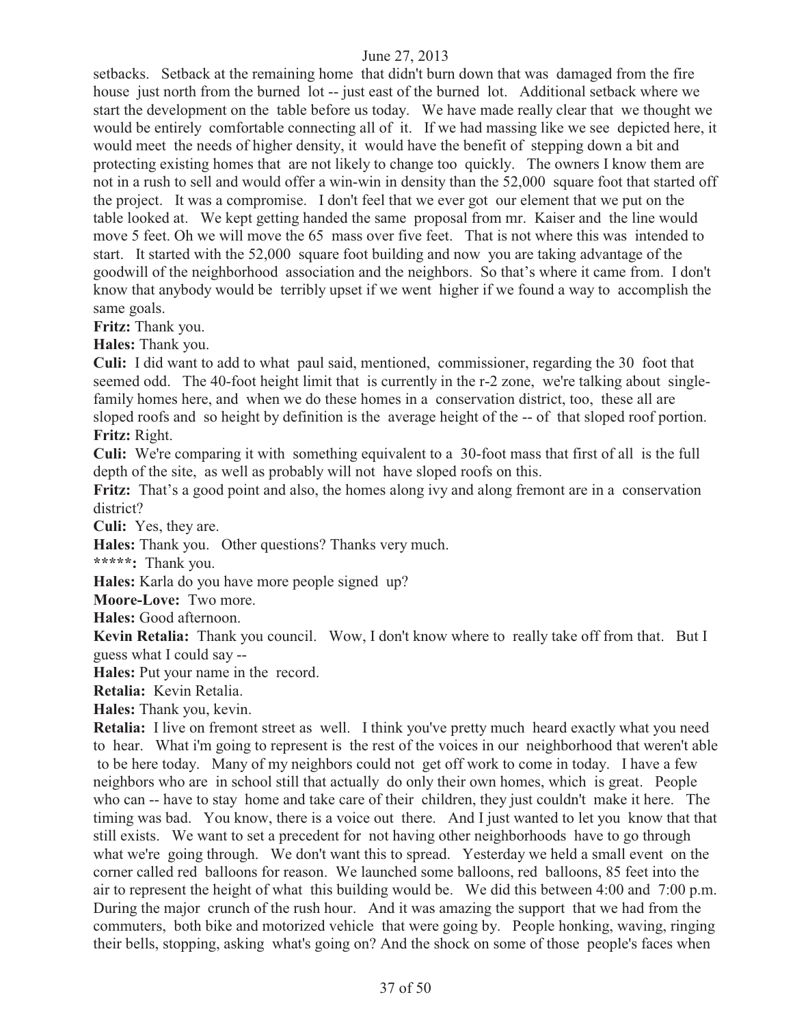setbacks. Setback at the remaining home that didn't burn down that was damaged from the fire house just north from the burned lot -- just east of the burned lot. Additional setback where we start the development on the table before us today. We have made really clear that we thought we would be entirely comfortable connecting all of it. If we had massing like we see depicted here, it would meet the needs of higher density, it would have the benefit of stepping down a bit and protecting existing homes that are not likely to change too quickly. The owners I know them are not in a rush to sell and would offer a win-win in density than the 52,000 square foot that started off the project. It was a compromise. I don't feel that we ever got our element that we put on the table looked at. We kept getting handed the same proposal from mr. Kaiser and the line would move 5 feet. Oh we will move the 65 mass over five feet. That is not where this was intended to start. It started with the 52,000 square foot building and now you are taking advantage of the goodwill of the neighborhood association and the neighbors. So that's where it came from. I don't know that anybody would be terribly upset if we went higher if we found a way to accomplish the same goals.

**Fritz:** Thank you.

**Hales:** Thank you.

**Culi:** I did want to add to what paul said, mentioned, commissioner, regarding the 30 foot that seemed odd. The 40-foot height limit that is currently in the r-2 zone, we're talking about singlefamily homes here, and when we do these homes in a conservation district, too, these all are sloped roofs and so height by definition is the average height of the -- of that sloped roof portion. **Fritz:** Right.

**Culi:** We're comparing it with something equivalent to a 30-foot mass that first of all is the full depth of the site, as well as probably will not have sloped roofs on this.

**Fritz:** That's a good point and also, the homes along ivy and along fremont are in a conservation district?

**Culi:** Yes, they are.

**Hales:** Thank you. Other questions? Thanks very much.

**\*\*\*\*\*:** Thank you.

**Hales:** Karla do you have more people signed up?

**Moore-Love:** Two more.

**Hales:** Good afternoon.

**Kevin Retalia:** Thank you council. Wow, I don't know where to really take off from that. But I guess what I could say --

**Hales:** Put your name in the record.

**Retalia:** Kevin Retalia.

**Hales:** Thank you, kevin.

**Retalia:** I live on fremont street as well. I think you've pretty much heard exactly what you need to hear. What i'm going to represent is the rest of the voices in our neighborhood that weren't able to be here today. Many of my neighbors could not get off work to come in today. I have a few neighbors who are in school still that actually do only their own homes, which is great. People who can -- have to stay home and take care of their children, they just couldn't make it here. The timing was bad. You know, there is a voice out there. And I just wanted to let you know that that still exists. We want to set a precedent for not having other neighborhoods have to go through what we're going through. We don't want this to spread. Yesterday we held a small event on the corner called red balloons for reason. We launched some balloons, red balloons, 85 feet into the air to represent the height of what this building would be. We did this between 4:00 and 7:00 p.m. During the major crunch of the rush hour. And it was amazing the support that we had from the commuters, both bike and motorized vehicle that were going by. People honking, waving, ringing their bells, stopping, asking what's going on? And the shock on some of those people's faces when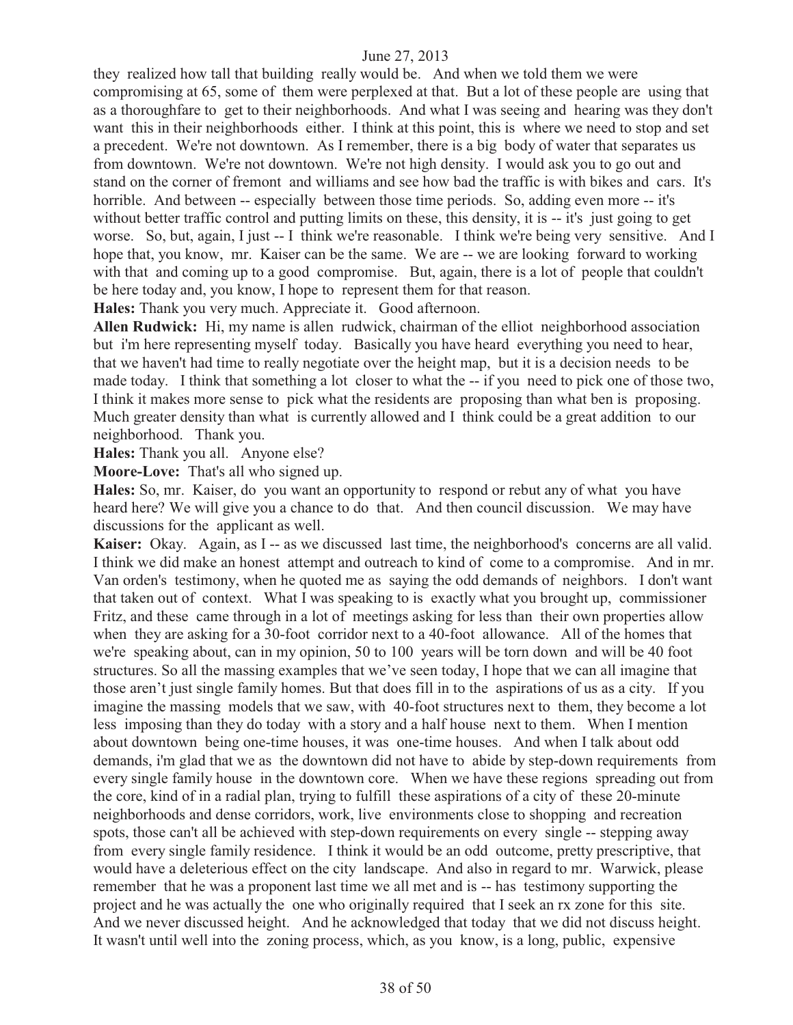they realized how tall that building really would be. And when we told them we were compromising at 65, some of them were perplexed at that. But a lot of these people are using that as a thoroughfare to get to their neighborhoods. And what I was seeing and hearing was they don't want this in their neighborhoods either. I think at this point, this is where we need to stop and set a precedent. We're not downtown. As I remember, there is a big body of water that separates us from downtown. We're not downtown. We're not high density. I would ask you to go out and stand on the corner of fremont and williams and see how bad the traffic is with bikes and cars. It's horrible. And between -- especially between those time periods. So, adding even more -- it's without better traffic control and putting limits on these, this density, it is -- it's just going to get worse. So, but, again, I just -- I think we're reasonable. I think we're being very sensitive. And I hope that, you know, mr. Kaiser can be the same. We are -- we are looking forward to working with that and coming up to a good compromise. But, again, there is a lot of people that couldn't be here today and, you know, I hope to represent them for that reason.

**Hales:** Thank you very much. Appreciate it. Good afternoon.

**Allen Rudwick:** Hi, my name is allen rudwick, chairman of the elliot neighborhood association but i'm here representing myself today. Basically you have heard everything you need to hear, that we haven't had time to really negotiate over the height map, but it is a decision needs to be made today. I think that something a lot closer to what the -- if you need to pick one of those two, I think it makes more sense to pick what the residents are proposing than what ben is proposing. Much greater density than what is currently allowed and I think could be a great addition to our neighborhood. Thank you.

**Hales:** Thank you all. Anyone else?

**Moore-Love:** That's all who signed up.

**Hales:** So, mr. Kaiser, do you want an opportunity to respond or rebut any of what you have heard here? We will give you a chance to do that. And then council discussion. We may have discussions for the applicant as well.

**Kaiser:** Okay. Again, as I -- as we discussed last time, the neighborhood's concerns are all valid. I think we did make an honest attempt and outreach to kind of come to a compromise. And in mr. Van orden's testimony, when he quoted me as saying the odd demands of neighbors. I don't want that taken out of context. What I was speaking to is exactly what you brought up, commissioner Fritz, and these came through in a lot of meetings asking for less than their own properties allow when they are asking for a 30-foot corridor next to a 40-foot allowance. All of the homes that we're speaking about, can in my opinion, 50 to 100 years will be torn down and will be 40 foot structures. So all the massing examples that we've seen today, I hope that we can all imagine that those aren't just single family homes. But that does fill in to the aspirations of us as a city. If you imagine the massing models that we saw, with 40-foot structures next to them, they become a lot less imposing than they do today with a story and a half house next to them. When I mention about downtown being one-time houses, it was one-time houses. And when I talk about odd demands, i'm glad that we as the downtown did not have to abide by step-down requirements from every single family house in the downtown core. When we have these regions spreading out from the core, kind of in a radial plan, trying to fulfill these aspirations of a city of these 20-minute neighborhoods and dense corridors, work, live environments close to shopping and recreation spots, those can't all be achieved with step-down requirements on every single -- stepping away from every single family residence. I think it would be an odd outcome, pretty prescriptive, that would have a deleterious effect on the city landscape. And also in regard to mr. Warwick, please remember that he was a proponent last time we all met and is -- has testimony supporting the project and he was actually the one who originally required that I seek an rx zone for this site. And we never discussed height. And he acknowledged that today that we did not discuss height. It wasn't until well into the zoning process, which, as you know, is a long, public, expensive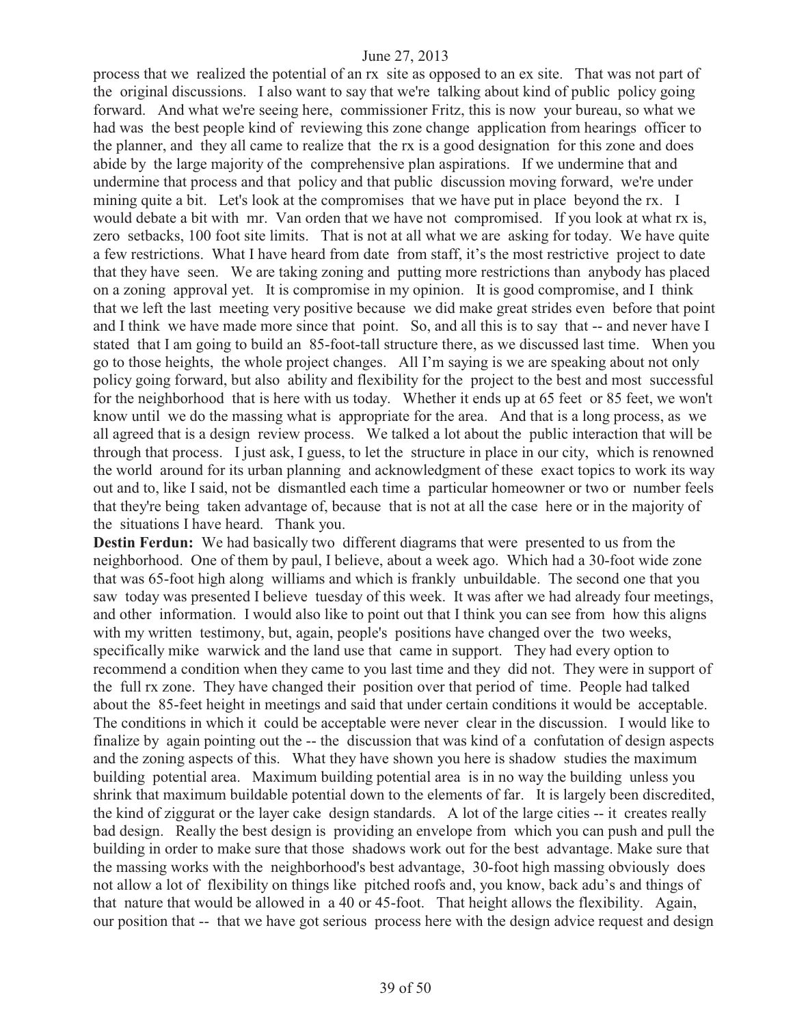process that we realized the potential of an rx site as opposed to an ex site. That was not part of the original discussions. I also want to say that we're talking about kind of public policy going forward. And what we're seeing here, commissioner Fritz, this is now your bureau, so what we had was the best people kind of reviewing this zone change application from hearings officer to the planner, and they all came to realize that the rx is a good designation for this zone and does abide by the large majority of the comprehensive plan aspirations. If we undermine that and undermine that process and that policy and that public discussion moving forward, we're under mining quite a bit. Let's look at the compromises that we have put in place beyond the rx. I would debate a bit with mr. Van orden that we have not compromised. If you look at what rx is, zero setbacks, 100 foot site limits. That is not at all what we are asking for today. We have quite a few restrictions. What I have heard from date from staff, it's the most restrictive project to date that they have seen. We are taking zoning and putting more restrictions than anybody has placed on a zoning approval yet. It is compromise in my opinion. It is good compromise, and I think that we left the last meeting very positive because we did make great strides even before that point and I think we have made more since that point. So, and all this is to say that -- and never have I stated that I am going to build an 85-foot-tall structure there, as we discussed last time. When you go to those heights, the whole project changes. All I'm saying is we are speaking about not only policy going forward, but also ability and flexibility for the project to the best and most successful for the neighborhood that is here with us today. Whether it ends up at 65 feet or 85 feet, we won't know until we do the massing what is appropriate for the area. And that is a long process, as we all agreed that is a design review process. We talked a lot about the public interaction that will be through that process. I just ask, I guess, to let the structure in place in our city, which is renowned the world around for its urban planning and acknowledgment of these exact topics to work its way out and to, like I said, not be dismantled each time a particular homeowner or two or number feels that they're being taken advantage of, because that is not at all the case here or in the majority of the situations I have heard. Thank you.

**Destin Ferdun:** We had basically two different diagrams that were presented to us from the neighborhood. One of them by paul, I believe, about a week ago. Which had a 30-foot wide zone that was 65-foot high along williams and which is frankly unbuildable. The second one that you saw today was presented I believe tuesday of this week. It was after we had already four meetings, and other information. I would also like to point out that I think you can see from how this aligns with my written testimony, but, again, people's positions have changed over the two weeks, specifically mike warwick and the land use that came in support. They had every option to recommend a condition when they came to you last time and they did not. They were in support of the full rx zone. They have changed their position over that period of time. People had talked about the 85-feet height in meetings and said that under certain conditions it would be acceptable. The conditions in which it could be acceptable were never clear in the discussion. I would like to finalize by again pointing out the -- the discussion that was kind of a confutation of design aspects and the zoning aspects of this. What they have shown you here is shadow studies the maximum building potential area. Maximum building potential area is in no way the building unless you shrink that maximum buildable potential down to the elements of far. It is largely been discredited, the kind of ziggurat or the layer cake design standards. A lot of the large cities -- it creates really bad design. Really the best design is providing an envelope from which you can push and pull the building in order to make sure that those shadows work out for the best advantage. Make sure that the massing works with the neighborhood's best advantage, 30-foot high massing obviously does not allow a lot of flexibility on things like pitched roofs and, you know, back adu's and things of that nature that would be allowed in a 40 or 45-foot. That height allows the flexibility. Again, our position that -- that we have got serious process here with the design advice request and design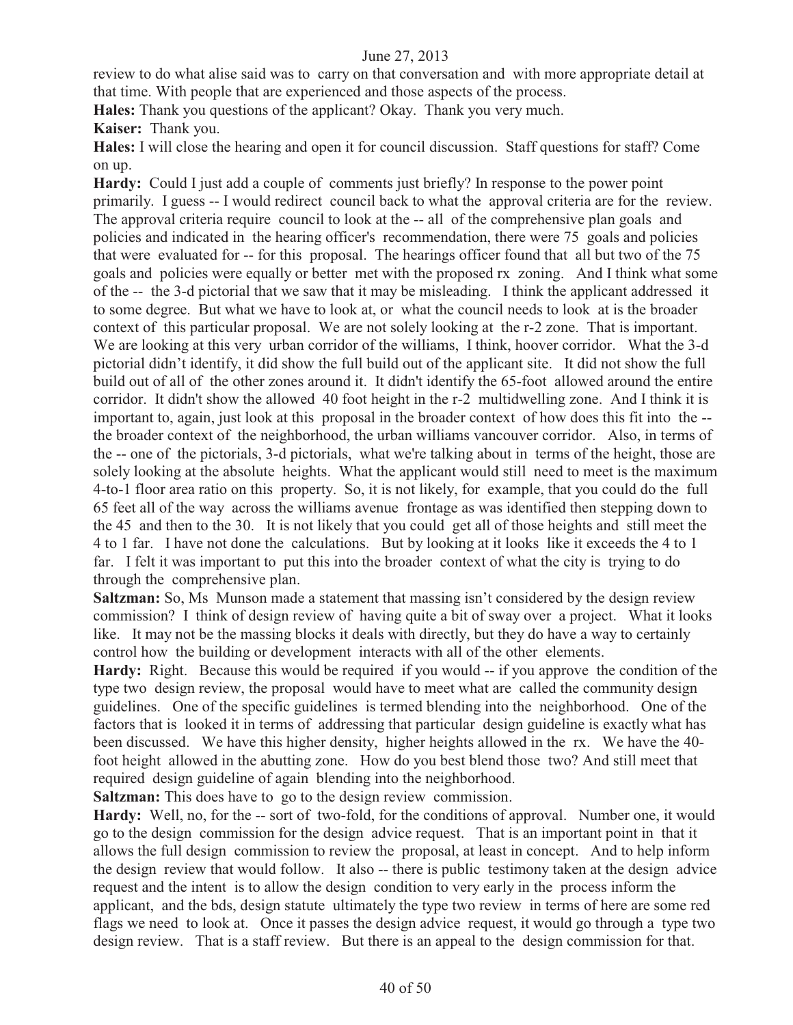review to do what alise said was to carry on that conversation and with more appropriate detail at that time. With people that are experienced and those aspects of the process.

**Hales:** Thank you questions of the applicant? Okay. Thank you very much.

**Kaiser:** Thank you.

**Hales:** I will close the hearing and open it for council discussion. Staff questions for staff? Come on up.

**Hardy:** Could I just add a couple of comments just briefly? In response to the power point primarily. I guess -- I would redirect council back to what the approval criteria are for the review. The approval criteria require council to look at the -- all of the comprehensive plan goals and policies and indicated in the hearing officer's recommendation, there were 75 goals and policies that were evaluated for -- for this proposal. The hearings officer found that all but two of the 75 goals and policies were equally or better met with the proposed rx zoning. And I think what some of the -- the 3-d pictorial that we saw that it may be misleading. I think the applicant addressed it to some degree. But what we have to look at, or what the council needs to look at is the broader context of this particular proposal. We are not solely looking at the r-2 zone. That is important. We are looking at this very urban corridor of the williams, I think, hoover corridor. What the 3-d pictorial didn't identify, it did show the full build out of the applicant site. It did not show the full build out of all of the other zones around it. It didn't identify the 65-foot allowed around the entire corridor. It didn't show the allowed 40 foot height in the r-2 multidwelling zone. And I think it is important to, again, just look at this proposal in the broader context of how does this fit into the - the broader context of the neighborhood, the urban williams vancouver corridor. Also, in terms of the -- one of the pictorials, 3-d pictorials, what we're talking about in terms of the height, those are solely looking at the absolute heights. What the applicant would still need to meet is the maximum 4-to-1 floor area ratio on this property. So, it is not likely, for example, that you could do the full 65 feet all of the way across the williams avenue frontage as was identified then stepping down to the 45 and then to the 30. It is not likely that you could get all of those heights and still meet the 4 to 1 far. I have not done the calculations. But by looking at it looks like it exceeds the 4 to 1 far. I felt it was important to put this into the broader context of what the city is trying to do through the comprehensive plan.

**Saltzman:** So, Ms Munson made a statement that massing isn't considered by the design review commission? I think of design review of having quite a bit of sway over a project. What it looks like. It may not be the massing blocks it deals with directly, but they do have a way to certainly control how the building or development interacts with all of the other elements.

Hardy: Right. Because this would be required if you would -- if you approve the condition of the type two design review, the proposal would have to meet what are called the community design guidelines. One of the specific guidelines is termed blending into the neighborhood. One of the factors that is looked it in terms of addressing that particular design guideline is exactly what has been discussed. We have this higher density, higher heights allowed in the rx. We have the 40 foot height allowed in the abutting zone. How do you best blend those two? And still meet that required design guideline of again blending into the neighborhood.

**Saltzman:** This does have to go to the design review commission.

Hardy: Well, no, for the -- sort of two-fold, for the conditions of approval. Number one, it would go to the design commission for the design advice request. That is an important point in that it allows the full design commission to review the proposal, at least in concept. And to help inform the design review that would follow. It also -- there is public testimony taken at the design advice request and the intent is to allow the design condition to very early in the process inform the applicant, and the bds, design statute ultimately the type two review in terms of here are some red flags we need to look at. Once it passes the design advice request, it would go through a type two design review. That is a staff review. But there is an appeal to the design commission for that.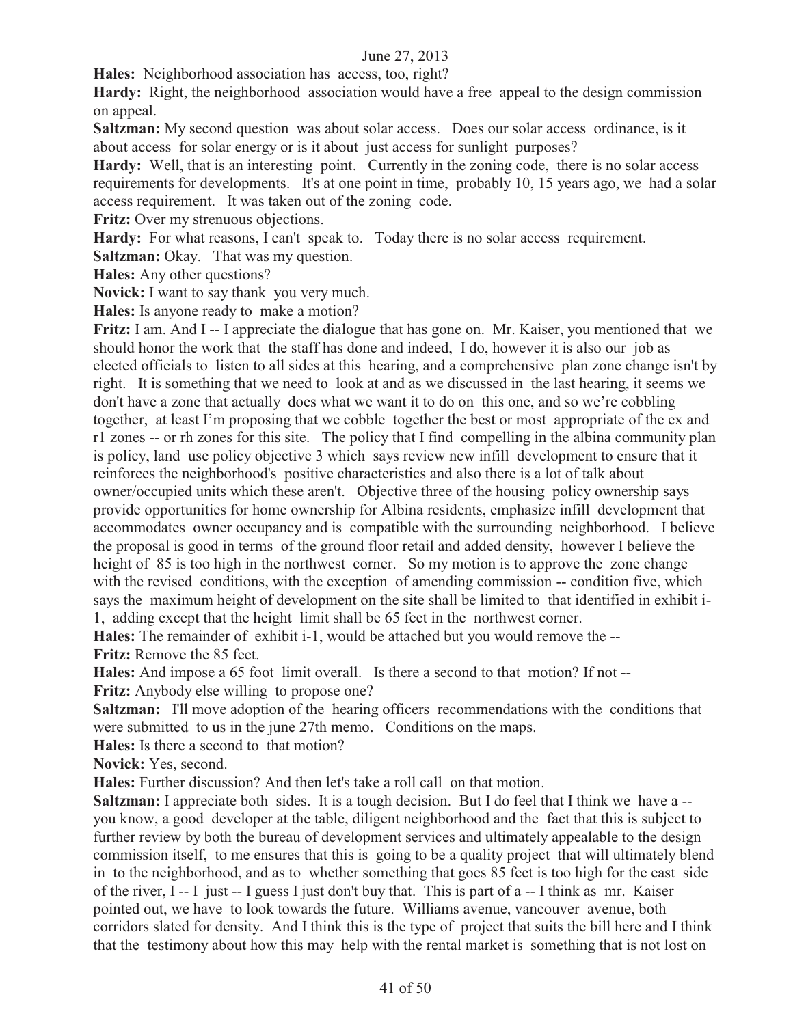**Hales:** Neighborhood association has access, too, right?

Hardy: Right, the neighborhood association would have a free appeal to the design commission on appeal.

**Saltzman:** My second question was about solar access. Does our solar access ordinance, is it about access for solar energy or is it about just access for sunlight purposes?

Hardy: Well, that is an interesting point. Currently in the zoning code, there is no solar access requirements for developments. It's at one point in time, probably 10, 15 years ago, we had a solar access requirement. It was taken out of the zoning code.

**Fritz:** Over my strenuous objections.

Hardy: For what reasons, I can't speak to. Today there is no solar access requirement.

**Saltzman:** Okay. That was my question.

**Hales:** Any other questions?

**Novick:** I want to say thank you very much.

**Hales:** Is anyone ready to make a motion?

**Fritz:** I am. And I -- I appreciate the dialogue that has gone on. Mr. Kaiser, you mentioned that we should honor the work that the staff has done and indeed, I do, however it is also our job as elected officials to listen to all sides at this hearing, and a comprehensive plan zone change isn't by right. It is something that we need to look at and as we discussed in the last hearing, it seems we don't have a zone that actually does what we want it to do on this one, and so we're cobbling together, at least I'm proposing that we cobble together the best or most appropriate of the ex and r1 zones -- or rh zones for this site. The policy that I find compelling in the albina community plan is policy, land use policy objective 3 which says review new infill development to ensure that it reinforces the neighborhood's positive characteristics and also there is a lot of talk about owner/occupied units which these aren't. Objective three of the housing policy ownership says provide opportunities for home ownership for Albina residents, emphasize infill development that accommodates owner occupancy and is compatible with the surrounding neighborhood. I believe the proposal is good in terms of the ground floor retail and added density, however I believe the height of 85 is too high in the northwest corner. So my motion is to approve the zone change with the revised conditions, with the exception of amending commission -- condition five, which says the maximum height of development on the site shall be limited to that identified in exhibit i-1, adding except that the height limit shall be 65 feet in the northwest corner.

**Hales:** The remainder of exhibit i-1, would be attached but you would remove the -- **Fritz:** Remove the 85 feet.

**Hales:** And impose a 65 foot limit overall. Is there a second to that motion? If not --

**Fritz:** Anybody else willing to propose one?

**Saltzman:** I'll move adoption of the hearing officers recommendations with the conditions that were submitted to us in the june 27th memo. Conditions on the maps.

**Hales:** Is there a second to that motion?

**Novick:** Yes, second.

**Hales:** Further discussion? And then let's take a roll call on that motion.

**Saltzman:** I appreciate both sides. It is a tough decision. But I do feel that I think we have a -you know, a good developer at the table, diligent neighborhood and the fact that this is subject to further review by both the bureau of development services and ultimately appealable to the design commission itself, to me ensures that this is going to be a quality project that will ultimately blend in to the neighborhood, and as to whether something that goes 85 feet is too high for the east side of the river, I -- I just -- I guess I just don't buy that. This is part of a -- I think as mr. Kaiser pointed out, we have to look towards the future. Williams avenue, vancouver avenue, both corridors slated for density. And I think this is the type of project that suits the bill here and I think that the testimony about how this may help with the rental market is something that is not lost on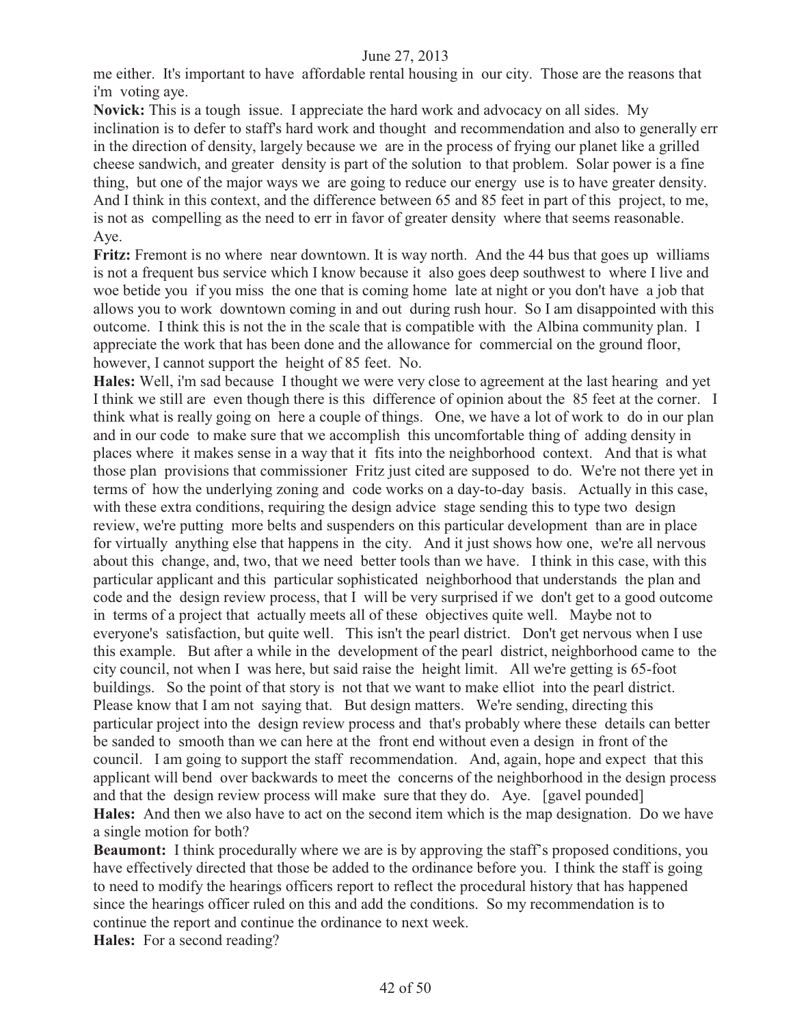me either. It's important to have affordable rental housing in our city. Those are the reasons that i'm voting aye.

**Novick:** This is a tough issue. I appreciate the hard work and advocacy on all sides. My inclination is to defer to staff's hard work and thought and recommendation and also to generally err in the direction of density, largely because we are in the process of frying our planet like a grilled cheese sandwich, and greater density is part of the solution to that problem. Solar power is a fine thing, but one of the major ways we are going to reduce our energy use is to have greater density. And I think in this context, and the difference between 65 and 85 feet in part of this project, to me, is not as compelling as the need to err in favor of greater density where that seems reasonable. Aye.

**Fritz:** Fremont is no where near downtown. It is way north. And the 44 bus that goes up williams is not a frequent bus service which I know because it also goes deep southwest to where I live and woe betide you if you miss the one that is coming home late at night or you don't have a job that allows you to work downtown coming in and out during rush hour. So I am disappointed with this outcome. I think this is not the in the scale that is compatible with the Albina community plan. I appreciate the work that has been done and the allowance for commercial on the ground floor, however, I cannot support the height of 85 feet. No.

**Hales:** Well, i'm sad because I thought we were very close to agreement at the last hearing and yet I think we still are even though there is this difference of opinion about the 85 feet at the corner. I think what is really going on here a couple of things. One, we have a lot of work to do in our plan and in our code to make sure that we accomplish this uncomfortable thing of adding density in places where it makes sense in a way that it fits into the neighborhood context. And that is what those plan provisions that commissioner Fritz just cited are supposed to do. We're not there yet in terms of how the underlying zoning and code works on a day-to-day basis. Actually in this case, with these extra conditions, requiring the design advice stage sending this to type two design review, we're putting more belts and suspenders on this particular development than are in place for virtually anything else that happens in the city. And it just shows how one, we're all nervous about this change, and, two, that we need better tools than we have. I think in this case, with this particular applicant and this particular sophisticated neighborhood that understands the plan and code and the design review process, that I will be very surprised if we don't get to a good outcome in terms of a project that actually meets all of these objectives quite well. Maybe not to everyone's satisfaction, but quite well. This isn't the pearl district. Don't get nervous when I use this example. But after a while in the development of the pearl district, neighborhood came to the city council, not when I was here, but said raise the height limit. All we're getting is 65-foot buildings. So the point of that story is not that we want to make elliot into the pearl district. Please know that I am not saying that. But design matters. We're sending, directing this particular project into the design review process and that's probably where these details can better be sanded to smooth than we can here at the front end without even a design in front of the council. I am going to support the staff recommendation. And, again, hope and expect that this applicant will bend over backwards to meet the concerns of the neighborhood in the design process and that the design review process will make sure that they do. Aye. [gavel pounded] **Hales:** And then we also have to act on the second item which is the map designation. Do we have a single motion for both?

**Beaumont:** I think procedurally where we are is by approving the staff's proposed conditions, you have effectively directed that those be added to the ordinance before you. I think the staff is going to need to modify the hearings officers report to reflect the procedural history that has happened since the hearings officer ruled on this and add the conditions. So my recommendation is to continue the report and continue the ordinance to next week. Hales: For a second reading?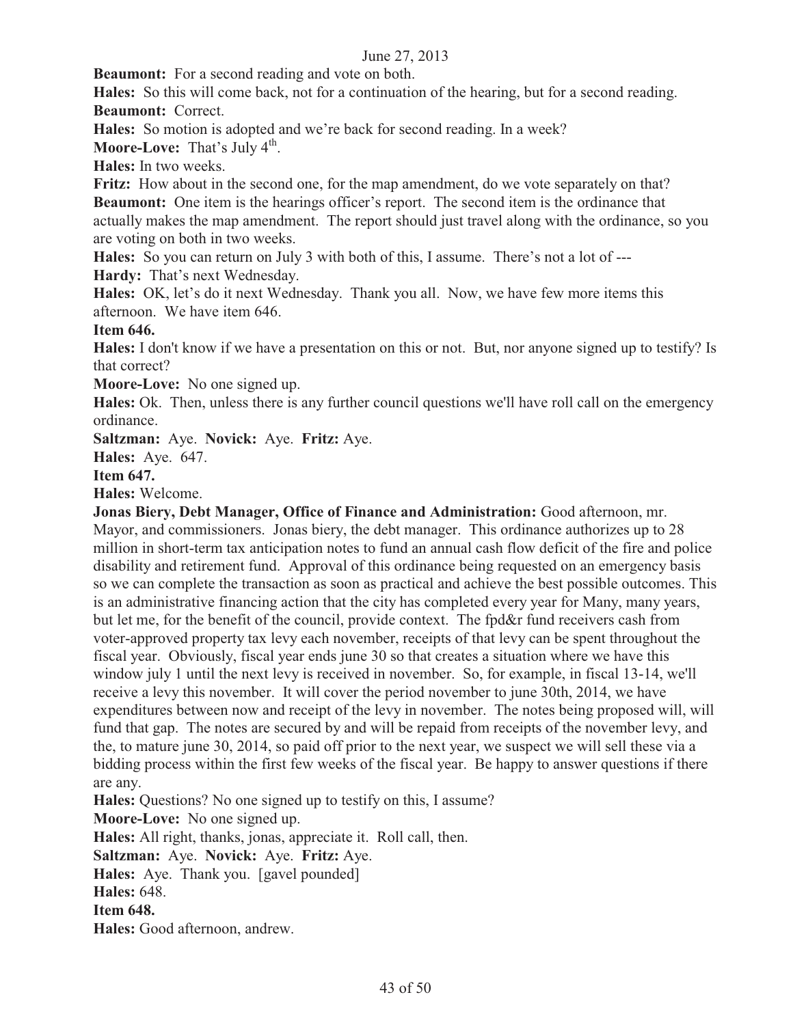**Beaumont:** For a second reading and vote on both.

**Hales:** So this will come back, not for a continuation of the hearing, but for a second reading. **Beaumont:** Correct.

**Hales:** So motion is adopted and we're back for second reading. In a week?

**Moore-Love:** That's July 4<sup>th</sup>.

**Hales:** In two weeks.

**Fritz:** How about in the second one, for the map amendment, do we vote separately on that? **Beaumont:** One item is the hearings officer's report. The second item is the ordinance that actually makes the map amendment. The report should just travel along with the ordinance, so you are voting on both in two weeks.

**Hales:** So you can return on July 3 with both of this, I assume. There's not a lot of --- **Hardy:** That's next Wednesday.

**Hales:** OK, let's do it next Wednesday. Thank you all. Now, we have few more items this afternoon. We have item 646.

#### **Item 646.**

**Hales:** I don't know if we have a presentation on this or not. But, nor anyone signed up to testify? Is that correct?

**Moore-Love:** No one signed up.

**Hales:** Ok. Then, unless there is any further council questions we'll have roll call on the emergency ordinance.

**Saltzman:** Aye. **Novick:** Aye. **Fritz:** Aye.

**Hales:** Aye. 647.

# **Item 647.**

**Hales:** Welcome.

**Jonas Biery, Debt Manager, Office of Finance and Administration:** Good afternoon, mr. Mayor, and commissioners. Jonas biery, the debt manager. This ordinance authorizes up to 28 million in short-term tax anticipation notes to fund an annual cash flow deficit of the fire and police disability and retirement fund. Approval of this ordinance being requested on an emergency basis so we can complete the transaction as soon as practical and achieve the best possible outcomes. This is an administrative financing action that the city has completed every year for Many, many years, but let me, for the benefit of the council, provide context. The fpd&r fund receivers cash from voter-approved property tax levy each november, receipts of that levy can be spent throughout the fiscal year. Obviously, fiscal year ends june 30 so that creates a situation where we have this window july 1 until the next levy is received in november. So, for example, in fiscal 13-14, we'll receive a levy this november. It will cover the period november to june 30th, 2014, we have expenditures between now and receipt of the levy in november. The notes being proposed will, will fund that gap. The notes are secured by and will be repaid from receipts of the november levy, and the, to mature june 30, 2014, so paid off prior to the next year, we suspect we will sell these via a bidding process within the first few weeks of the fiscal year. Be happy to answer questions if there are any.

**Hales:** Questions? No one signed up to testify on this, I assume?

**Moore-Love:** No one signed up.

**Hales:** All right, thanks, jonas, appreciate it. Roll call, then.

**Saltzman:** Aye. **Novick:** Aye. **Fritz:** Aye.

**Hales:** Aye. Thank you. [gavel pounded]

**Hales:** 648.

**Item 648.** 

**Hales:** Good afternoon, andrew.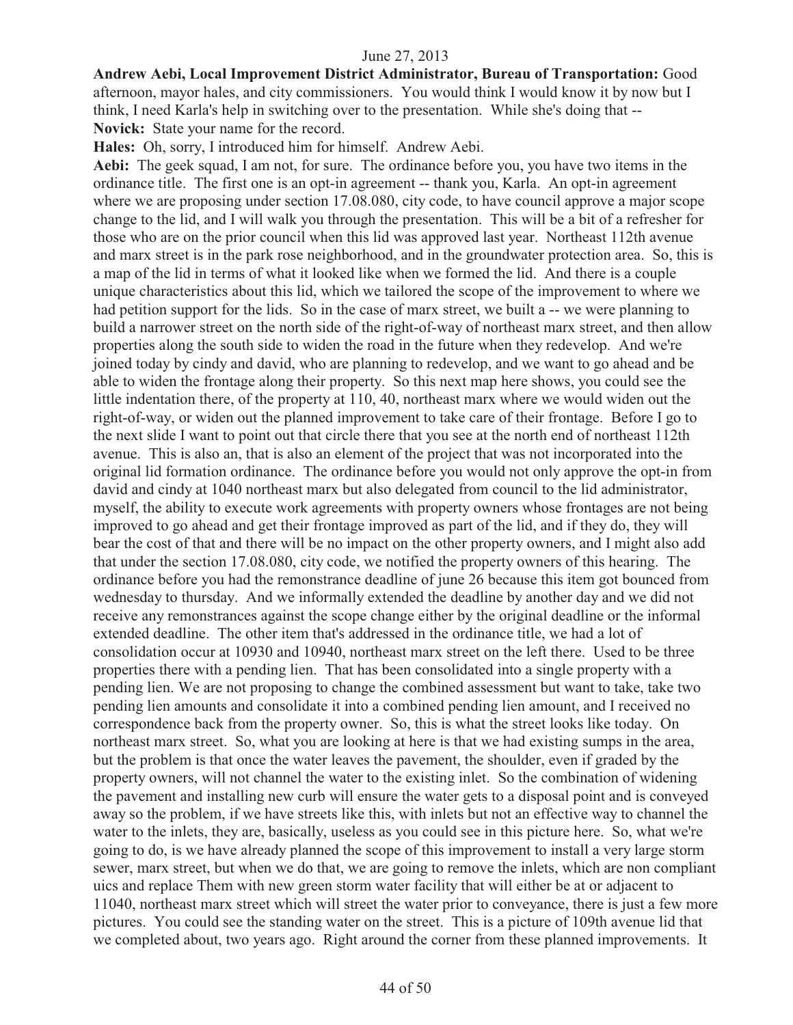**Andrew Aebi, Local Improvement District Administrator, Bureau of Transportation:** Good afternoon, mayor hales, and city commissioners. You would think I would know it by now but I think, I need Karla's help in switching over to the presentation. While she's doing that -- **Novick:** State your name for the record.

**Hales:** Oh, sorry, I introduced him for himself. Andrew Aebi.

**Aebi:** The geek squad, I am not, for sure. The ordinance before you, you have two items in the ordinance title. The first one is an opt-in agreement -- thank you, Karla. An opt-in agreement where we are proposing under section 17.08.080, city code, to have council approve a major scope change to the lid, and I will walk you through the presentation. This will be a bit of a refresher for those who are on the prior council when this lid was approved last year. Northeast 112th avenue and marx street is in the park rose neighborhood, and in the groundwater protection area. So, this is a map of the lid in terms of what it looked like when we formed the lid. And there is a couple unique characteristics about this lid, which we tailored the scope of the improvement to where we had petition support for the lids. So in the case of marx street, we built a -- we were planning to build a narrower street on the north side of the right-of-way of northeast marx street, and then allow properties along the south side to widen the road in the future when they redevelop. And we're joined today by cindy and david, who are planning to redevelop, and we want to go ahead and be able to widen the frontage along their property. So this next map here shows, you could see the little indentation there, of the property at 110, 40, northeast marx where we would widen out the right-of-way, or widen out the planned improvement to take care of their frontage. Before I go to the next slide I want to point out that circle there that you see at the north end of northeast 112th avenue. This is also an, that is also an element of the project that was not incorporated into the original lid formation ordinance. The ordinance before you would not only approve the opt-in from david and cindy at 1040 northeast marx but also delegated from council to the lid administrator, myself, the ability to execute work agreements with property owners whose frontages are not being improved to go ahead and get their frontage improved as part of the lid, and if they do, they will bear the cost of that and there will be no impact on the other property owners, and I might also add that under the section 17.08.080, city code, we notified the property owners of this hearing. The ordinance before you had the remonstrance deadline of june 26 because this item got bounced from wednesday to thursday. And we informally extended the deadline by another day and we did not receive any remonstrances against the scope change either by the original deadline or the informal extended deadline. The other item that's addressed in the ordinance title, we had a lot of consolidation occur at 10930 and 10940, northeast marx street on the left there. Used to be three properties there with a pending lien. That has been consolidated into a single property with a pending lien. We are not proposing to change the combined assessment but want to take, take two pending lien amounts and consolidate it into a combined pending lien amount, and I received no correspondence back from the property owner. So, this is what the street looks like today. On northeast marx street. So, what you are looking at here is that we had existing sumps in the area, but the problem is that once the water leaves the pavement, the shoulder, even if graded by the property owners, will not channel the water to the existing inlet. So the combination of widening the pavement and installing new curb will ensure the water gets to a disposal point and is conveyed away so the problem, if we have streets like this, with inlets but not an effective way to channel the water to the inlets, they are, basically, useless as you could see in this picture here. So, what we're going to do, is we have already planned the scope of this improvement to install a very large storm sewer, marx street, but when we do that, we are going to remove the inlets, which are non compliant uics and replace Them with new green storm water facility that will either be at or adjacent to 11040, northeast marx street which will street the water prior to conveyance, there is just a few more pictures. You could see the standing water on the street. This is a picture of 109th avenue lid that we completed about, two years ago. Right around the corner from these planned improvements. It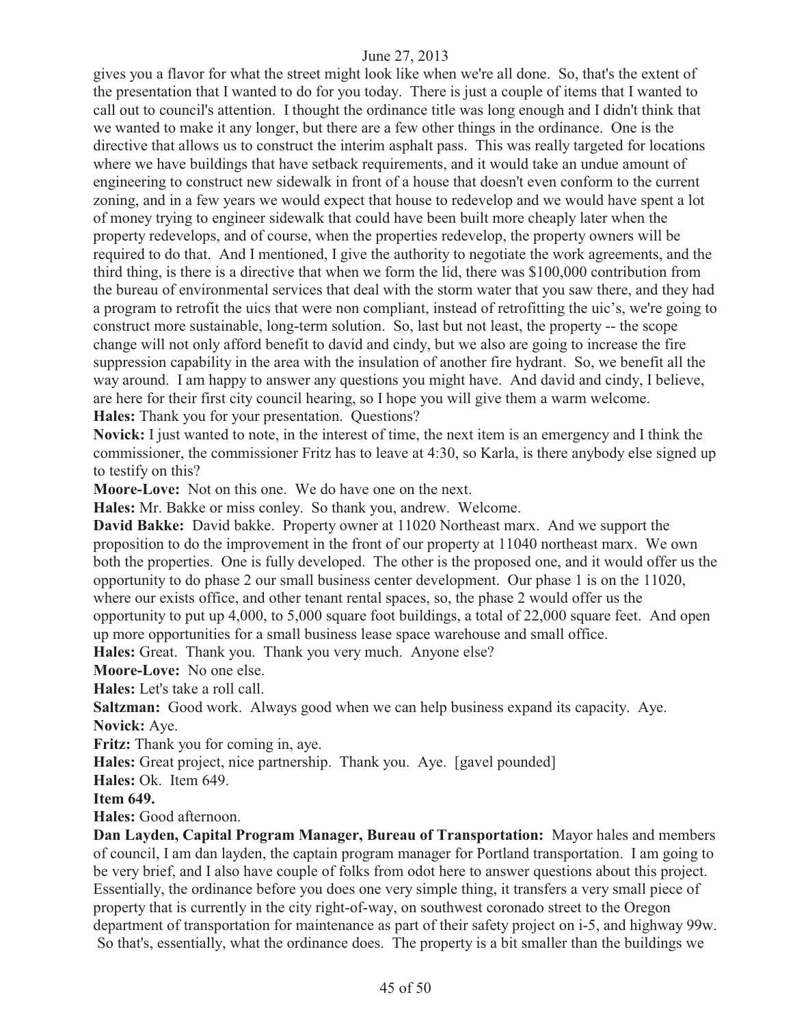gives you a flavor for what the street might look like when we're all done. So, that's the extent of the presentation that I wanted to do for you today. There is just a couple of items that I wanted to call out to council's attention. I thought the ordinance title was long enough and I didn't think that we wanted to make it any longer, but there are a few other things in the ordinance. One is the directive that allows us to construct the interim asphalt pass. This was really targeted for locations where we have buildings that have setback requirements, and it would take an undue amount of engineering to construct new sidewalk in front of a house that doesn't even conform to the current zoning, and in a few years we would expect that house to redevelop and we would have spent a lot of money trying to engineer sidewalk that could have been built more cheaply later when the property redevelops, and of course, when the properties redevelop, the property owners will be required to do that. And I mentioned, I give the authority to negotiate the work agreements, and the third thing, is there is a directive that when we form the lid, there was \$100,000 contribution from the bureau of environmental services that deal with the storm water that you saw there, and they had a program to retrofit the uics that were non compliant, instead of retrofitting the uic's, we're going to construct more sustainable, long-term solution. So, last but not least, the property -- the scope change will not only afford benefit to david and cindy, but we also are going to increase the fire suppression capability in the area with the insulation of another fire hydrant. So, we benefit all the way around. I am happy to answer any questions you might have. And david and cindy, I believe, are here for their first city council hearing, so I hope you will give them a warm welcome. **Hales:** Thank you for your presentation. Questions?

**Novick:** I just wanted to note, in the interest of time, the next item is an emergency and I think the commissioner, the commissioner Fritz has to leave at 4:30, so Karla, is there anybody else signed up to testify on this?

**Moore-Love:** Not on this one. We do have one on the next.

**Hales:** Mr. Bakke or miss conley. So thank you, andrew. Welcome.

**David Bakke:** David bakke. Property owner at 11020 Northeast marx. And we support the proposition to do the improvement in the front of our property at 11040 northeast marx. We own both the properties. One is fully developed. The other is the proposed one, and it would offer us the opportunity to do phase 2 our small business center development. Our phase 1 is on the 11020, where our exists office, and other tenant rental spaces, so, the phase 2 would offer us the opportunity to put up 4,000, to 5,000 square foot buildings, a total of 22,000 square feet. And open up more opportunities for a small business lease space warehouse and small office.

**Hales:** Great. Thank you. Thank you very much. Anyone else?

**Moore-Love:** No one else.

**Hales:** Let's take a roll call.

**Saltzman:** Good work. Always good when we can help business expand its capacity. Aye. **Novick:** Aye.

**Fritz:** Thank you for coming in, aye.

**Hales:** Great project, nice partnership. Thank you. Aye. [gavel pounded]

**Hales:** Ok. Item 649.

**Item 649.** 

**Hales:** Good afternoon.

**Dan Layden, Capital Program Manager, Bureau of Transportation:** Mayor hales and members of council, I am dan layden, the captain program manager for Portland transportation. I am going to be very brief, and I also have couple of folks from odot here to answer questions about this project. Essentially, the ordinance before you does one very simple thing, it transfers a very small piece of property that is currently in the city right-of-way, on southwest coronado street to the Oregon department of transportation for maintenance as part of their safety project on i-5, and highway 99w. So that's, essentially, what the ordinance does. The property is a bit smaller than the buildings we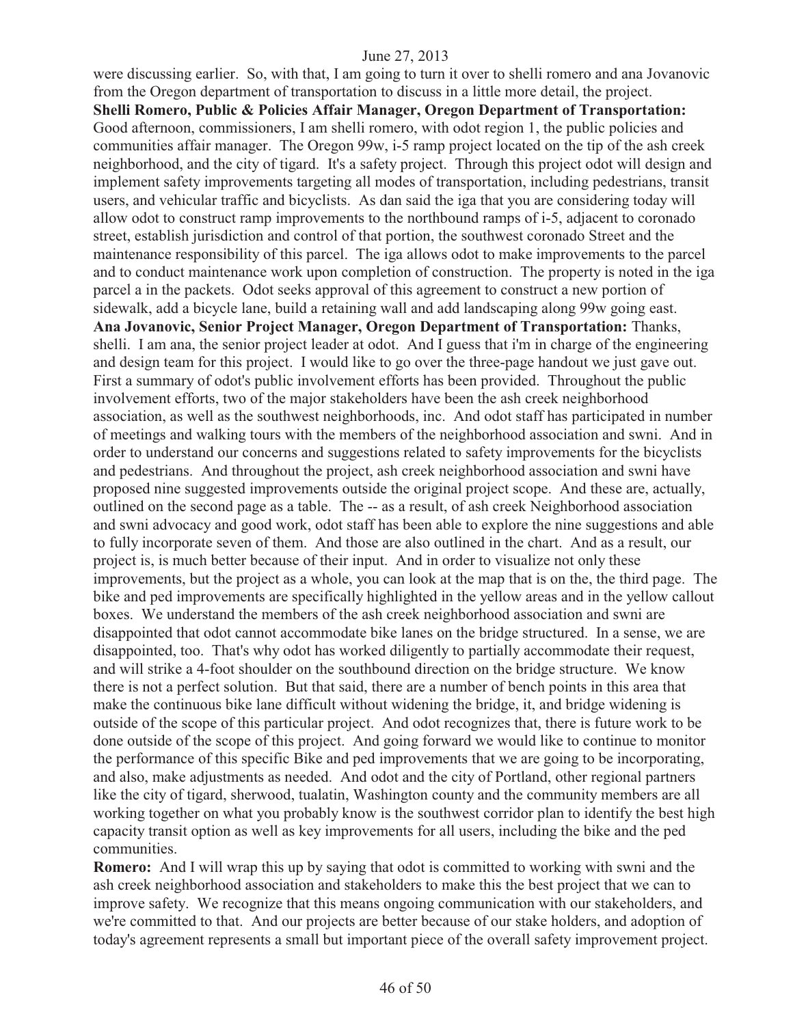were discussing earlier. So, with that, I am going to turn it over to shelli romero and ana Jovanovic from the Oregon department of transportation to discuss in a little more detail, the project. **Shelli Romero, Public & Policies Affair Manager, Oregon Department of Transportation:**  Good afternoon, commissioners, I am shelli romero, with odot region 1, the public policies and communities affair manager. The Oregon 99w, i-5 ramp project located on the tip of the ash creek neighborhood, and the city of tigard. It's a safety project. Through this project odot will design and implement safety improvements targeting all modes of transportation, including pedestrians, transit users, and vehicular traffic and bicyclists. As dan said the iga that you are considering today will allow odot to construct ramp improvements to the northbound ramps of i-5, adjacent to coronado street, establish jurisdiction and control of that portion, the southwest coronado Street and the maintenance responsibility of this parcel. The iga allows odot to make improvements to the parcel and to conduct maintenance work upon completion of construction. The property is noted in the iga parcel a in the packets. Odot seeks approval of this agreement to construct a new portion of sidewalk, add a bicycle lane, build a retaining wall and add landscaping along 99w going east. **Ana Jovanovic, Senior Project Manager, Oregon Department of Transportation:** Thanks, shelli. I am ana, the senior project leader at odot. And I guess that i'm in charge of the engineering and design team for this project. I would like to go over the three-page handout we just gave out. First a summary of odot's public involvement efforts has been provided. Throughout the public involvement efforts, two of the major stakeholders have been the ash creek neighborhood association, as well as the southwest neighborhoods, inc. And odot staff has participated in number of meetings and walking tours with the members of the neighborhood association and swni. And in order to understand our concerns and suggestions related to safety improvements for the bicyclists and pedestrians. And throughout the project, ash creek neighborhood association and swni have proposed nine suggested improvements outside the original project scope. And these are, actually, outlined on the second page as a table. The -- as a result, of ash creek Neighborhood association and swni advocacy and good work, odot staff has been able to explore the nine suggestions and able to fully incorporate seven of them. And those are also outlined in the chart. And as a result, our project is, is much better because of their input. And in order to visualize not only these improvements, but the project as a whole, you can look at the map that is on the, the third page. The bike and ped improvements are specifically highlighted in the yellow areas and in the yellow callout boxes. We understand the members of the ash creek neighborhood association and swni are disappointed that odot cannot accommodate bike lanes on the bridge structured. In a sense, we are disappointed, too. That's why odot has worked diligently to partially accommodate their request, and will strike a 4-foot shoulder on the southbound direction on the bridge structure. We know there is not a perfect solution. But that said, there are a number of bench points in this area that make the continuous bike lane difficult without widening the bridge, it, and bridge widening is outside of the scope of this particular project. And odot recognizes that, there is future work to be done outside of the scope of this project. And going forward we would like to continue to monitor the performance of this specific Bike and ped improvements that we are going to be incorporating, and also, make adjustments as needed. And odot and the city of Portland, other regional partners like the city of tigard, sherwood, tualatin, Washington county and the community members are all working together on what you probably know is the southwest corridor plan to identify the best high capacity transit option as well as key improvements for all users, including the bike and the ped communities.

**Romero:** And I will wrap this up by saying that odot is committed to working with swni and the ash creek neighborhood association and stakeholders to make this the best project that we can to improve safety. We recognize that this means ongoing communication with our stakeholders, and we're committed to that. And our projects are better because of our stake holders, and adoption of today's agreement represents a small but important piece of the overall safety improvement project.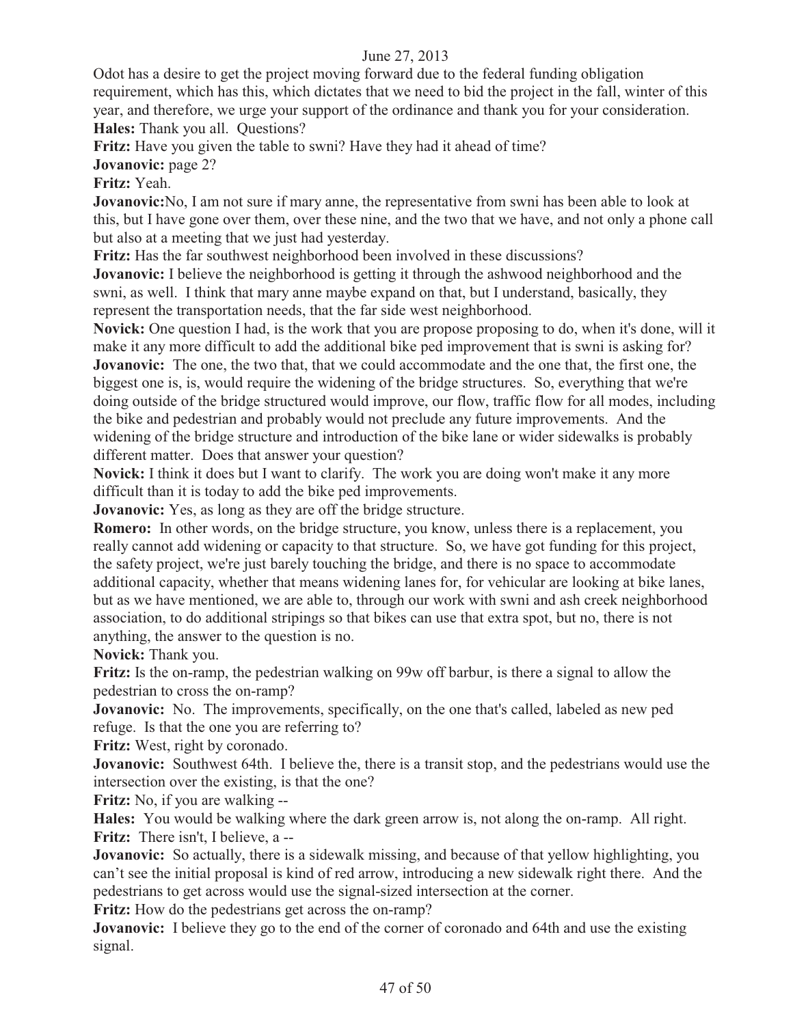Odot has a desire to get the project moving forward due to the federal funding obligation requirement, which has this, which dictates that we need to bid the project in the fall, winter of this year, and therefore, we urge your support of the ordinance and thank you for your consideration. **Hales:** Thank you all. Questions?

**Fritz:** Have you given the table to swni? Have they had it ahead of time?

**Jovanovic:** page 2?

**Fritz:** Yeah.

**Jovanovic:**No, I am not sure if mary anne, the representative from swni has been able to look at this, but I have gone over them, over these nine, and the two that we have, and not only a phone call but also at a meeting that we just had yesterday.

**Fritz:** Has the far southwest neighborhood been involved in these discussions?

**Jovanovic:** I believe the neighborhood is getting it through the ashwood neighborhood and the swni, as well. I think that mary anne maybe expand on that, but I understand, basically, they represent the transportation needs, that the far side west neighborhood.

**Novick:** One question I had, is the work that you are propose proposing to do, when it's done, will it make it any more difficult to add the additional bike ped improvement that is swni is asking for? **Jovanovic:** The one, the two that, that we could accommodate and the one that, the first one, the biggest one is, is, would require the widening of the bridge structures. So, everything that we're doing outside of the bridge structured would improve, our flow, traffic flow for all modes, including the bike and pedestrian and probably would not preclude any future improvements. And the widening of the bridge structure and introduction of the bike lane or wider sidewalks is probably different matter. Does that answer your question?

**Novick:** I think it does but I want to clarify. The work you are doing won't make it any more difficult than it is today to add the bike ped improvements.

**Jovanovic:** Yes, as long as they are off the bridge structure.

**Romero:** In other words, on the bridge structure, you know, unless there is a replacement, you really cannot add widening or capacity to that structure. So, we have got funding for this project, the safety project, we're just barely touching the bridge, and there is no space to accommodate additional capacity, whether that means widening lanes for, for vehicular are looking at bike lanes, but as we have mentioned, we are able to, through our work with swni and ash creek neighborhood association, to do additional stripings so that bikes can use that extra spot, but no, there is not anything, the answer to the question is no.

**Novick:** Thank you.

**Fritz:** Is the on-ramp, the pedestrian walking on 99w off barbur, is there a signal to allow the pedestrian to cross the on-ramp?

**Jovanovic:** No. The improvements, specifically, on the one that's called, labeled as new ped refuge. Is that the one you are referring to?

**Fritz:** West, right by coronado.

**Jovanovic:** Southwest 64th. I believe the, there is a transit stop, and the pedestrians would use the intersection over the existing, is that the one?

**Fritz:** No, if you are walking --

**Hales:** You would be walking where the dark green arrow is, not along the on-ramp. All right. **Fritz:** There isn't, I believe, a --

**Jovanovic:** So actually, there is a sidewalk missing, and because of that yellow highlighting, you can't see the initial proposal is kind of red arrow, introducing a new sidewalk right there. And the pedestrians to get across would use the signal-sized intersection at the corner.

**Fritz:** How do the pedestrians get across the on-ramp?

**Jovanovic:** I believe they go to the end of the corner of coronado and 64th and use the existing signal.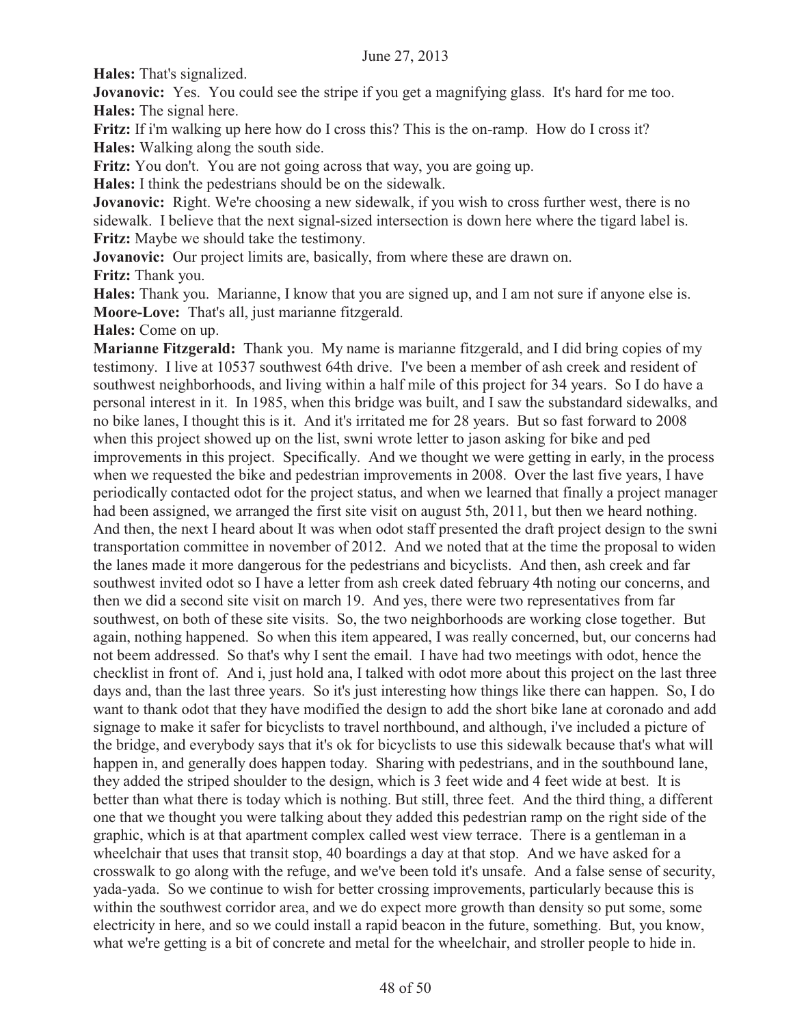**Hales:** That's signalized.

**Jovanovic:** Yes. You could see the stripe if you get a magnifying glass. It's hard for me too. **Hales:** The signal here.

**Fritz:** If i'm walking up here how do I cross this? This is the on-ramp. How do I cross it? **Hales:** Walking along the south side.

**Fritz:** You don't. You are not going across that way, you are going up.

**Hales:** I think the pedestrians should be on the sidewalk.

**Jovanovic:** Right. We're choosing a new sidewalk, if you wish to cross further west, there is no sidewalk. I believe that the next signal-sized intersection is down here where the tigard label is. **Fritz:** Maybe we should take the testimony.

**Jovanovic:** Our project limits are, basically, from where these are drawn on. **Fritz:** Thank you.

**Hales:** Thank you. Marianne, I know that you are signed up, and I am not sure if anyone else is. **Moore-Love:** That's all, just marianne fitzgerald.

**Hales:** Come on up.

**Marianne Fitzgerald:** Thank you. My name is marianne fitzgerald, and I did bring copies of my testimony. I live at 10537 southwest 64th drive. I've been a member of ash creek and resident of southwest neighborhoods, and living within a half mile of this project for 34 years. So I do have a personal interest in it. In 1985, when this bridge was built, and I saw the substandard sidewalks, and no bike lanes, I thought this is it. And it's irritated me for 28 years. But so fast forward to 2008 when this project showed up on the list, swni wrote letter to jason asking for bike and ped improvements in this project. Specifically. And we thought we were getting in early, in the process when we requested the bike and pedestrian improvements in 2008. Over the last five years, I have periodically contacted odot for the project status, and when we learned that finally a project manager had been assigned, we arranged the first site visit on august 5th, 2011, but then we heard nothing. And then, the next I heard about It was when odot staff presented the draft project design to the swni transportation committee in november of 2012. And we noted that at the time the proposal to widen the lanes made it more dangerous for the pedestrians and bicyclists. And then, ash creek and far southwest invited odot so I have a letter from ash creek dated february 4th noting our concerns, and then we did a second site visit on march 19. And yes, there were two representatives from far southwest, on both of these site visits. So, the two neighborhoods are working close together. But again, nothing happened. So when this item appeared, I was really concerned, but, our concerns had not beem addressed. So that's why I sent the email. I have had two meetings with odot, hence the checklist in front of. And i, just hold ana, I talked with odot more about this project on the last three days and, than the last three years. So it's just interesting how things like there can happen. So, I do want to thank odot that they have modified the design to add the short bike lane at coronado and add signage to make it safer for bicyclists to travel northbound, and although, i've included a picture of the bridge, and everybody says that it's ok for bicyclists to use this sidewalk because that's what will happen in, and generally does happen today. Sharing with pedestrians, and in the southbound lane, they added the striped shoulder to the design, which is 3 feet wide and 4 feet wide at best. It is better than what there is today which is nothing. But still, three feet. And the third thing, a different one that we thought you were talking about they added this pedestrian ramp on the right side of the graphic, which is at that apartment complex called west view terrace. There is a gentleman in a wheelchair that uses that transit stop, 40 boardings a day at that stop. And we have asked for a crosswalk to go along with the refuge, and we've been told it's unsafe. And a false sense of security, yada-yada. So we continue to wish for better crossing improvements, particularly because this is within the southwest corridor area, and we do expect more growth than density so put some, some electricity in here, and so we could install a rapid beacon in the future, something. But, you know, what we're getting is a bit of concrete and metal for the wheelchair, and stroller people to hide in.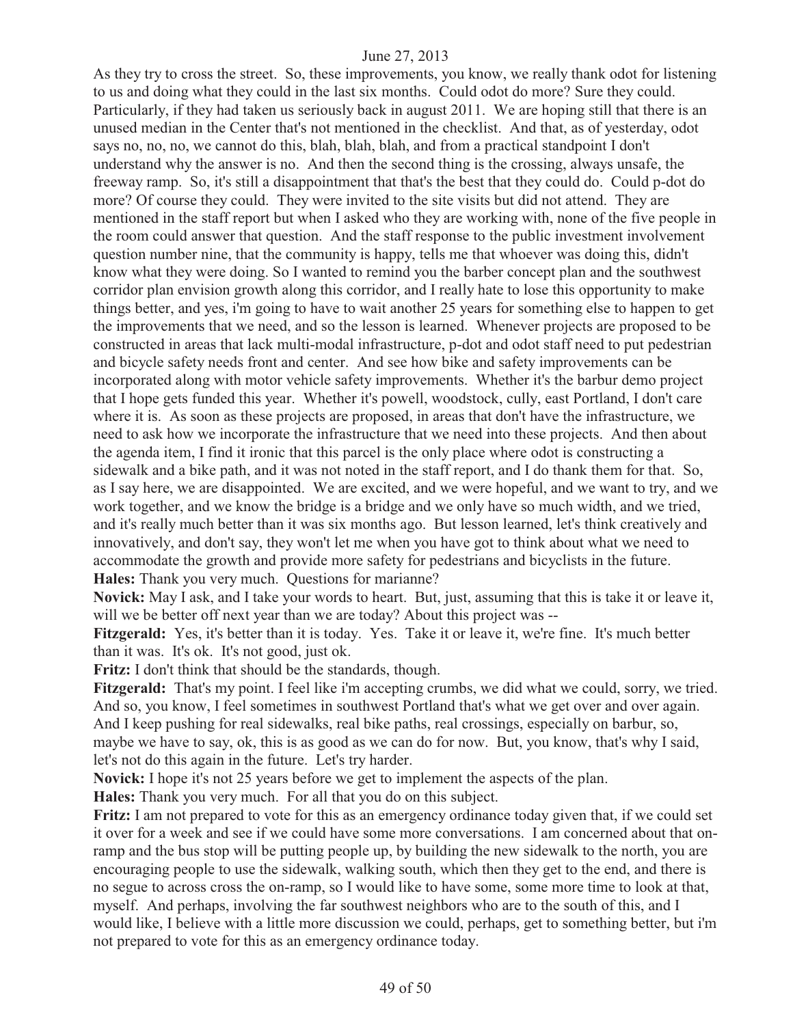As they try to cross the street. So, these improvements, you know, we really thank odot for listening to us and doing what they could in the last six months. Could odot do more? Sure they could. Particularly, if they had taken us seriously back in august 2011. We are hoping still that there is an unused median in the Center that's not mentioned in the checklist. And that, as of yesterday, odot says no, no, no, we cannot do this, blah, blah, blah, and from a practical standpoint I don't understand why the answer is no. And then the second thing is the crossing, always unsafe, the freeway ramp. So, it's still a disappointment that that's the best that they could do. Could p-dot do more? Of course they could. They were invited to the site visits but did not attend. They are mentioned in the staff report but when I asked who they are working with, none of the five people in the room could answer that question. And the staff response to the public investment involvement question number nine, that the community is happy, tells me that whoever was doing this, didn't know what they were doing. So I wanted to remind you the barber concept plan and the southwest corridor plan envision growth along this corridor, and I really hate to lose this opportunity to make things better, and yes, i'm going to have to wait another 25 years for something else to happen to get the improvements that we need, and so the lesson is learned. Whenever projects are proposed to be constructed in areas that lack multi-modal infrastructure, p-dot and odot staff need to put pedestrian and bicycle safety needs front and center. And see how bike and safety improvements can be incorporated along with motor vehicle safety improvements. Whether it's the barbur demo project that I hope gets funded this year. Whether it's powell, woodstock, cully, east Portland, I don't care where it is. As soon as these projects are proposed, in areas that don't have the infrastructure, we need to ask how we incorporate the infrastructure that we need into these projects. And then about the agenda item, I find it ironic that this parcel is the only place where odot is constructing a sidewalk and a bike path, and it was not noted in the staff report, and I do thank them for that. So, as I say here, we are disappointed. We are excited, and we were hopeful, and we want to try, and we work together, and we know the bridge is a bridge and we only have so much width, and we tried, and it's really much better than it was six months ago. But lesson learned, let's think creatively and innovatively, and don't say, they won't let me when you have got to think about what we need to accommodate the growth and provide more safety for pedestrians and bicyclists in the future. **Hales:** Thank you very much. Questions for marianne?

**Novick:** May I ask, and I take your words to heart. But, just, assuming that this is take it or leave it, will we be better off next year than we are today? About this project was --

**Fitzgerald:** Yes, it's better than it is today. Yes. Take it or leave it, we're fine. It's much better than it was. It's ok. It's not good, just ok.

**Fritz:** I don't think that should be the standards, though.

**Fitzgerald:** That's my point. I feel like i'm accepting crumbs, we did what we could, sorry, we tried. And so, you know, I feel sometimes in southwest Portland that's what we get over and over again. And I keep pushing for real sidewalks, real bike paths, real crossings, especially on barbur, so, maybe we have to say, ok, this is as good as we can do for now. But, you know, that's why I said, let's not do this again in the future. Let's try harder.

**Novick:** I hope it's not 25 years before we get to implement the aspects of the plan.

**Hales:** Thank you very much. For all that you do on this subject.

**Fritz:** I am not prepared to vote for this as an emergency ordinance today given that, if we could set it over for a week and see if we could have some more conversations. I am concerned about that onramp and the bus stop will be putting people up, by building the new sidewalk to the north, you are encouraging people to use the sidewalk, walking south, which then they get to the end, and there is no segue to across cross the on-ramp, so I would like to have some, some more time to look at that, myself. And perhaps, involving the far southwest neighbors who are to the south of this, and I would like, I believe with a little more discussion we could, perhaps, get to something better, but i'm not prepared to vote for this as an emergency ordinance today.